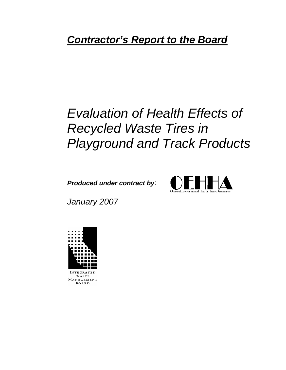## *Contractor's Report to the Board*

# *Evaluation of Health Effects of Recycled Waste Tires in Playground and Track Products*

*Produced under contract by:* 



*January 2007*

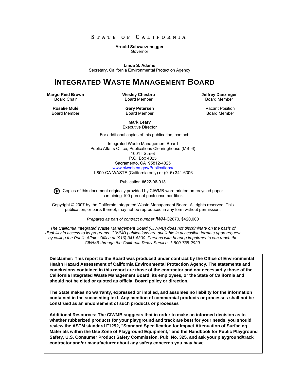#### **S TATE OF C ALIFORNIA**

#### **Arnold Schwarzenegger**

Governor

**Linda S. Adams** Secretary, California Environmental Protection Agency

### **INTEGRATED WASTE MANAGEMENT BOARD**

**Margo Reid Brown** Board Chair

**Wesley Chesbro** Board Member

**Jeffrey Danzinger** Board Member

**Rosalie Mulé** Board Member **Gary Petersen** Board Member

Vacant Position Board Member

**Mark Leary** Executive Director

For additional copies of this publication, contact:

Integrated Waste Management Board Public Affairs Office, Publications Clearinghouse (MS–6) 1001 I Street P.O. Box 4025 Sacramento, CA 95812-4025 [www.ciwmb.ca.gov/Publications/](http://www.ciwmb.ca.gov/Publications/) 1-800-CA-WASTE (California only) or (916) 341-6306

Publication #622-06-013

Copies of this document originally provided by CIWMB were printed on recycled paper containing 100 percent postconsumer fiber.

Copyright © 2007 by the California Integrated Waste Management Board. All rights reserved. This publication, or parts thereof, may not be reproduced in any form without permission.

*Prepared as part of contract number IWM-*C2070, \$420,000

*The California Integrated Waste Management Board (CIWMB) does not discriminate on the basis of disability in access to its programs. CIWMB publications are available in accessible formats upon request by calling the Public Affairs Office at (916) 341-6300. Persons with hearing impairments can reach the CIWMB through the California Relay Service, 1-800-735-2929.* 

**Disclaimer: This report to the Board was produced under contract by the Office of Environmental Health Hazard Assessment of California Environmental Protection Agency. The statements and conclusions contained in this report are those of the contractor and not necessarily those of the California Integrated Waste Management Board, its employees, or the State of California and should not be cited or quoted as official Board policy or direction.** 

**The State makes no warranty, expressed or implied, and assumes no liability for the information contained in the succeeding text. Any mention of commercial products or processes shall not be construed as an endorsement of such products or processes** 

**Additional Resources: The CIWMB suggests that in order to make an informed decision as to whether rubberized products for your playground and track are best for your needs, you should review the ASTM standard F1292, "Standard Specification for Impact Attenuation of Surfacing Materials within the Use Zone of Playground Equipment," and the Handbook for Public Playground Safety, U.S. Consumer Product Safety Commission, Pub. No. 325, and ask your playground/track contractor and/or manufacturer about any safety concerns you may have.**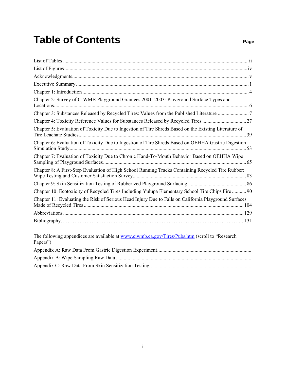## Table of Contents **Page**

| Chapter 2: Survey of CIWMB Playground Grantees 2001-2003: Playground Surface Types and                      |
|-------------------------------------------------------------------------------------------------------------|
| Chapter 3: Substances Released by Recycled Tires: Values from the Published Literature 7                    |
|                                                                                                             |
| Chapter 5: Evaluation of Toxicity Due to Ingestion of Tire Shreds Based on the Existing Literature of       |
| Chapter 6: Evaluation of Toxicity Due to Ingestion of Tire Shreds Based on OEHHA Gastric Digestion          |
| Chapter 7: Evaluation of Toxicity Due to Chronic Hand-To-Mouth Behavior Based on OEHHA Wipe                 |
| Chapter 8: A First-Step Evaluation of High School Running Tracks Containing Recycled Tire Rubber:           |
|                                                                                                             |
| Chapter 10: Ecotoxicity of Recycled Tires Including Yulupa Elementary School Tire Chips Fire  90            |
| Chapter 11: Evaluating the Risk of Serious Head Injury Due to Falls on California Playground Surfaces       |
|                                                                                                             |
|                                                                                                             |
| The following appendices are available at www.ciwmb.ca.gov/Tires/Pubs.htm (scroll to "Research"<br>Papers") |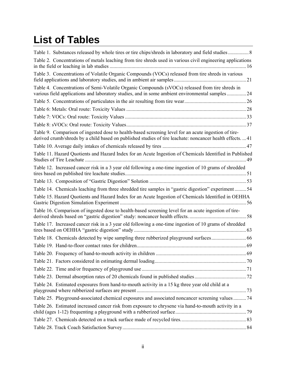## <span id="page-3-0"></span>**List of Tables**

| Table 2. Concentrations of metals leaching from tire shreds used in various civil engineering applications                                                                                                      |  |
|-----------------------------------------------------------------------------------------------------------------------------------------------------------------------------------------------------------------|--|
| Table 3. Concentrations of Volatile Organic Compounds (VOCs) released from tire shreds in various                                                                                                               |  |
| Table 4. Concentrations of Semi-Volatile Organic Compounds (sVOCs) released from tire shreds in<br>various field applications and laboratory studies, and in some ambient environmental samples 24              |  |
|                                                                                                                                                                                                                 |  |
|                                                                                                                                                                                                                 |  |
|                                                                                                                                                                                                                 |  |
|                                                                                                                                                                                                                 |  |
| Table 9. Comparison of ingested dose to health-based screening level for an acute ingestion of tire-<br>derived crumb/shreds by a child based on published studies of tire leachate: noncancer health effects41 |  |
|                                                                                                                                                                                                                 |  |
| Table 11. Hazard Quotients and Hazard Index for an Acute Ingestion of Chemicals Identified in Published                                                                                                         |  |
| Table 12. Increased cancer risk in a 3 year old following a one-time ingestion of 10 grams of shredded                                                                                                          |  |
|                                                                                                                                                                                                                 |  |
| Table 14. Chemicals leaching from three shredded tire samples in "gastric digestion" experiment  54                                                                                                             |  |
| Table 15. Hazard Quotients and Hazard Index for an Acute Ingestion of Chemicals Identified in OEHHA                                                                                                             |  |
| Table 16. Comparison of ingested dose to health-based screening level for an acute ingestion of tire-                                                                                                           |  |
| Table 17. Increased cancer risk in a 3 year old following a one-time ingestion of 10 grams of shredded                                                                                                          |  |
| Table 18. Chemicals detected by wipe sampling three rubberized playground surfaces66                                                                                                                            |  |
|                                                                                                                                                                                                                 |  |
|                                                                                                                                                                                                                 |  |
|                                                                                                                                                                                                                 |  |
|                                                                                                                                                                                                                 |  |
|                                                                                                                                                                                                                 |  |
| Table 24. Estimated exposures from hand-to-mouth activity in a 15 kg three year old child at a                                                                                                                  |  |
| Table 25. Playground-associated chemical exposures and associated noncancer screening values  74                                                                                                                |  |
| Table 26. Estimated increased cancer risk from exposure to chrysene via hand-to-mouth activity in a                                                                                                             |  |
|                                                                                                                                                                                                                 |  |
|                                                                                                                                                                                                                 |  |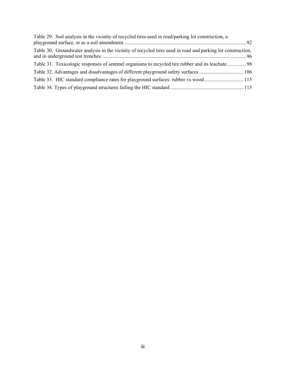| Table 29. Soil analysis in the vicinity of recycled tires used in road/parking lot construction, a          |  |
|-------------------------------------------------------------------------------------------------------------|--|
|                                                                                                             |  |
| Table 30. Groundwater analysis in the vicinity of recycled tires used in road and parking lot construction, |  |
|                                                                                                             |  |
|                                                                                                             |  |
| Table 33. HIC standard compliance rates for playground surfaces: rubber vs wood 115                         |  |
|                                                                                                             |  |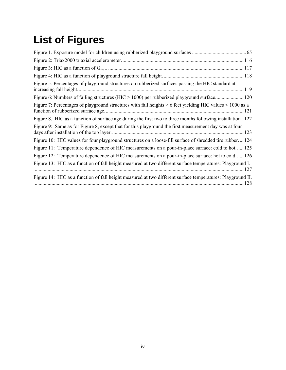# <span id="page-5-0"></span>**List of Figures**

| Figure 5: Percentages of playground structures on rubberized surfaces passing the HIC standard at           |  |
|-------------------------------------------------------------------------------------------------------------|--|
| Figure 6: Numbers of failing structures (HIC > 1000) per rubberized playground surface 120                  |  |
| Figure 7: Percentages of playground structures with fall heights > 6 feet yielding HIC values < 1000 as a   |  |
| Figure 8. HIC as a function of surface age during the first two to three months following installation. 122 |  |
| Figure 9: Same as for Figure 8, except that for this playground the first measurement day was at four       |  |
| Figure 10: HIC values for four playground structures on a loose-fill surface of shredded tire rubber 124    |  |
| Figure 11: Temperature dependence of HIC measurements on a pour-in-place surface: cold to hot 125           |  |
| Figure 12: Temperature dependence of HIC measurements on a pour-in-place surface: hot to cold 126           |  |
| Figure 13: HIC as a function of fall height measured at two different surface temperatures: Playground I.   |  |
| Figure 14: HIC as a function of fall height measured at two different surface temperatures: Playground II.  |  |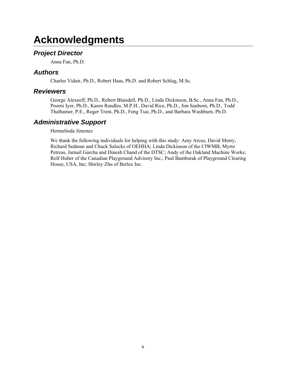### <span id="page-6-0"></span>**Acknowledgments**

### *Project Director*

Anna Fan, Ph.D.

### *Authors*

Charles Vidair, Ph.D., Robert Haas, Ph.D. and Robert Schlag, M.Sc.

### *Reviewers*

George Alexeeff, Ph.D., Robert Blaisdell, Ph.D., Linda Dickinson, B.Sc., Anna Fan, Ph.D., Poorni Iyer, Ph.D., Karen Randles, M.P.H., David Rice, Ph.D., Jim Sanborn, Ph.D., Todd Thalhamer, P.E., Roger Trent, Ph.D., Feng Tsai, Ph.D., and Barbara Washburn, Ph.D.

### *Administrative Support*

Hermelinda Jimenez

We thank the following individuals for helping with this study: Amy Arcus, David Morry, Richard Sedman and Chuck Salocks of OEHHA; Linda Dickinson of the CIWMB; Myrto Petreas, Jarnail Garcha and Dinesh Chand of the DTSC; Andy of the Oakland Machine Works; Rolf Huber of the Canadian Playground Advisory Inc.; Paul Bamburak of Playground Clearing House, USA, Inc; Shirley Zhu of Berlex Inc.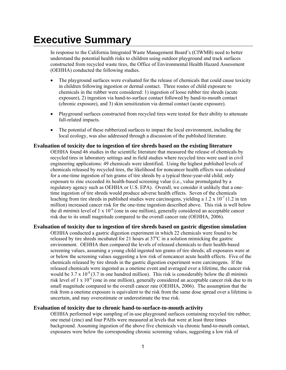## <span id="page-7-0"></span>**Executive Summary**

In response to the California Integrated Waste Management Board's (CIWMB) need to better understand the potential health risks to children using outdoor playground and track surfaces constructed from recycled waste tires, the Office of Environmental Health Hazard Assessment (OEHHA) conducted the following studies.

- The playground surfaces were evaluated for the release of chemicals that could cause toxicity in children following ingestion or dermal contact. Three routes of child exposure to chemicals in the rubber were considered: 1) ingestion of loose rubber tire shreds (acute exposure), 2) ingestion via hand-to-surface contact followed by hand-to-mouth contact (chronic exposure), and 3) skin sensitization via dermal contact (acute exposure).
- Playground surfaces constructed from recycled tires were tested for their ability to attenuate fall-related impacts.
- The potential of these rubberized surfaces to impact the local environment, including the local ecology, was also addressed through a discussion of the published literature.

#### **Evaluation of toxicity due to ingestion of tire shreds based on the existing literature**

OEHHA found 46 studies in the scientific literature that measured the release of chemicals by recycled tires in laboratory settings and in field studies where recycled tires were used in civil engineering applications: 49 chemicals were identified. Using the highest published levels of chemicals released by recycled tires, the likelihood for noncancer health effects was calculated for a one-time ingestion of ten grams of tire shreds by a typical three-year-old child; only exposure to zinc exceeded its health-based screening value (i.e., value promulgated by a regulatory agency such as OEHHA or U.S. EPA). Overall, we consider it unlikely that a onetime ingestion of tire shreds would produce adverse health effects. Seven of the chemicals leaching from tire shreds in published studies were carcinogens, yielding a 1.2 x 10<sup>-7</sup> (1.2 in ten million) increased cancer risk for the one-time ingestion described above. This risk is well below the *di minimis* level of 1 x  $10^{-6}$  (one in one million), generally considered an acceptable cancer risk due to its small magnitude compared to the overall cancer rate (OEHHA, 2006).

#### **Evaluation of toxicity due to ingestion of tire shreds based on gastric digestion simulation**

OEHHA conducted a gastric digestion experiment in which 22 chemicals were found to be released by tire shreds incubated for 21 hours at  $37^{\circ}$ C in a solution mimicking the gastric environment. OEHHA then compared the levels of released chemicals to their health-based screening values, assuming a young child ingested ten grams of tire shreds; all exposures were at or below the screening values suggesting a low risk of noncancer acute health effects. Five of the chemicals released by tire shreds in the gastric digestion experiment were carcinogens. If the released chemicals were ingested as a onetime event and averaged over a lifetime, the cancer risk would be  $3.7 \times 10^{-8}$  (3.7 in one hundred million). This risk is considerably below the *di minimis* risk level of 1 x  $10^{-6}$  (one in one million), generally considered an acceptable cancer risk due to its small magnitude compared to the overall cancer rate (OEHHA, 2006). The assumption that the risk from a onetime exposure is equivalent to the risk from the same dose spread over a lifetime is uncertain, and may overestimate or underestimate the true risk.

#### **Evaluation of toxicity due to chronic hand-to-surface-to-mouth activity**

OEHHA performed wipe sampling of in-use playground surfaces containing recycled tire rubber; one metal (zinc) and four PAHs were measured at levels that were at least three times background. Assuming ingestion of the above five chemicals via chronic hand-to-mouth contact, exposures were below the corresponding chronic screening values, suggesting a low risk of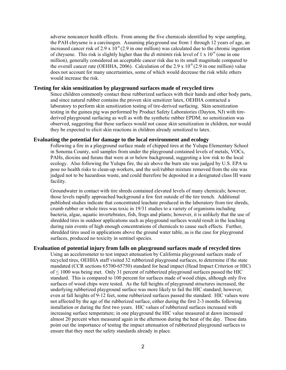adverse noncancer health effects. From among the five chemicals identified by wipe sampling, the PAH chrysene is a carcinogen. Assuming playground use from 1 through 12 years of age, an increased cancer risk of 2.9 x  $10^{-6}$  (2.9 in one million) was calculated due to the chronic ingestion of chrysene. This risk is slightly higher than the *di minimis* risk level of 1 x 10-6 (one in one million), generally considered an acceptable cancer risk due to its small magnitude compared to the overall cancer rate (OEHHA, 2006). Calculation of the 2.9 x  $10^{-6}$  (2.9 in one million) value does not account for many uncertainties, some of which would decrease the risk while others would increase the risk.

#### **Testing for skin sensitization by playground surfaces made of recycled tires**

Since children commonly contact these rubberized surfaces with their hands and other body parts, and since natural rubber contains the proven skin sensitizer latex, OEHHA contracted a laboratory to perform skin sensitization testing of tire-derived surfacing. Skin sensitization testing in the guinea pig was performed by Product Safety Laboratories (Dayton, NJ) with tirederived playground surfacing as well as with the synthetic rubber EPDM; no sensitization was observed, suggesting that these surfaces would not cause skin sensitization in children, nor would they be expected to elicit skin reactions in children already sensitized to latex.

#### **Evaluating the potential for damage to the local environment and ecology**

Following a fire in a playground surface made of chipped tires at the Yulupa Elementary School in Sonoma County, soil samples from under the playground contained levels of metals, VOCs, PAHs, dioxins and furans that were at or below background, suggesting a low risk to the local ecology. Also following the Yulupa fire, the air above the burn site was judged by U.S. EPA to pose no health risks to clean-up workers, and the soil/rubber mixture removed from the site was judged not to be hazardous waste, and could therefore be deposited in a designated class III waste facility.

Groundwater in contact with tire shreds contained elevated levels of many chemicals; however, those levels rapidly approached background a few feet outside of the tire trench. Additional published studies indicate that concentrated leachate produced in the laboratory from tire shreds, crumb rubber or whole tires was toxic in 19/31 studies to a variety of organisms including bacteria, algae, aquatic invertebrates, fish, frogs and plants; however, it is unlikely that the use of shredded tires in outdoor applications such as playground surfaces would result in the leaching during rain events of high enough concentrations of chemicals to cause such effects. Further, shredded tires used in applications above the ground water table, as is the case for playground surfaces, produced no toxicity in sentinel species.

#### **Evaluation of potential injury from falls on playground surfaces made of recycled tires**

Using an accelerometer to test impact attenuation by California playground surfaces made of recycled tires, OEHHA staff visited 32 rubberized playground surfaces, to determine if the state mandated (CCR sections 65700-65750) standard for head impact (Head Impact Criterion or HIC) of < 1000 was being met. Only 31 percent of rubberized playground surfaces passed the HIC standard. This is compared to 100 percent for surfaces made of wood chips, although only five surfaces of wood chips were tested. As the fall heights of playground structures increased, the underlying rubberized playground surface was more likely to fail the HIC standard; however, even at fall heights of 9-12 feet, some rubberized surfaces passed the standard. HIC values were not affected by the age of the rubberized surface, either during the first 2-3 months following installation or during the first two years. HIC values of rubberized surfaces increased with increasing surface temperature; in one playground the HIC value measured at dawn increased almost 20 percent when measured again in the afternoon during the heat of the day. These data point out the importance of testing the impact attenuation of rubberized playground surfaces to ensure that they meet the safety standards already in place.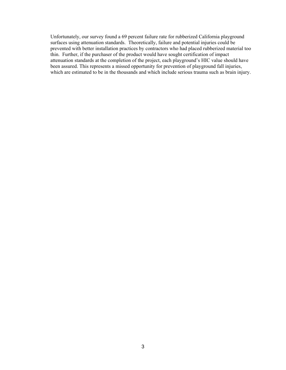Unfortunately, our survey found a 69 percent failure rate for rubberized California playground surfaces using attenuation standards. Theoretically, failure and potential injuries could be prevented with better installation practices by contractors who had placed rubberized material too thin. Further, if the purchaser of the product would have sought certification of impact attenuation standards at the completion of the project, each playground's HIC value should have been assured. This represents a missed opportunity for prevention of playground fall injuries, which are estimated to be in the thousands and which include serious trauma such as brain injury.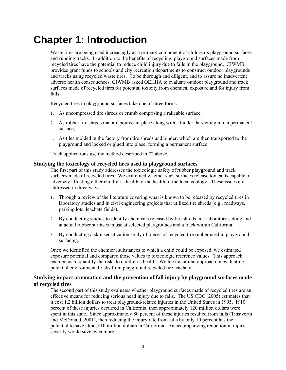### <span id="page-10-0"></span>**Chapter 1: Introduction**

Waste tires are being used increasingly as a primary component of children's playground surfaces and running tracks. In addition to the benefits of recycling, playground surfaces made from recycled tires have the potential to reduce child injury due to falls in the playground. CIWMB provides grant funds to schools and city recreation departments to construct outdoor playgrounds and tracks using recycled waste tires. To be thorough and diligent, and to assure no inadvertent adverse health consequences, CIWMB asked OEHHA to evaluate outdoor playground and track surfaces made of recycled tires for potential toxicity from chemical exposure and for injury from falls.

Recycled tires in playground surfaces take one of three forms:

- 1. As uncompressed tire shreds or crumb comprising a rakeable surface,
- 2. As rubber tire shreds that are poured-in-place along with a binder, hardening into a permanent surface,
- 3. As tiles molded in the factory from tire shreds and binder, which are then transported to the playground and locked or glued into place, forming a permanent surface.

Track applications use the method described in #2 above.

#### **Studying the toxicology of recycled tires used in playground surfaces**

The first part of this study addresses the toxicologic safety of rubber playground and track surfaces made of recycled tires. We examined whether such surfaces release toxicants capable of adversely affecting either children's health or the health of the local ecology. These issues are addressed in three ways:

- 1. Through a review of the literature covering what is known to be released by recycled tires in laboratory studies and in civil engineering projects that utilized tire shreds (e.g., roadways, parking lots, leachate fields).
- 2. By conducting studies to identify chemicals released by tire shreds in a laboratory setting and at actual rubber surfaces in use at selected playgrounds and a track within California.
- 3. By conducting a skin sensitization study of pieces of recycled tire rubber used in playground surfacing.

Once we identified the chemical substances to which a child could be exposed, we estimated exposure potential and compared those values to toxicologic reference values. This approach enabled us to quantify the risks to children's health. We took a similar approach in evaluating potential environmental risks from playground recycled tire leachate.

#### **Studying impact attenuation and the prevention of fall injury by playground surfaces made of recycled tires**

The second part of this study evaluates whether playground surfaces made of recycled tires are an effective means for reducing serious head injury due to falls. The US CDC (2005) estimates that it cost 1.2 billion dollars to treat playground-related injuries in the United States in 1995. If 10 percent of these injuries occurred in California, then approximately 120 million dollars were spent in this state. Since approximately 80 percent of these injuries resulted from falls (Tinsworth and McDonald, 2001), then reducing the injury rate from falls by only 10 percent has the potential to save almost 10 million dollars in California. An accompanying reduction in injury severity would save even more.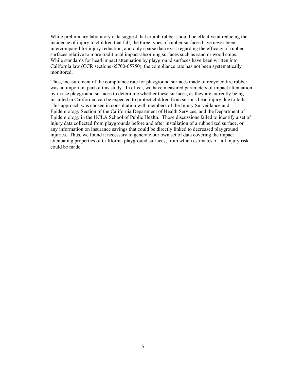While preliminary laboratory data suggest that crumb rubber should be effective at reducing the incidence of injury to children that fall, the three types of rubber surfaces have never been intercompared for injury reduction, and only sparse data exist regarding the efficacy of rubber surfaces relative to more traditional impact-absorbing surfaces such as sand or wood chips. While standards for head impact attenuation by playground surfaces have been written into California law (CCR sections 65700-65750), the compliance rate has not been systematically monitored.

Thus, measurement of the compliance rate for playground surfaces made of recycled tire rubber was an important part of this study. In effect, we have measured parameters of impact attenuation by in use playground surfaces to determine whether these surfaces, as they are currently being installed in California, can be expected to protect children from serious head injury due to falls. This approach was chosen in consultation with members of the Injury Surveillance and Epidemiology Section of the California Department of Health Services, and the Department of Epidemiology in the UCLA School of Public Health. Those discussions failed to identify a set of injury data collected from playgrounds before and after installation of a rubberized surface, or any information on insurance savings that could be directly linked to decreased playground injuries. Thus, we found it necessary to generate our own set of data covering the impact attenuating properties of California playground surfaces, from which estimates of fall injury risk could be made.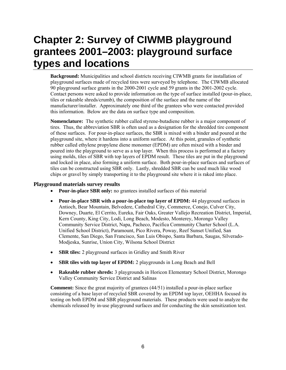## <span id="page-12-0"></span>**Chapter 2: Survey of CIWMB playground grantees 2001–2003: playground surface types and locations**

**Background:** Municipalities and school districts receiving CIWMB grants for installation of playground surfaces made of recycled tires were surveyed by telephone. The CIWMB allocated 90 playground surface grants in the 2000-2001 cycle and 59 grants in the 2001-2002 cycle. Contact persons were asked to provide information on the type of surface installed (pour-in-place, tiles or rakeable shreds/crumb), the composition of the surface and the name of the manufacturer/installer. Approximately one third of the grantees who were contacted provided this information. Below are the data on surface type and composition.

**Nomenclature:** The synthetic rubber called styrene-butadiene rubber is a major component of tires. Thus, the abbreviation SBR is often used as a designation for the shredded tire component of these surfaces. For pour-in-place surfaces, the SBR is mixed with a binder and poured at the playground site, where it hardens into a uniform surface. At this point, granules of synthetic rubber called ethylene propylene diene monomer (EPDM) are often mixed with a binder and poured into the playground to serve as a top layer. When this process is performed at a factory using molds, tiles of SBR with top layers of EPDM result. These tiles are put in the playground and locked in place, also forming a uniform surface. Both pour-in-place surfaces and surfaces of tiles can be constructed using SBR only. Lastly, shredded SBR can be used much like wood chips or gravel by simply transporting it to the playground site where it is raked into place.

#### **Playground materials survey results**

- **Pour-in-place SBR only:** no grantees installed surfaces of this material
- **Pour-in-place SBR with a pour-in-place top layer of EPDM:** 44 playground surfaces in Antioch, Bear Mountain, Belvedere, Cathedral City, Commerce, Conejo, Culver City, Downey, Duarte, El Cerrito, Eureka, Fair Oaks, Greater Vallejo Recreation District, Imperial, Kern County, King City, Lodi, Long Beach, Modesto, Monterey, Morongo Valley Community Service District, Napa, Pacheco, Pacifica Community Charter School (L.A. Unified School District), Paramount, Pico Rivera, Poway, Reef Sunset Unified, San Clemente, San Diego, San Francisco, San Luis Obispo, Santa Barbara, Saugas, Silverado-Modjeska, Sunrise, Union City, Wilsona School District
- **SBR tiles:** 2 playground surfaces in Gridley and Smith River
- **SBR tiles with top layer of EPDM:** 2 playgrounds in Long Beach and Bell
- **Rakeable rubber shreds:** 3 playgrounds in Horicon Elementary School District, Morongo Valley Community Service District and Salinas

**Comment:** Since the great majority of grantees (44/51) installed a pour-in-place surface consisting of a base layer of recycled SBR covered by an EPDM top layer, OEHHA focused its testing on both EPDM and SBR playground materials. These products were used to analyze the chemicals released by in-use playground surfaces and for conducting the skin sensitization test.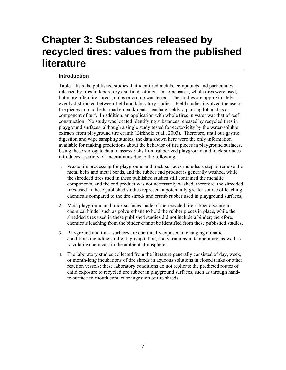### <span id="page-13-0"></span>**Chapter 3: Substances released by recycled tires: values from the published literature**

#### **Introduction**

Table 1 lists the published studies that identified metals, compounds and particulates released by tires in laboratory and field settings. In some cases, whole tires were used, but more often tire shreds, chips or crumb was tested. The studies are approximately evenly distributed between field and laboratory studies. Field studies involved the use of tire pieces in road beds, road embankments, leachate fields, a parking lot, and as a component of turf. In addition, an application with whole tires in water was that of reef construction. No study was located identifying substances released by recycled tires in playground surfaces, although a single study tested for ecotoxicity by the water-soluble extracts from playground tire crumb (Birkholz et al., 2003). Therefore, until our gastric digestion and wipe sampling studies, the data shown here were the only information available for making predictions about the behavior of tire pieces in playground surfaces. Using these surrogate data to assess risks from rubberized playground and track surfaces introduces a variety of uncertainties due to the following:

- 1. Waste tire processing for playground and track surfaces includes a step to remove the metal belts and metal beads, and the rubber end product is generally washed, while the shredded tires used in these published studies still contained the metallic components, and the end product was not necessarily washed; therefore, the shredded tires used in these published studies represent a potentially greater source of leaching chemicals compared to the tire shreds and crumb rubber used in playground surfaces,
- 2. Most playground and track surfaces made of the recycled tire rubber also use a chemical binder such as polyurethane to hold the rubber pieces in place, while the shredded tires used in these published studies did not include a binder; therefore, chemicals leaching from the binder cannot be identified from these published studies,
- 3. Playground and track surfaces are continually exposed to changing climatic conditions including sunlight, precipitation, and variations in temperature, as well as to volatile chemicals in the ambient atmosphere,
- 4. The laboratory studies collected from the literature generally consisted of day, week, or month-long incubations of tire shreds in aqueous solutions in closed tanks or other reaction vessels; these laboratory conditions do not replicate the predicted routes of child exposure to recycled tire rubber in playground surfaces, such as through handto-surface-to-mouth contact or ingestion of tire shreds.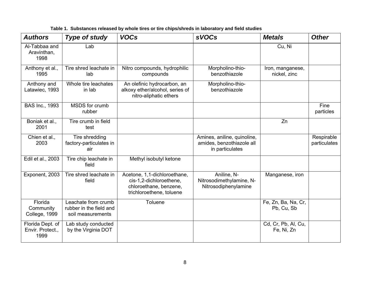<span id="page-14-0"></span>

| <b>Authors</b>                               | <b>Type of study</b>                                                | <b>VOCs</b>                                                                                                   | <b>sVOCs</b>                                                                | <b>Metals</b>                     | <b>Other</b>               |
|----------------------------------------------|---------------------------------------------------------------------|---------------------------------------------------------------------------------------------------------------|-----------------------------------------------------------------------------|-----------------------------------|----------------------------|
| Al-Tabbaa and<br>Aravinthan,<br>1998         | Lab                                                                 |                                                                                                               |                                                                             | Cu, Ni                            |                            |
| Anthony et al.,<br>1995                      | Tire shred leachate in<br>lab                                       | Nitro compounds, hydrophilic<br>compounds                                                                     | Morpholino-thio-<br>benzothiazole                                           | Iron, manganese,<br>nickel, zinc  |                            |
| Anthony and<br>Latawiec, 1993                | Whole tire leachates<br>in lab                                      | An olefinic hydrocarbon, an<br>alkoxy ether/alcohol, series of<br>nitro-aliphatic ethers                      | Morpholino-thio-<br>benzothiazole                                           |                                   |                            |
| <b>BAS Inc., 1993</b>                        | MSDS for crumb<br>rubber                                            |                                                                                                               |                                                                             |                                   | Fine<br>particles          |
| Boniak et al.,<br>2001                       | Tire crumb in field<br>test                                         |                                                                                                               |                                                                             | Zn                                |                            |
| Chien et al.,<br>2003                        | Tire shredding<br>factory-particulates in<br>air                    |                                                                                                               | Amines, aniline, quinoline,<br>amides, benzothiazole all<br>in particulates |                                   | Respirable<br>particulates |
| Edil et al., 2003                            | Tire chip leachate in<br>field                                      | Methyl isobutyl ketone                                                                                        |                                                                             |                                   |                            |
| Exponent, 2003                               | Tire shred leachate in<br>field                                     | Acetone, 1,1-dichloroethane,<br>cis-1,2-dichloroethene,<br>chloroethane, benzene,<br>trichloroethene, toluene | Aniline, N-<br>Nitrosodimethylamine, N-<br>Nitrosodiphenylamine             | Manganese, iron                   |                            |
| Florida<br>Community<br>College, 1999        | Leachate from crumb<br>rubber in the field and<br>soil measurements | Toluene                                                                                                       |                                                                             | Fe, Zn, Ba, Na, Cr,<br>Pb, Cu, Sb |                            |
| Florida Dept. of<br>Envir. Protect.,<br>1999 | Lab study conducted<br>by the Virginia DOT                          |                                                                                                               |                                                                             | Cd, Cr, Pb, Al, Cu,<br>Fe, Ni, Zn |                            |

**Table 1. Substances released by whole tires or tire chips/shreds in laboratory and field studies**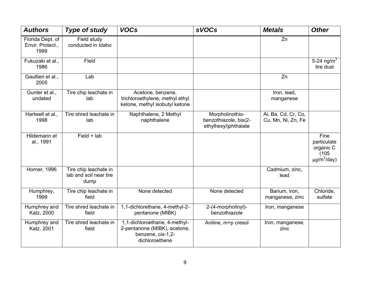| <b>Authors</b>                               | <b>Type of study</b>                                    | <b>VOCs</b>                                                                                          | <b>sVOCs</b>                                                     | <b>Metals</b>                             | <b>Other</b>                                                  |
|----------------------------------------------|---------------------------------------------------------|------------------------------------------------------------------------------------------------------|------------------------------------------------------------------|-------------------------------------------|---------------------------------------------------------------|
| Florida Dept. of<br>Envir. Protect.,<br>1999 | Field study<br>conducted in Idaho                       |                                                                                                      |                                                                  | Zn                                        |                                                               |
| Fukuzaki et al.,<br>1986                     | Field                                                   |                                                                                                      |                                                                  |                                           | 5-24 ng/m <sup>3</sup><br>tire dust                           |
| Gaultieri et al.,<br>2005                    | Lab                                                     |                                                                                                      |                                                                  | Zn                                        |                                                               |
| Gunter et al.,<br>undated                    | Tire chip leachate in<br>lab                            | Acetone, benzene,<br>trichloroethylene, methyl ethyl<br>ketone, methyl isobutyl ketone               |                                                                  | Iron, lead,<br>manganese                  |                                                               |
| Hartwell et al.,<br>1998                     | Tire shred leachate in<br>lab                           | Naphthalene, 2 Methyl<br>naphthalene                                                                 | Morpholinothio-<br>benzothiazole, bis(2-<br>ethylhexyl)phthalate | Al, Ba, Cd, Cr, Co,<br>Cu, Mn, Ni, Zn, Fe |                                                               |
| Hildemann et<br>al., 1991                    | $Field + lab$                                           |                                                                                                      |                                                                  |                                           | Fine<br>particulate<br>organic C<br>(105)<br>$\mu g/m^2/day)$ |
| Horner, 1996                                 | Tire chip leachate in<br>lab and soil near tire<br>dump |                                                                                                      |                                                                  | Cadmium, zinc,<br>lead                    |                                                               |
| Humphrey,<br>1999                            | Tire chip leachate in<br>field                          | None detected                                                                                        | None detected                                                    | Barium, iron,<br>manganese, zinc          | Chloride,<br>sulfate                                          |
| Humphrey and<br>Katz, 2000                   | Tire shred leachate in<br>field                         | 1,1-dichlorethane, 4-methyl-2-<br>pentanone (MIBK)                                                   | 2-(4-morpholinyl)-<br>benzothiazole                              | Iron, manganese                           |                                                               |
| Humphrey and<br>Katz, 2001                   | Tire shred leachate in<br>field                         | 1,1-dichloroethane, 4-methyl-<br>2-pentanone (MIBK), acetone,<br>benzene, cis-1,2-<br>dichloroethene | Aniline, m+p cresol                                              | Iron, manganese,<br>zinc                  |                                                               |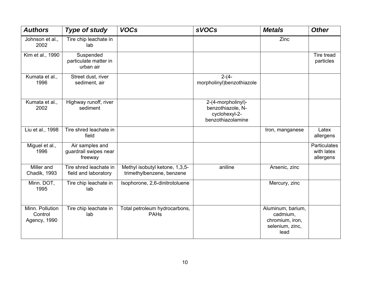| <b>Authors</b>                             | <b>Type of study</b>                                | <b>VOCs</b>                                                 | <b>sVOCs</b>                                                                  | <b>Metals</b>                                                               | <b>Other</b>                            |
|--------------------------------------------|-----------------------------------------------------|-------------------------------------------------------------|-------------------------------------------------------------------------------|-----------------------------------------------------------------------------|-----------------------------------------|
| Johnson et al.,<br>2002                    | Tire chip leachate in<br>lab                        |                                                             |                                                                               | Zinc                                                                        |                                         |
| Kim et al., 1990                           | Suspended<br>particulate matter in<br>urban air     |                                                             |                                                                               |                                                                             | Tire tread<br>particles                 |
| Kumata et al.,<br>1996                     | Street dust, river<br>sediment, air                 |                                                             | $2-(4-$<br>morpholinyl)benzothiazole                                          |                                                                             |                                         |
| Kumata et al.,<br>2002                     | Highway runoff, river<br>sediment                   |                                                             | 2-(4-morpholinyl)-<br>benzothiazole, N-<br>cyclohexyl-2-<br>benzothiazolamine |                                                                             |                                         |
| Liu et al., 1998                           | Tire shred leachate in<br>field                     |                                                             |                                                                               | Iron, manganese                                                             | Latex<br>allergens                      |
| Miguel et al.,<br>1996                     | Air samples and<br>guardrail swipes near<br>freeway |                                                             |                                                                               |                                                                             | Particulates<br>with latex<br>allergens |
| Miller and<br>Chadik, 1993                 | Tire shred leachate in<br>field and laboratory      | Methyl isobutyl ketone, 1,3,5-<br>trimethylbenzene, benzene | aniline                                                                       | Arsenic, zinc                                                               |                                         |
| Minn. DOT,<br>1995                         | Tire chip leachate in<br>lab                        | Isophorone, 2,6-dinitrotoluene                              |                                                                               | Mercury, zinc                                                               |                                         |
| Minn. Pollution<br>Control<br>Agency, 1990 | Tire chip leachate in<br>lab                        | Total petroleum hydrocarbons,<br><b>PAHs</b>                |                                                                               | Aluminum, barium,<br>cadmium,<br>chromium, iron,<br>selenium, zinc,<br>lead |                                         |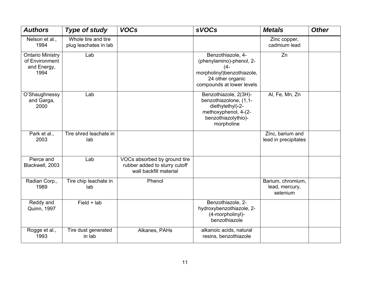| <b>Authors</b>                                                   | <b>Type of study</b>                         | <b>VOCs</b>                                                                             | <b>sVOCs</b>                                                                                                                           | <b>Metals</b>                                   | <b>Other</b> |
|------------------------------------------------------------------|----------------------------------------------|-----------------------------------------------------------------------------------------|----------------------------------------------------------------------------------------------------------------------------------------|-------------------------------------------------|--------------|
| Nelson et al.,<br>1994                                           | Whole tire and tire<br>plug leachates in lab |                                                                                         |                                                                                                                                        | Zinc copper,<br>cadmium lead                    |              |
| <b>Ontario Ministry</b><br>of Environment<br>and Energy,<br>1994 | Lab                                          |                                                                                         | Benzothiazole, 4-<br>(phenylamino)-phenol, 2-<br>$(4 -$<br>morpholinyl)benzothiazole,<br>24 other organic<br>compounds at lower levels | Zn                                              |              |
| O'Shaughnessy<br>and Garga,<br>2000                              | Lab                                          |                                                                                         | Benzothiazole, 2(3H)-<br>benzothiazolone, (1,1-<br>diethylethyl)-2-<br>methoxyphenol, 4-(2-<br>benzothiazolythio)-<br>morpholine       | Al, Fe, Mn, Zn                                  |              |
| Park et al.,<br>2003                                             | Tire shred leachate in<br>lab                |                                                                                         |                                                                                                                                        | Zinc, barium and<br>lead in precipitates        |              |
| Pierce and<br>Blackwell, 2003                                    | Lab                                          | VOCs absorbed by ground tire<br>rubber added to slurry cutoff<br>wall backfill material |                                                                                                                                        |                                                 |              |
| Radian Corp.,<br>1989                                            | Tire chip leachate in<br>lab                 | Phenol                                                                                  |                                                                                                                                        | Barium, chromium,<br>lead, mercury,<br>selenium |              |
| Reddy and<br>Quinn, 1997                                         | $Field + lab$                                |                                                                                         | Benzothiazole, 2-<br>hydroxybenzothiazole, 2-<br>(4-morpholinyl)-<br>benzothiazole                                                     |                                                 |              |
| Rogge et al.,<br>1993                                            | Tire dust generated<br>in lab                | Alkanes, PAHs                                                                           | alkanoic acids, natural<br>resins, benzothiazole                                                                                       |                                                 |              |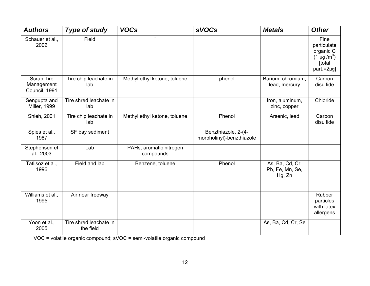| <b>Authors</b>                                   | <b>Type of study</b>                | <b>VOCs</b>                          | <b>sVOCs</b>                                     | <b>Metals</b>                                | <b>Other</b>                                                                     |
|--------------------------------------------------|-------------------------------------|--------------------------------------|--------------------------------------------------|----------------------------------------------|----------------------------------------------------------------------------------|
| Schauer et al.,<br>2002                          | Field                               | $\cdot$                              |                                                  |                                              | Fine<br>particulate<br>organic C<br>$(1 \mu g/m^3)$<br>[total<br>$part.=2\mu$ g] |
| <b>Scrap Tire</b><br>Management<br>Council, 1991 | Tire chip leachate in<br>lab        | Methyl ethyl ketone, toluene         | phenol                                           | Barium, chromium,<br>lead, mercury           | Carbon<br>disulfide                                                              |
| Sengupta and<br><b>Miller, 1999</b>              | Tire shred leachate in<br>lab       |                                      |                                                  | Iron, aluminum,<br>zinc, copper              | Chloride                                                                         |
| Shieh, 2001                                      | Tire chip leachate in<br>lab        | Methyl ethyl ketone, toluene         | Phenol                                           | Arsenic, lead                                | Carbon<br>disulfide                                                              |
| Spies et al.,<br>1987                            | SF bay sediment                     |                                      | Benzthiazole, 2-(4-<br>morpholinyl)-benzthiazole |                                              |                                                                                  |
| Stephensen et<br>al., 2003                       | Lab                                 | PAHs, aromatic nitrogen<br>compounds |                                                  |                                              |                                                                                  |
| Tatlisoz et al.,<br>1996                         | Field and lab                       | Benzene, toluene                     | Phenol                                           | As, Ba, Cd, Cr,<br>Pb, Fe, Mn, Se,<br>Hg, Zn |                                                                                  |
| Williams et al.,<br>1995                         | Air near freeway                    |                                      |                                                  |                                              | Rubber<br>particles<br>with latex<br>allergens                                   |
| Yoon et al.,<br>2005                             | Tire shred leachate in<br>the field |                                      |                                                  | As, Ba, Cd, Cr, Se                           |                                                                                  |

VOC = volatile organic compound; sVOC = semi-volatile organic compound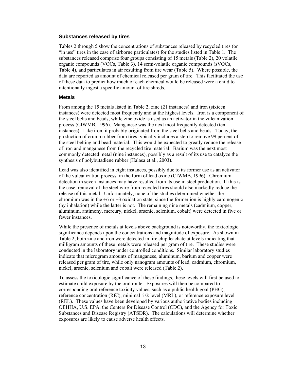#### **Substances released by tires**

Tables 2 through 5 show the concentrations of substances released by recycled tires (or "in use" tires in the case of airborne particulates) for the studies listed in Table 1. The substances released comprise four groups consisting of 15 metals (Table 2), 20 volatile organic compounds (VOCs, Table 3), 14 semi-volatile organic compounds (sVOCs, Table 4), and particulates in air resulting from tire wear (Table 5). Where possible, the data are reported as amount of chemical released per gram of tire. This facilitated the use of these data to predict how much of each chemical would be released were a child to intentionally ingest a specific amount of tire shreds.

#### **Metals**

From among the 15 metals listed in Table 2, zinc (21 instances) and iron (sixteen instances) were detected most frequently and at the highest levels. Iron is a component of the steel belts and beads, while zinc oxide is used as an activator in the vulcanization process (CIWMB, 1996). Manganese was the next most frequently detected (ten instances). Like iron, it probably originated from the steel belts and beads. Today, the production of crumb rubber from tires typically includes a step to remove 99 percent of the steel belting and bead material. This would be expected to greatly reduce the release of iron and manganese from the recycled tire material. Barium was the next most commonly detected metal (nine instances), possibly as a result of its use to catalyze the synthesis of polybutadiene rubber (Halasa et al., 2003).

Lead was also identified in eight instances, possibly due to its former use as an activator of the vulcanization process, in the form of lead oxide (CIWMB, 1996). Chromium detection in seven instances may have resulted from its use in steel production. If this is the case, removal of the steel wire from recycled tires should also markedly reduce the release of this metal. Unfortunately, none of the studies determined whether the chromium was in the  $+6$  or  $+3$  oxidation state, since the former ion is highly carcinogenic (by inhalation) while the latter is not. The remaining nine metals (cadmium, copper, aluminum, antimony, mercury, nickel, arsenic, selenium, cobalt) were detected in five or fewer instances.

While the presence of metals at levels above background is noteworthy, the toxicologic significance depends upon the concentrations and magnitude of exposure. As shown in Table 2, both zinc and iron were detected in tire chip leachate at levels indicating that milligram amounts of these metals were released per gram of tire. These studies were conducted in the laboratory under controlled conditions. Similar laboratory studies indicate that microgram amounts of manganese, aluminum, barium and copper were released per gram of tire, while only nanogram amounts of lead, cadmium, chromium, nickel, arsenic, selenium and cobalt were released (Table 2).

To assess the toxicologic significance of these findings, these levels will first be used to estimate child exposure by the oral route. Exposures will then be compared to corresponding oral reference toxicity values, such as a public health goal (PHG), reference concentration (RfC), minimal risk level (MRL), or reference exposure level (REL). These values have been developed by various authoritative bodies including OEHHA, U.S. EPA, the Centers for Disease Control (CDC), and the Agency for Toxic Substances and Disease Registry (ATSDR). The calculations will determine whether exposures are likely to cause adverse health effects.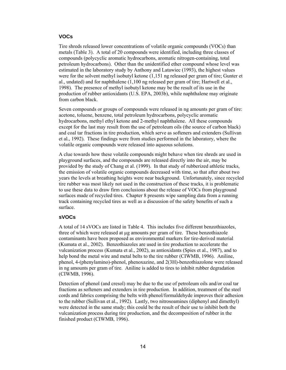#### **VOCs**

Tire shreds released lower concentrations of volatile organic compounds (VOCs) than metals (Table 3). A total of 20 compounds were identified, including three classes of compounds (polycyclic aromatic hydrocarbons, aromatic nitrogen-containing, total petroleum hydrocarbons). Other than the unidentified ether compound whose level was estimated in the laboratory study by Anthony and Latawiec (1993), the highest values were for the solvent methyl isobutyl ketone (1,151 ng released per gram of tire; Gunter et al., undated) and for naphthalene (1,100 ng released per gram of tire; Hartwell et al., 1998). The presence of methyl isobutyl ketone may be the result of its use in the production of rubber antioxidants (U.S. EPA, 2003b), while naphthalene may originate from carbon black.

Seven compounds or groups of compounds were released in ng amounts per gram of tire: acetone, toluene, benzene, total petroleum hydrocarbons, polycyclic aromatic hydrocarbons, methyl ethyl ketone and 2-methyl naphthalene. All these compounds except for the last may result from the use of petroleum oils (the source of carbon black) and coal tar fractions in tire production, which serve as softeners and extenders (Sullivan et al., 1992). These findings were from studies performed in the laboratory, where the volatile organic compounds were released into aqueous solutions.

A clue towards how these volatile compounds might behave when tire shreds are used in playground surfaces, and the compounds are released directly into the air, may be provided by the study of Chang et al. (1999). In that study of rubberized athletic tracks, the emission of volatile organic compounds decreased with time, so that after about two years the levels at breathing heights were near background. Unfortunately, since recycled tire rubber was most likely not used in the construction of these tracks, it is problematic to use these data to draw firm conclusions about the release of VOCs from playground surfaces made of recycled tires. Chapter 8 presents wipe sampling data from a running track containing recycled tires as well as a discussion of the safety benefits of such a surface.

#### **sVOCs**

A total of 14 sVOCs are listed in Table 4. This includes five different benzothiazoles, three of which were released at µg amounts per gram of tire. These benzothiazole contaminants have been proposed as environmental markers for tire-derived material (Kumata et al., 2002). Benzothiazoles are used in tire production to accelerate the vulcanization process (Kumata et al., 2002), as antioxidants (Spies et al., 1987), and to help bond the metal wire and metal belts to the tire rubber (CIWMB, 1996). Aniline, phenol, 4-(phenylamino)-phenol, phenoxazine, and 2(3H)-benzothiazolone were released in ng amounts per gram of tire. Aniline is added to tires to inhibit rubber degradation (CIWMB, 1996).

Detection of phenol (and cresol) may be due to the use of petroleum oils and/or coal tar fractions as softeners and extenders in tire production. In addition, treatment of the steel cords and fabrics comprising the belts with phenol/formaldehyde improves their adhesion to the rubber (Sullivan et al., 1992). Lastly, two nitrosoamines (diphenyl and dimethyl) were detected in the same study; this could be the result of their use to inhibit both the vulcanization process during tire production, and the decomposition of rubber in the finished product (CIWMB, 1996).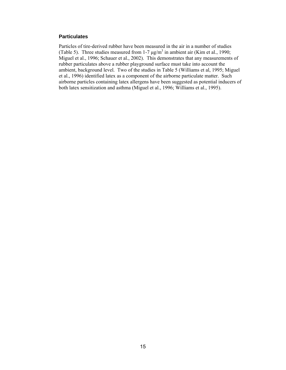#### **Particulates**

Particles of tire-derived rubber have been measured in the air in a number of studies (Table 5). Three studies measured from 1-7  $\mu$ g/m<sup>3</sup> in ambient air (Kim et al., 1990; Miguel et al., 1996; Schauer et al., 2002). This demonstrates that any measurements of rubber particulates above a rubber playground surface must take into account the ambient, background level. Two of the studies in Table 5 (Williams et al, 1995; Miguel et al., 1996) identified latex as a component of the airborne particulate matter. Such airborne particles containing latex allergens have been suggested as potential inducers of both latex sensitization and asthma (Miguel et al., 1996; Williams et al., 1995).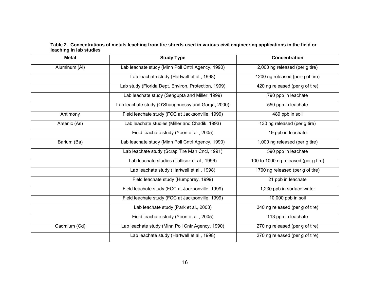**Table 2. Concentrations of metals leaching from tire shreds used in various civil engineering applications in the field or leaching in lab studies** 

<span id="page-22-0"></span>

| <b>Metal</b>  | <b>Study Type</b>                                   | <b>Concentration</b>                         |
|---------------|-----------------------------------------------------|----------------------------------------------|
| Aluminum (Al) | Lab leachate study (Minn Poll Cntrl Agency, 1990)   | 2,000 ng released (per g tire)               |
|               | Lab leachate study (Hartwell et al., 1998)          | 1200 ng released (per g of tire)             |
|               | Lab study (Florida Dept. Environ. Protection, 1999) | $\overline{420}$ ng released (per g of tire) |
|               | Lab leachate study (Sengupta and Miller, 1999)      | 790 ppb in leachate                          |
|               | Lab leachate study (O'Shaughnessy and Garga, 2000)  | 550 ppb in leachate                          |
| Antimony      | Field leachate study (FCC at Jacksonville, 1999)    | 489 ppb in soil                              |
| Arsenic (As)  | Lab leachate studies (Miller and Chadik, 1993)      | 130 ng released (per g tire)                 |
|               | Field leachate study (Yoon et al., 2005)            | 19 ppb in leachate                           |
| Barium (Ba)   | Lab leachate study (Minn Poll Cntrl Agency, 1990)   | 1,000 ng released (per g tire)               |
|               | Lab leachate study (Scrap Tire Man Cncl, 1991)      | 590 ppb in leachate                          |
|               | Lab leachate studies (Tatlisoz et al., 1996)        | 100 to 1000 ng released (per g tire)         |
|               | Lab leachate study (Hartwell et al., 1998)          | 1700 ng released (per g of tire)             |
|               | Field leachate study (Humphrey, 1999)               | 21 ppb in leachate                           |
|               | Field leachate study (FCC at Jacksonville, 1999)    | 1,230 ppb in surface water                   |
|               | Field leachate study (FCC at Jacksonville, 1999)    | 10,000 ppb in soil                           |
|               | Lab leachate study (Park et al., 2003)              | 340 ng released (per g of tire)              |
|               | Field leachate study (Yoon et al., 2005)            | 113 ppb in leachate                          |
| Cadmium (Cd)  | Lab leachate study (Minn Poll Cntr Agency, 1990)    | 270 ng released (per g of tire)              |
|               | Lab leachate study (Hartwell et al., 1998)          | 270 ng released (per g of tire)              |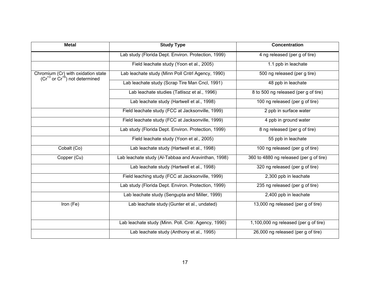| <b>Metal</b>                             | <b>Study Type</b>                                   | <b>Concentration</b>                    |
|------------------------------------------|-----------------------------------------------------|-----------------------------------------|
|                                          | Lab study (Florida Dept. Environ. Protection, 1999) | 4 ng released (per g of tire)           |
|                                          | Field leachate study (Yoon et al., 2005)            | 1.1 ppb in leachate                     |
| Chromium (Cr) with oxidation state       | Lab leachate study (Minn Poll Cntrl Agency, 1990)   | 500 ng released (per g tire)            |
| $(Cr^{+3}$ or $Cr^{+6}$ ) not determined | Lab leachate study (Scrap Tire Man Cncl, 1991)      | 48 ppb in leachate                      |
|                                          | Lab leachate studies (Tatlisoz et al., 1996)        | 8 to 500 ng released (per g of tire)    |
|                                          | Lab leachate study (Hartwell et al., 1998)          | 100 ng released (per g of tire)         |
|                                          | Field leachate study (FCC at Jacksonville, 1999)    | 2 ppb in surface water                  |
|                                          | Field leachate study (FCC at Jacksonville, 1999)    | 4 ppb in ground water                   |
|                                          | Lab study (Florida Dept. Environ. Protection, 1999) | 8 ng released (per g of tire)           |
|                                          | Field leachate study (Yoon et al., 2005)            | 55 ppb in leachate                      |
| Cobalt (Co)                              | Lab leachate study (Hartwell et al., 1998)          | 100 ng released (per g of tire)         |
| Copper (Cu)                              | Lab leachate study (Al-Tabbaa and Aravinthan, 1998) | 360 to 4880 ng released (per g of tire) |
|                                          | Lab leachate study (Hartwell et al., 1998)          | 320 ng released (per g of tire)         |
|                                          | Field leaching study (FCC at Jacksonville, 1999)    | 2,300 ppb in leachate                   |
|                                          | Lab study (Florida Dept. Environ. Protection, 1999) | 235 ng released (per g of tire)         |
|                                          | Lab leachate study (Sengupta and Miller, 1999)      | 2,400 ppb in leachate                   |
| Iron (Fe)                                | Lab leachate study (Gunter et al., undated)         | 13,000 ng released (per g of tire)      |
|                                          |                                                     |                                         |
|                                          | Lab leachate study (Minn. Poll. Cntr. Agency, 1990) | 1,100,000 ng released (per g of tire)   |
|                                          | Lab leachate study (Anthony et al., 1995)           | 26,000 ng released (per g of tire)      |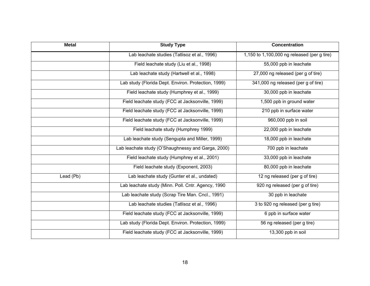| <b>Metal</b> | <b>Study Type</b>                                   | <b>Concentration</b>                        |  |  |
|--------------|-----------------------------------------------------|---------------------------------------------|--|--|
|              | Lab leachate studies (Tatlisoz et al., 1996)        | 1,150 to 1,100,000 ng released (per g tire) |  |  |
|              | Field leachate study (Liu et al., 1998)             | 55,000 ppb in leachate                      |  |  |
|              | Lab leachate study (Hartwell et al., 1998)          | 27,000 ng released (per g of tire)          |  |  |
|              | Lab study (Florida Dept. Environ. Protection, 1999) | 341,000 ng released (per g of tire)         |  |  |
|              | Field leachate study (Humphrey et al., 1999)        | 30,000 ppb in leachate                      |  |  |
|              | Field leachate study (FCC at Jacksonville, 1999)    | 1,500 ppb in ground water                   |  |  |
|              | Field leachate study (FCC at Jacksonville, 1999)    | 210 ppb in surface water                    |  |  |
|              | Field leachate study (FCC at Jacksonville, 1999)    | 960,000 ppb in soil                         |  |  |
|              | Field leachate study (Humphrey 1999)                | 22,000 ppb in leachate                      |  |  |
|              | Lab leachate study (Sengupta and Miller, 1999)      | 18,000 ppb in leachate                      |  |  |
|              | Lab leachate study (O'Shaughnessy and Garga, 2000)  | 700 ppb in leachate                         |  |  |
|              | Field leachate study (Humphrey et al., 2001)        | 33,000 ppb in leachate                      |  |  |
|              | Field leachate study (Exponent, 2003)               | 80,000 ppb in leachate                      |  |  |
| Lead (Pb)    | Lab leachate study (Gunter et al., undated)         | 12 ng released (per g of tire)              |  |  |
|              | Lab leachate study (Minn. Poll. Cntr. Agency, 1990  | 920 ng released (per g of tire)             |  |  |
|              | Lab leachate study (Scrap Tire Man. Cncl., 1991)    | 30 ppb in leachate                          |  |  |
|              | Lab leachate studies (Tatlisoz et al., 1996)        | 3 to 920 ng released (per g tire)           |  |  |
|              | Field leachate study (FCC at Jacksonville, 1999)    | 6 ppb in surface water                      |  |  |
|              | Lab study (Florida Dept. Environ. Protection, 1999) | 56 ng released (per g tire)                 |  |  |
|              | Field leachate study (FCC at Jacksonville, 1999)    | 13,300 ppb in soil                          |  |  |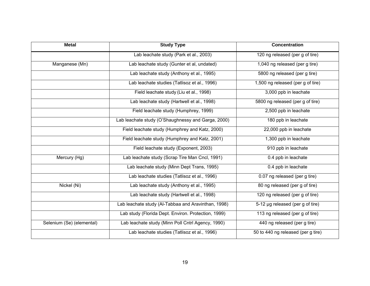| <b>Metal</b>              | <b>Study Type</b>                                   | <b>Concentration</b>               |  |  |
|---------------------------|-----------------------------------------------------|------------------------------------|--|--|
|                           | Lab leachate study (Park et al., 2003)              | 120 ng released (per g of tire)    |  |  |
| Manganese (Mn)            | Lab leachate study (Gunter et al, undated)          | 1,040 ng released (per g tire)     |  |  |
|                           | Lab leachate study (Anthony et al., 1995)           | 5800 ng released (per g tire)      |  |  |
|                           | Lab leachate studies (Tatlisoz et al., 1996)        | 1,500 ng released (per g of tire)  |  |  |
|                           | Field leachate study (Liu et al., 1998)             | 3,000 ppb in leachate              |  |  |
|                           | Lab leachate study (Hartwell et al., 1998)          | 5800 ng released (per g of tire)   |  |  |
|                           | Field leachate study (Humphrey, 1999)               | 2,500 ppb in leachate              |  |  |
|                           | Lab leachate study (O'Shaughnessy and Garga, 2000)  | 180 ppb in leachate                |  |  |
|                           | Field leachate study (Humphrey and Katz, 2000)      | 22,000 ppb in leachate             |  |  |
|                           | Field leachate study (Humphrey and Katz, 2001)      | 1,300 ppb in leachate              |  |  |
|                           | Field leachate study (Exponent, 2003)               | 910 ppb in leachate                |  |  |
| Mercury (Hg)              | Lab leachate study (Scrap Tire Man Cncl, 1991)      | 0.4 ppb in leachate                |  |  |
|                           | Lab leachate study (Minn Dept Trans, 1995)          | 0.4 ppb in leachate                |  |  |
|                           | Lab leachate studies (Tatlisoz et al., 1996)        | 0.07 ng released (per g tire)      |  |  |
| Nickel (Ni)               | Lab leachate study (Anthony et al., 1995)           | 80 ng released (per g of tire)     |  |  |
|                           | Lab leachate study (Hartwell et al., 1998)          | 120 ng released (per g of tire)    |  |  |
|                           | Lab leachate study (Al-Tabbaa and Aravinthan, 1998) | 5-12 µg released (per g of tire)   |  |  |
|                           | Lab study (Florida Dept. Environ. Protection, 1999) | 113 ng released (per g of tire)    |  |  |
| Selenium (Se) (elemental) | Lab leachate study (Minn Poll Cntrl Agency, 1990)   | 440 ng released (per g tire)       |  |  |
|                           | Lab leachate studies (Tatlisoz et al., 1996)        | 50 to 440 ng released (per g tire) |  |  |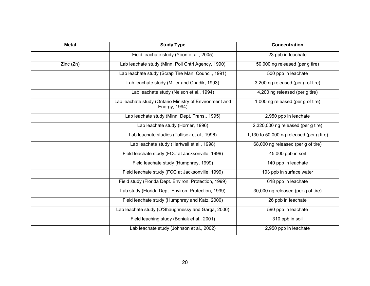| <b>Metal</b> | <b>Study Type</b>                                                        | <b>Concentration</b>                     |  |  |
|--------------|--------------------------------------------------------------------------|------------------------------------------|--|--|
|              | Field leachate study (Yoon et al., 2005)                                 | 23 ppb in leachate                       |  |  |
| Zinc(Zn)     | Lab leachate study (Minn. Poll Cntrl Agency, 1990)                       | 50,000 ng released (per g tire)          |  |  |
|              | Lab leachate study (Scrap Tire Man. Councl., 1991)                       | 500 ppb in leachate                      |  |  |
|              | Lab leachate study (Miller and Chadik, 1993)                             | 3,200 ng released (per g of tire)        |  |  |
|              | Lab leachate study (Nelson et al., 1994)                                 | 4,200 ng released (per g tire)           |  |  |
|              | Lab leachate study (Ontario Ministry of Environment and<br>Energy, 1994) | 1,000 ng released (per g of tire)        |  |  |
|              | Lab leachate study (Minn. Dept. Trans., 1995)                            | 2,950 ppb in leachate                    |  |  |
|              | Lab leachate study (Horner, 1996)                                        | 2,320,000 ng released (per g tire)       |  |  |
|              | Lab leachate studies (Tatlisoz et al., 1996)                             | 1,130 to 50,000 ng released (per g tire) |  |  |
|              | Lab leachate study (Hartwell et al., 1998)                               | 68,000 ng released (per g of tire)       |  |  |
|              | Field leachate study (FCC at Jacksonville, 1999)                         | 45,000 ppb in soil                       |  |  |
|              | Field leachate study (Humphrey, 1999)                                    | 140 ppb in leachate                      |  |  |
|              | Field leachate study (FCC at Jacksonville, 1999)                         | 103 ppb in surface water                 |  |  |
|              | Field study (Florida Dept. Environ. Protection, 1999)                    | 618 ppb in leachate                      |  |  |
|              | Lab study (Florida Dept. Environ. Protection, 1999)                      | 30,000 ng released (per g of tire)       |  |  |
|              | Field leachate study (Humphrey and Katz, 2000)                           | 26 ppb in leachate                       |  |  |
|              | Lab leachate study (O'Shaughnessy and Garga, 2000)                       | 590 ppb in leachate                      |  |  |
|              | Field leaching study (Boniak et al., 2001)                               | 310 ppb in soil                          |  |  |
|              | Lab leachate study (Johnson et al., 2002)                                | $2,950$ ppb in leachate                  |  |  |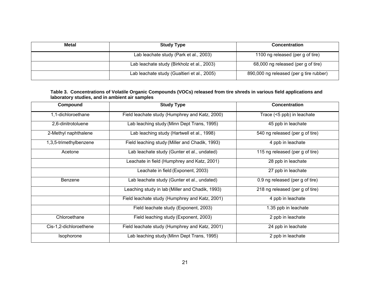| Metal | <b>Study Type</b>                           | <b>Concentration</b><br>1100 ng released (per g of tire) |  |  |
|-------|---------------------------------------------|----------------------------------------------------------|--|--|
|       | Lab leachate study (Park et al., 2003)      |                                                          |  |  |
|       | Lab leachate study (Birkholz et al., 2003)  | 68,000 ng released (per g of tire)                       |  |  |
|       | Lab leachate study (Gualtieri et al., 2005) | 890,000 ng released (per g tire rubber)                  |  |  |

#### **Table 3. Concentrations of Volatile Organic Compounds (VOCs) released from tire shreds in various field applications and laboratory studies, and in ambient air samples**

<span id="page-27-0"></span>

| Compound               | <b>Study Type</b>                                          | <b>Concentration</b>            |  |  |
|------------------------|------------------------------------------------------------|---------------------------------|--|--|
| 1,1-dichloroethane     | Field leachate study (Humphrey and Katz, 2000)             | Trace (<5 ppb) in leachate      |  |  |
| 2,6-dinitrotoluene     | Lab leaching study (Minn Dept Trans, 1995)                 | 45 ppb in leachate              |  |  |
| 2-Methyl naphthalene   | Lab leaching study (Hartwell et al., 1998)                 | 540 ng released (per g of tire) |  |  |
| 1,3,5-trimethylbenzene | Field leaching study (Miller and Chadik, 1993)             | 4 ppb in leachate               |  |  |
| Acetone                | Lab leachate study (Gunter et al., undated)                | 115 ng released (per g of tire) |  |  |
|                        | Leachate in field (Humphrey and Katz, 2001)                | 28 ppb in leachate              |  |  |
|                        | Leachate in field (Exponent, 2003)                         | 27 ppb in leachate              |  |  |
| Benzene                | Lab leachate study (Gunter et al., undated)                | 0.9 ng released (per g of tire) |  |  |
|                        | Leaching study in lab (Miller and Chadik, 1993)            | 218 ng released (per g of tire) |  |  |
|                        | Field leachate study (Humphrey and Katz, 2001)             | 4 ppb in leachate               |  |  |
|                        | Field leachate study (Exponent, 2003)                      | 1.35 ppb in leachate            |  |  |
| Chloroethane           | 2 ppb in leachate<br>Field leaching study (Exponent, 2003) |                                 |  |  |
| Cis-1,2-dichloroethene | Field leachate study (Humphrey and Katz, 2001)             | 24 ppb in leachate              |  |  |
| Isophorone             | Lab leaching study (Minn Dept Trans, 1995)                 | 2 ppb in leachate               |  |  |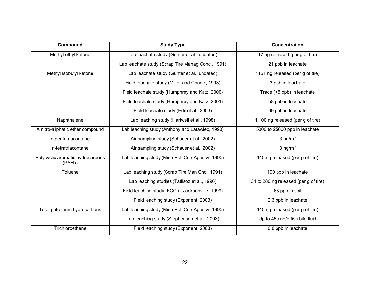| Compound                                   | <b>Study Type</b>                                 | <b>Concentration</b>                  |  |  |
|--------------------------------------------|---------------------------------------------------|---------------------------------------|--|--|
| Methyl ethyl ketone                        | Lab leachate study (Gunter et al., undated)       | 17 ng released (per g of tire)        |  |  |
|                                            | Lab leachate study (Scrap Tire Manag Concl, 1991) | 21 ppb in leachate                    |  |  |
| Methyl isobutyl ketone                     | Lab leachate study (Gunter et al., undated)       | 1151 ng released (per g of tire)      |  |  |
|                                            | Field leachate study (Miller and Chadik, 1993)    | 3 ppb in leachate                     |  |  |
|                                            | Field leachate study (Humphrey and Katz, 2000)    | Trace (<5 ppb) in leachate            |  |  |
|                                            | Field leachate study (Humphrey and Katz, 2001)    | 58 ppb in leachate                    |  |  |
|                                            | Field leachate study (Edil et al., 2003)          | 69 ppb in leachate                    |  |  |
| Naphthalene                                | Lab leaching study (Hartwell et al., 1998)        | 1,100 ng released (per g of tire)     |  |  |
| A nitro-aliphatic ether compound           | Lab leaching study (Anthony and Latawiec, 1993)   | 5000 to 25000 ppb in leachate         |  |  |
| n-pentatriacontane                         | Air sampling study (Schauer et al., 2002)         | $3$ ng/m <sup>3</sup>                 |  |  |
| n-tetratriacontane                         | Air sampling study (Schauer et al., 2002)         | 3 ng/ $m3$                            |  |  |
| Polycyclic aromatic hydrocarbons<br>(PAHs) | Lab leaching study (Minn Poll Cntr Agency, 1990)  | 140 ng released (per g of tire)       |  |  |
| Toluene                                    | Lab leaching study (Scrap Tire Man Cncl, 1991)    | 190 ppb in leachate                   |  |  |
|                                            | Lab leaching studies (Tatlisoz et al., 1996)      | 34 to 280 ng released (per g of tire) |  |  |
|                                            | Field leaching study (FCC at Jacksonville, 1999)  | 63 ppb in soil                        |  |  |
|                                            | Field leaching study (Exponent, 2003)             | 2.6 ppb in leachate                   |  |  |
| Total petroleum hydrocarbons               | Lab leaching study (Minn Poll Cntr Agency, 1990)  | 140 ng released (per g of tire)       |  |  |
|                                            | Lab leaching study (Stephensen et al., 2003)      | Up to 450 ng/g fish bile fluid        |  |  |
| Trichloroethene                            | Field leaching study (Exponent, 2003)             | 0.8 ppb in leachate                   |  |  |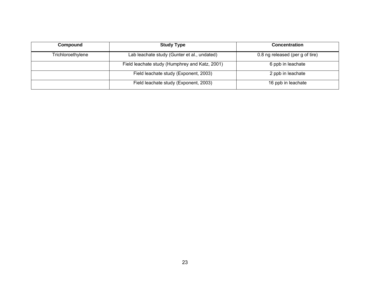| Compound          | <b>Study Type</b>                              | <b>Concentration</b>            |  |  |
|-------------------|------------------------------------------------|---------------------------------|--|--|
| Trichloroethylene | Lab leachate study (Gunter et al., undated)    | 0.8 ng released (per g of tire) |  |  |
|                   | Field leachate study (Humphrey and Katz, 2001) | 6 ppb in leachate               |  |  |
|                   | Field leachate study (Exponent, 2003)          | 2 ppb in leachate               |  |  |
|                   | Field leachate study (Exponent, 2003)          | 16 ppb in leachate              |  |  |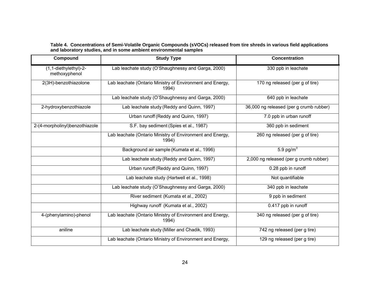#### **Table 4. Concentrations of Semi-Volatile Organic Compounds (sVOCs) released from tire shreds in various field applications and laboratory studies, and in some ambient environmental samples**

<span id="page-30-0"></span>

| Compound                               | <b>Study Type</b>                                                  | <b>Concentration</b>                    |  |
|----------------------------------------|--------------------------------------------------------------------|-----------------------------------------|--|
| (1,1-diethylethyl)-2-<br>methoxyphenol | Lab leachate study (O'Shaughnessy and Garga, 2000)                 | 330 ppb in leachate                     |  |
| 2(3H)-benzothiazolone                  | Lab leachate (Ontario Ministry of Environment and Energy,<br>1994) | 170 ng released (per g of tire)         |  |
|                                        | Lab leachate study (O'Shaughnessy and Garga, 2000)                 | 640 ppb in leachate                     |  |
| 2-hydroxybenzothiazole                 | Lab leachate study (Reddy and Quinn, 1997)                         | 36,000 ng released (per g crumb rubber) |  |
|                                        | Urban runoff (Reddy and Quinn, 1997)                               | 7.0 ppb in urban runoff                 |  |
| 2-(4-morpholinyl)benzothiazole         | S.F. bay sediment (Spies et al., 1987)                             | 360 ppb in sediment                     |  |
|                                        | Lab leachate (Ontario Ministry of Environment and Energy,<br>1994) | 260 ng released (per g of tire)         |  |
|                                        | Background air sample (Kumata et al., 1996)                        | $5.9$ pg/m <sup>3</sup>                 |  |
|                                        | Lab leachate study (Reddy and Quinn, 1997)                         | 2,000 ng released (per g crumb rubber)  |  |
|                                        | Urban runoff (Reddy and Quinn, 1997)                               | 0.28 ppb in runoff                      |  |
|                                        | Lab leachate study (Hartwell et al., 1998)                         | Not quantifiable                        |  |
|                                        | Lab leachate study (O'Shaughnessy and Garga, 2000)                 | 340 ppb in leachate                     |  |
|                                        | River sediment (Kumata et al., 2002)                               | 9 ppb in sediment                       |  |
|                                        | Highway runoff (Kumata et al., 2002)                               | 0.417 ppb in runoff                     |  |
| 4-(phenylamino)-phenol                 | Lab leachate (Ontario Ministry of Environment and Energy,<br>1994) | 340 ng released (per g of tire)         |  |
| aniline                                | Lab leachate study (Miller and Chadik, 1993)                       | 742 ng released (per g tire)            |  |
|                                        | Lab leachate (Ontario Ministry of Environment and Energy,          | 129 ng released (per g tire)            |  |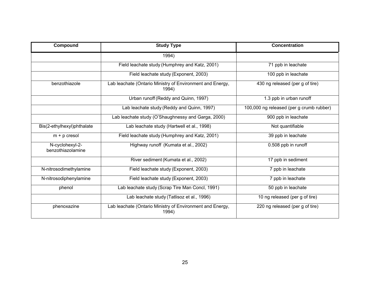| Compound                             | <b>Study Type</b>                                                  | <b>Concentration</b>                     |  |  |
|--------------------------------------|--------------------------------------------------------------------|------------------------------------------|--|--|
|                                      | 1994)                                                              |                                          |  |  |
|                                      | Field leachate study (Humphrey and Katz, 2001)                     | 71 ppb in leachate                       |  |  |
|                                      | Field leachate study (Exponent, 2003)                              | 100 ppb in leachate                      |  |  |
| benzothiazole                        | Lab leachate (Ontario Ministry of Environment and Energy,<br>1994) | 430 ng released (per g of tire)          |  |  |
|                                      | Urban runoff (Reddy and Quinn, 1997)                               | 1.3 ppb in urban runoff                  |  |  |
|                                      | Lab leachate study (Reddy and Quinn, 1997)                         | 100,000 ng released (per g crumb rubber) |  |  |
|                                      | Lab leachate study (O'Shaughnessy and Garga, 2000)                 | 900 ppb in leachate                      |  |  |
| Bis(2-ethylhexyl)phthalate           | Lab leachate study (Hartwell et al., 1998)                         | Not quantifiable                         |  |  |
| $m + p$ cresol                       | Field leachate study (Humphrey and Katz, 2001)                     | 39 ppb in leachate                       |  |  |
| N-cyclohexyl-2-<br>benzothiazolamine | Highway runoff (Kumata et al., 2002)                               | 0.508 ppb in runoff                      |  |  |
|                                      | River sediment (Kumata et al., 2002)                               | 17 ppb in sediment                       |  |  |
| N-nitrosodimethylamine               | Field leachate study (Exponent, 2003)                              | 7 ppb in leachate                        |  |  |
| N-nitrosodiphenylamine               | Field leachate study (Exponent, 2003)                              | 7 ppb in leachate                        |  |  |
| phenol                               | Lab leachate study (Scrap Tire Man Concl, 1991)                    | 50 ppb in leachate                       |  |  |
|                                      | Lab leachate study (Tatlisoz et al., 1996)                         | 10 ng released (per g of tire)           |  |  |
| phenoxazine                          | Lab leachate (Ontario Ministry of Environment and Energy,<br>1994) | 220 ng released (per g of tire)          |  |  |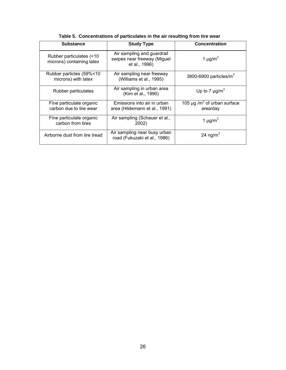<span id="page-32-0"></span>

| <b>Substance</b>                                      | <b>Study Type</b>                                                                                      | <b>Concentration</b>                        |
|-------------------------------------------------------|--------------------------------------------------------------------------------------------------------|---------------------------------------------|
| Rubber particulates (<10<br>microns) containing latex | Air sampling and guardrail<br>1 $\mu$ g/m <sup>3</sup><br>swipes near freeway (Miguel<br>et al., 1996) |                                             |
| Rubber particles (59%<10<br>microns) with latex       | Air sampling near freeway<br>(Williams et al., 1995)                                                   | 3800-6900 particles/ $m^3$                  |
| Rubber particulates                                   | Air sampling in urban area<br>(Kim et al., 1990)                                                       | Up to 7 $\mu$ g/m <sup>3</sup>              |
| Fine particulate organic<br>carbon due to tire wear   | Emissions into air in urban<br>area (Hildemann et al., 1991)                                           | 105 µg / $m^2$ of urban surface<br>area/day |
| Fine particulate organic<br>carbon from tires         | Air sampling (Schauer et al.,<br>2002)                                                                 | 1 $\mu$ g/m <sup>3</sup>                    |
| Airborne dust from tire tread                         | Air sampling near busy urban<br>road (Fukuzaki et al., 1986)                                           | 24 ng/m <sup>3</sup>                        |

|  | Table 5. Concentrations of particulates in the air resulting from tire wear |  |  |  |  |  |  |
|--|-----------------------------------------------------------------------------|--|--|--|--|--|--|
|--|-----------------------------------------------------------------------------|--|--|--|--|--|--|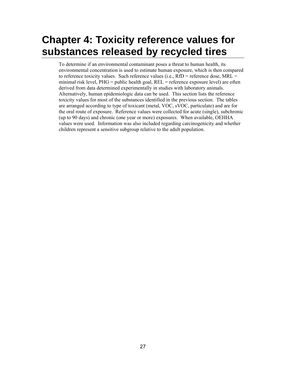## <span id="page-33-0"></span>**Chapter 4: Toxicity reference values for substances released by recycled tires**

To determine if an environmental contaminant poses a threat to human health, its environmental concentration is used to estimate human exposure, which is then compared to reference toxicity values. Such reference values (i.e.,  $RfD$  = reference dose,  $MRL$  = minimal risk level,  $PHG =$  public health goal,  $REL =$  reference exposure level) are often derived from data determined experimentally in studies with laboratory animals. Alternatively, human epidemiologic data can be used. This section lists the reference toxicity values for most of the substances identified in the previous section. The tables are arranged according to type of toxicant (metal, VOC, sVOC, particulate) and are for the oral route of exposure. Reference values were collected for acute (single), subchronic (up to 90 days) and chronic (one year or more) exposures. When available, OEHHA values were used. Information was also included regarding carcinogenicity and whether children represent a sensitive subgroup relative to the adult population.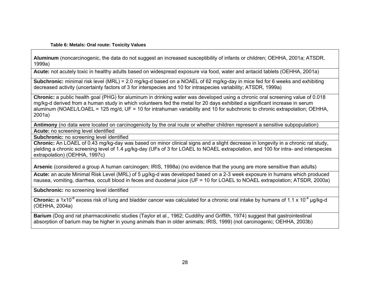#### **Table 6: Metals: Oral route: Toxicity Values**

**Aluminum** (noncarcinogenic, the data do not suggest an increased susceptibility of infants or children; OEHHA, 2001a; ATSDR, 1999a)

**Acute:** not acutely toxic in healthy adults based on widespread exposure via food, water and antacid tablets (OEHHA, 2001a)

**Subchronic:** minimal risk level (MRL) = 2.0 mg/kg-d based on a NOAEL of 62 mg/kg-day in mice fed for 6 weeks and exhibiting decreased activity (uncertainty factors of 3 for interspecies and 10 for intraspecies variability; ATSDR, 1999a)

**Chronic:** a public health goal (PHG) for aluminum in drinking water was developed using a chronic oral screening value of 0.018 mg/kg-d derived from a human study in which volunteers fed the metal for 20 days exhibited a significant increase in serum aluminum (NOAEL/LOAEL = 125 mg/d, UF = 10 for intrahuman variability and 10 for subchronic to chronic extrapolation: OEHHA, 2001a)

**Antimony** (no data were located on carcinogenicity by the oral route or whether children represent a sensitive subpopulation)

**Acute:** no screening level identified

**Subchronic:** no screening level identified

**Chronic:** An LOAEL of 0.43 mg/kg-day was based on minor clinical signs and a slight decrease in longevity in a chronic rat study, yielding a chronic screening level of 1.4 µg/kg-day (UFs of 3 for LOAEL to NOAEL extrapolation, and 100 for intra- and interspecies extrapolation) (OEHHA, 1997c)

**Arsenic** (considered a group A human carcinogen; IRIS, 1998a) (no evidence that the young are more sensitive than adults)

**Acute:** an acute Minimal Risk Level (MRL) of 5 μg/kg-d was developed based on a 2-3 week exposure in humans which produced nausea, vomiting, diarrhea, occult blood in feces and duodenal juice (UF = 10 for LOAEL to NOAEL extrapolation; ATSDR, 2000a)

**Subchronic:** no screening level identified

**Chronic:** a 1x10<sup>-6</sup> excess risk of lung and bladder cancer was calculated for a chronic oral intake by humans of 1.1 x 10<sup>-4</sup> µg/kg-d (OEHHA, 2004a)

<span id="page-34-0"></span>**Barium** (Dog and rat pharmacokinetic studies (Taylor et al., 1962; Cuddihy and Griffith, 1974) suggest that gastrointestinal absorption of barium may be higher in young animals than in older animals; IRIS, 1999) (not carcinogenic; OEHHA, 2003b)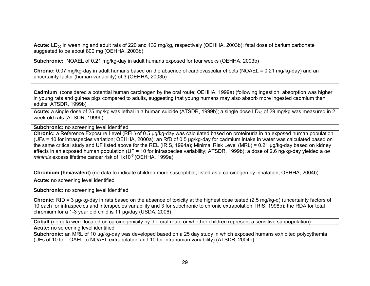Acute: LD<sub>50</sub> in weanling and adult rats of 220 and 132 mg/kg, respectively (OEHHA, 2003b); fatal dose of barium carbonate suggested to be about 800 mg (OEHHA, 2003b)

**Subchronic:** NOAEL of 0.21 mg/kg-day in adult humans exposed for four weeks (OEHHA, 2003b)

**Chronic:** 0.07 mg/kg-day in adult humans based on the absence of cardiovascular effects (NOAEL = 0.21 mg/kg-day) and an uncertainty factor (human variability) of 3 (OEHHA, 2003b)

**Cadmium** (considered a potential human carcinogen by the oral route; OEHHA, 1999a) (following ingestion, absorption was higher in young rats and guinea pigs compared to adults, suggesting that young humans may also absorb more ingested cadmium than adults; ATSDR, 1999b)

Acute: a single dose of 25 mg/kg was lethal in a human suicide (ATSDR, 1999b); a single dose LD<sub>50</sub> of 29 mg/kg was measured in 2 week old rats (ATSDR, 1999b)

**Subchronic:** no screening level identified

**Chronic:** a Reference Exposure Level (REL) of 0.5 μg/kg-day was calculated based on proteinuria in an exposed human population (UFs = 10 for intraspecies variation; OEHHA, 2000a); an RfD of 0.5 μg/kg-day for cadmium intake in water was calculated based on the same critical study and UF listed above for the REL (IRIS, 1994a); Minimal Risk Level (MRL) = 0.21 μg/kg-day based on kidney effects in an exposed human population (UF = 10 for intraspecies variability; ATSDR, 1999b); a dose of 2.6 ng/kg-day yielded a *de minimis* excess lifetime cancer risk of 1x10<sup>-6</sup> (OEHHA, 1999a)

**Chromium (hexavalent)** (no data to indicate children more susceptible; listed as a carcinogen by inhalation, OEHHA, 2004b)

**Acute:** no screening level identified

**Subchronic:** no screening level identified

**Chronic:** RfD = 3 μg/kg-day in rats based on the absence of toxicity at the highest dose tested (2.5 mg/kg-d) (uncertainty factors of 10 each for intraspecies and interspecies variability and 3 for subchronic to chronic extrapolation; IRIS, 1998b); the RDA for total chromium for a 1-3 year old child is 11 µg/day (USDA, 2006)

**Cobalt** (no data were located on carcinogenicity by the oral route or whether children represent a sensitive subpopulation) **Acute:** no screening level identified

**Subchronic:** an MRL of 10 µg/kg-day was developed based on a 25 day study in which exposed humans exhibited polycythemia (UFs of 10 for LOAEL to NOAEL extrapolation and 10 for intrahuman variability) (ATSDR, 2004b)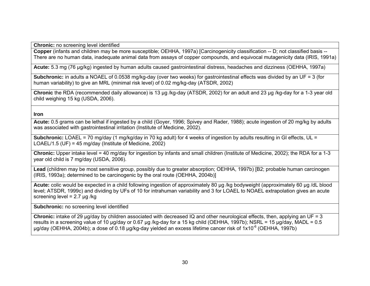**Chronic:** no screening level identified

**Copper** (infants and children may be more susceptible; OEHHA, 1997a) [Carcinogenicity classification -- D; not classified basis -- There are no human data, inadequate animal data from assays of copper compounds, and equivocal mutagenicity data (IRIS, 1991a)

**Acute:** 5.3 mg (76 µg/kg) ingested by human adults caused gastrointestinal distress, headaches and dizziness (OEHHA, 1997a)

**Subchronic:** in adults a NOAEL of 0.0538 mg/kg-day (over two weeks) for gastrointestinal effects was divided by an UF = 3 (for human variability) to give an MRL (minimal risk level) of 0.02 mg/kg-day (ATSDR, 2002)

**Chronic** the RDA (recommended daily allowance) is 13 µg /kg-day (ATSDR, 2002) for an adult and 23 µg /kg-day for a 1-3 year old child weighing 15 kg (USDA, 2006).

**Iron** 

**Acute:** 0.5 grams can be lethal if ingested by a child (Goyer, 1996; Spivey and Rader, 1988); acute ingestion of 20 mg/kg by adults was associated with gastrointestinal irritation (Institute of Medicine, 2002).

**Subchronic:** LOAEL = 70 mg/day (1 mg/kg/day in 70 kg adult) for 4 weeks of ingestion by adults resulting in GI effects, UL = LOAEL/1.5 (UF) = 45 mg/day (Institute of Medicine, 2002)

**Chronic:** Upper intake level = 40 mg/day for ingestion by infants and small children (Institute of Medicine, 2002); the RDA for a 1-3 year old child is 7 mg/day (USDA, 2006).

**Lead** (children may be most sensitive group, possibly due to greater absorption; OEHHA, 1997b) [B2; probable human carcinogen (IRIS, 1993a); determined to be carcinogenic by the oral route (OEHHA, 2004b)]

**Acute:** colic would be expected in a child following ingestion of approximately 80 µg /kg bodyweight (approximately 60 µg /dL blood level; ATSDR, 1999c) and dividing by UFs of 10 for intrahuman variability and 3 for LOAEL to NOAEL extrapolation gives an acute screening level =  $2.7 \mu$ g /kg

**Subchronic:** no screening level identified

**Chronic:** intake of 29 μg/day by children associated with decreased IQ and other neurological effects, then, applying an UF = 3 results in a screening value of 10 μg/day or 0.67 µg /kg-day for a 15 kg child (OEHHA, 1997b); NSRL = 15 μg/day, MADL = 0.5 μg/day (OEHHA, 2004b); a dose of 0.18 µg/kg-day yielded an excess lifetime cancer risk of 1x10-6 (OEHHA, 1997b)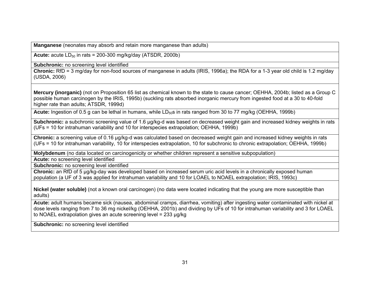**Manganese** (neonates may absorb and retain more manganese than adults)

**Acute:**  $acuteLD_{50}$  in rats = 200-300 mg/kg/day (ATSDR, 2000b)

**Subchronic:** no screening level identified

**Chronic:** RfD = 3 mg/day for non-food sources of manganese in adults (IRIS, 1996a); the RDA for a 1-3 year old child is 1.2 mg/day (USDA, 2006)

**Mercury (inorganic)** (not on Proposition 65 list as chemical known to the state to cause cancer; OEHHA, 2004b; listed as a Group C possible human carcinogen by the IRIS, 1995b) (suckling rats absorbed inorganic mercury from ingested food at a 30 to 40-fold higher rate than adults; ATSDR, 1999d)

Acute: Ingestion of 0.5 g can be lethal in humans, while LD<sub>50</sub>s in rats ranged from 30 to 77 mg/kg (OEHHA, 1999b)

**Subchronic:** a subchronic screening value of 1.6 μg/kg-d was based on decreased weight gain and increased kidney weights in rats (UFs = 10 for intrahuman variability and 10 for interspecies extrapolation; OEHHA, 1999b)

**Chronic:** a screening value of 0.16 μg/kg-d was calculated based on decreased weight gain and increased kidney weights in rats (UFs = 10 for intrahuman variability, 10 for interspecies extrapolation, 10 for subchronic to chronic extrapolation; OEHHA, 1999b)

**Molybdenum** (no data located on carcinogenicity or whether children represent a sensitive subpopulation)

**Acute:** no screening level identified

**Subchronic:** no screening level identified

**Chronic:** an RfD of 5 µg/kg-day was developed based on increased serum uric acid levels in a chronically exposed human population (a UF of 3 was applied for intrahuman variability and 10 for LOAEL to NOAEL extrapolation; IRIS, 1993c)

**Nickel (water soluble)** (not a known oral carcinogen) (no data were located indicating that the young are more susceptible than adults)

**Acute:** adult humans became sick (nausea, abdominal cramps, diarrhea, vomiting) after ingesting water contaminated with nickel at dose levels ranging from 7 to 36 mg nickel/kg (OEHHA, 2001b) and dividing by UFs of 10 for intrahuman variability and 3 for LOAEL to NOAEL extrapolation gives an acute screening level = 233 µg/kg

**Subchronic:** no screening level identified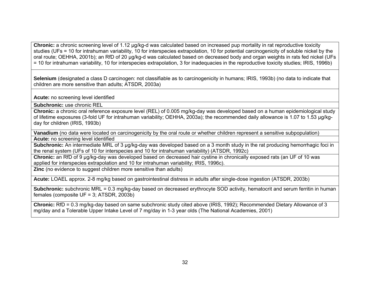**Chronic:** a chronic screening level of 1.12 μg/kg-d was calculated based on increased pup mortality in rat reproductive toxicity studies (UFs = 10 for intrahuman variability, 10 for interspecies extrapolation, 10 for potential carcinogenicity of soluble nickel by the oral route; OEHHA, 2001b); an RfD of 20 µg/kg-d was calculated based on decreased body and organ weights in rats fed nickel (UFs = 10 for intrahuman variability, 10 for interspecies extrapolation, 3 for inadequacies in the reproductive toxicity studies; IRIS, 1996b)

**Selenium** (designated a class D carcinogen: not classifiable as to carcinogenicity in humans; IRIS, 1993b) (no data to indicate that children are more sensitive than adults; ATSDR, 2003a)

**Acute:** no screening level identified

**Subchronic:** use chronic REL

**Chronic:** a chronic oral reference exposure level (REL) of 0.005 mg/kg-day was developed based on a human epidemiological study of lifetime exposures (3-fold UF for intrahuman variability; OEHHA, 2003a); the recommended daily allowance is 1.07 to 1.53 µg/kgday for children (IRIS, 1993b)

**Vanadium** (no data were located on carcinogenicity by the oral route or whether children represent a sensitive subpopulation)

**Acute:** no screening level identified

**Subchronic:** An intermediate MRL of 3 µg/kg-day was developed based on a 3 month study in the rat producing hemorrhagic foci in the renal system (UFs of 10 for interspecies and 10 for intrahuman variability) (ATSDR, 1992c)

**Chronic:** an RfD of 9 µg/kg-day was developed based on decreased hair cystine in chronically exposed rats (an UF of 10 was applied for interspecies extrapolation and 10 for intrahuman variability; IRIS, 1996c).

**Zinc** (no evidence to suggest children more sensitive than adults)

**Acute:** LOAEL approx. 2-8 mg/kg based on gastrointestinal distress in adults after single-dose ingestion (ATSDR, 2003b)

**Subchronic:** subchronic MRL = 0.3 mg/kg-day based on decreased erythrocyte SOD activity, hematocrit and serum ferritin in human females (composite UF = 3; ATSDR, 2003b)

**Chronic:** RfD = 0.3 mg/kg-day based on same subchronic study cited above (IRIS, 1992); Recommended Dietary Allowance of 3 mg/day and a Tolerable Upper Intake Level of 7 mg/day in 1-3 year olds (The National Academies, 2001)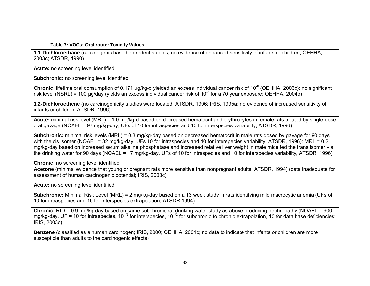#### **Table 7: VOCs: Oral route: Toxicity Values**

**1,1-Dichloroethane** (carcinogenic based on rodent studies, no evidence of enhanced sensitivity of infants or children; OEHHA, 2003c; ATSDR, 1990)

**Acute:** no screening level identified

**Subchronic:** no screening level identified

**Chronic:** lifetime oral consumption of 0.171 μg/kg-d yielded an excess individual cancer risk of 10<sup>-6</sup> (OEHHA, 2003c); no significant risk level (NSRL) = 100 µg/day (yields an excess individual cancer risk of 10<sup>-5</sup> for a 70 year exposure; OEHHA, 2004b)

**1,2-Dichloroethene** (no carcinogenicity studies were located, ATSDR, 1996; IRIS, 1995a; no evidence of increased sensitivity of infants or children, ATSDR, 1996)

**Acute:** minimal risk level (MRL) = 1.0 mg/kg-d based on decreased hematocrit and erythrocytes in female rats treated by single-dose oral gavage (NOAEL = 97 mg/kg-day, UFs of 10 for intraspecies and 10 for interspecies variability, ATSDR, 1996)

**Subchronic:** minimal risk levels (MRL) = 0.3 mg/kg-day based on decreased hematocrit in male rats dosed by gavage for 90 days with the cis isomer (NOAEL = 32 mg/kg-day, UFs 10 for intraspecies and 10 for interspecies variability, ATSDR, 1996); MRL = 0.2 mg/kg-day based on increased serum alkaline phosphatase and increased relative liver weight in male mice fed the trans isomer via the drinking water for 90 days (NOAEL = 17 mg/kg-day, UFs of 10 for intraspecies and 10 for interspecies variability, ATSDR, 1996)

**Chronic:** no screening level identified

**Acetone** (minimal evidence that young or pregnant rats more sensitive than nonpregnant adults; ATSDR, 1994) (data inadequate for assessment of human carcinogenic potential; IRIS, 2003c)

**Acute:** no screening level identified

**Subchronic:** Minimal Risk Level (MRL) = 2 mg/kg-day based on a 13 week study in rats identifying mild macrocytic anemia (UFs of 10 for intraspecies and 10 for interspecies extrapolation; ATSDR 1994)

**Chronic:** RfD = 0.9 mg/kg-day based on same subchronic rat drinking water study as above producing nephropathy (NOAEL = 900 mg/kg-day, UF = 10 for intraspecies,  $10^{1/2}$  for interspecies,  $10^{1/2}$  for subchronic to chronic extrapolation, 10 for data base deficiencies; IRIS, 2003c)

**Benzene** (classified as a human carcinogen; IRIS, 2000; OEHHA, 2001c; no data to indicate that infants or children are more susceptible than adults to the carcinogenic effects)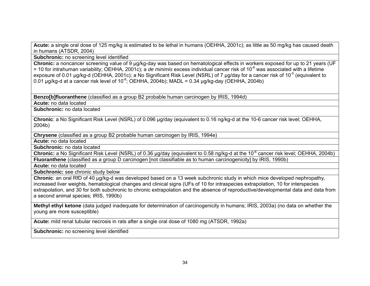**Acute:** a single oral dose of 125 mg/kg is estimated to be lethal in humans (OEHHA, 2001c); as little as 50 mg/kg has caused death in humans (ATSDR, 2004)

**Subchronic:** no screening level identified

**Chronic:** a noncancer screening value of 9 µg/kg-day was based on hematological effects in workers exposed for up to 21 years (UF = 10 for intrahuman variability; OEHHA, 2001c); a *de minimis* excess individual cancer risk of 10-6 was associated with a lifetime exposure of 0.01 μg/kg-d (OEHHA, 2001c); a No Significant Risk Level (NSRL) of 7 μg/day for a cancer risk of 10<sup>-5</sup> (equivalent to 0.01 µg/kg-d at a cancer risk level of  $10^{-6}$ ; OEHHA, 2004b); MADL = 0.34 µg/kg-day (OEHHA, 2004b)

**Benzo[b]fluoranthene** (classified as a group B2 probable human carcinogen by IRIS, 1994d)

**Acute:** no data located

**Subchronic:** no data located

**Chronic**: a No Significant Risk Level (NSRL) of 0.096 µg/day (equivalent to 0.16 ng/kg-d at the 10-6 cancer risk level; OEHHA, 2004b)

**Chrysene** (classified as a group B2 probable human carcinogen by IRIS, 1994e)

**Acute:** no data located

**Subchronic:** no data located

**Chronic:** a No Significant Risk Level (NSRL) of 0.36 µg/day (equivalent to 0.58 ng/kg-d at the 10<sup>-6</sup> cancer risk level; OEHHA, 2004b) **Fluoranthene** (classified as a group D carcinogen [not classifiable as to human carcinogenicity] by IRIS, 1990b)

**Acute:** no data located

**Subchronic:** see chronic study below

**Chronic**: an oral RfD of 40 µg/kg-d was developed based on a 13 week subchronic study in which mice developed nephropathy, increased liver weights, hematological changes and clinical signs (UFs of 10 for intraspecies extrapolation, 10 for interspecies extrapolation, and 30 for both subchronic to chronic extrapolation and the absence of reproductive/developmental data and data from a second animal species; IRIS, 1990b)

**Methyl ethyl ketone** (data judged inadequate for determination of carcinogenicity in humans; IRIS, 2003a) (no data on whether the young are more susceptible)

**Acute:** mild renal tubular necrosis in rats after a single oral dose of 1080 mg (ATSDR, 1992a)

**Subchronic:** no screening level identified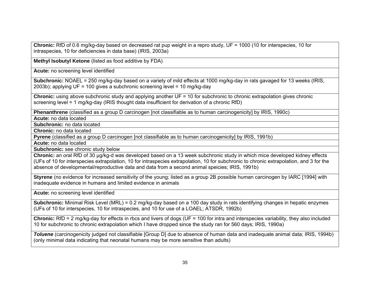**Chronic:** RfD of 0.6 mg/kg-day based on decreased rat pup weight in a repro study, UF = 1000 (10 for interspecies, 10 for intraspecies, 10 for deficiencies in data base) (IRIS, 2003a)

**Methyl Isobutyl Ketone** (listed as food additive by FDA)

**Acute:** no screening level identified

**Subchronic:** NOAEL = 250 mg/kg-day based on a variety of mild effects at 1000 mg/kg-day in rats gavaged for 13 weeks (IRIS, 2003b); applying UF = 100 gives a subchronic screening level = 10 mg/kg-day

**Chronic:** using above subchronic study and applying another UF = 10 for subchronic to chronic extrapolation gives chronic screening level = 1 mg/kg-day (IRIS thought data insufficient for derivation of a chronic RfD)

**Phenanthrene** (classified as a group D carcinogen [not classifiable as to human carcinogenicity] by IRIS, 1990c)

**Acute:** no data located

**Subchronic:** no data located

**Chronic:** no data located

**Pyrene** (classified as a group D carcinogen [not classifiable as to human carcinogenicity] by IRIS, 1991b)

**Acute:** no data located

**Subchronic:** see chronic study below

**Chronic:** an oral RfD of 30 µg/kg-d was developed based on a 13 week subchronic study in which mice developed kidney effects (UFs of 10 for interspecies extrapolation, 10 for intraspecies extrapolation, 10 for subchronic to chronic extrapolation, and 3 for the absence of developmental/reproductive data and data from a second animal speicies; IRIS, 1991b)

**Styrene** (no evidence for increased sensitivity of the young; listed as a group 2B possible human carcinogen by IARC [1994] with inadequate evidence in humans and limited evidence in animals

**Acute:** no screening level identified

**Subchronic:** Minimal Risk Level (MRL) = 0.2 mg/kg-day based on a 100 day study in rats identifying changes in hepatic enzymes (UFs of 10 for interspecies, 10 for intraspecies, and 10 for use of a LOAEL; ATSDR, 1992b)

**Chronic:** RfD = 2 mg/kg-day for effects in rbcs and livers of dogs (UF = 100 for intra and interspecies variability, they also included 10 for subchronic to chronic extrapolation which I have dropped since the study ran for 560 days; IRIS, 1990a)

*Toluene* (carcinogenicity judged not classifiable [Group D] due to absence of human data and inadequate animal data; IRIS, 1994b) (only minimal data indicating that neonatal humans may be more sensitive than adults)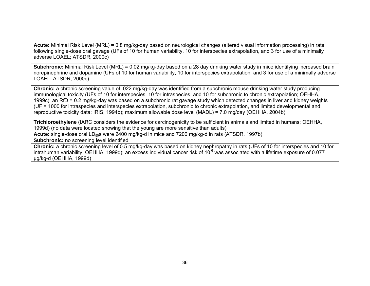**Acute:** Minimal Risk Level (MRL) = 0.8 mg/kg-day based on neurological changes (altered visual information processing) in rats following single-dose oral gavage (UFs of 10 for human variability, 10 for interspecies extrapolation, and 3 for use of a minimally adverse LOAEL; ATSDR, 2000c)

**Subchronic:** Minimal Risk Level (MRL) = 0.02 mg/kg-day based on a 28 day drinking water study in mice identifying increased brain norepinephrine and dopamine (UFs of 10 for human variability, 10 for interspecies extrapolation, and 3 for use of a minimally adverse LOAEL; ATSDR, 2000c)

**Chronic:** a chronic screening value of .022 mg/kg-day was identified from a subchronic mouse drinking water study producing immunological toxicity (UFs of 10 for interspecies, 10 for intraspecies, and 10 for subchronic to chronic extrapolation; OEHHA, 1999c); an RfD = 0.2 mg/kg-day was based on a subchronic rat gavage study which detected changes in liver and kidney weights (UF = 1000 for intraspecies and interspecies extrapolation, subchronic to chronic extrapolation, and limited developmental and reproductive toxicity data; IRIS, 1994b); maximum allowable dose level (MADL) = 7.0 mg/day (OEHHA, 2004b)

**Trichloroethylene** (IARC considers the evidence for carcinogenicity to be sufficient in animals and limited in humans; OEHHA, 1999d) (no data were located showing that the young are more sensitive than adults)

**Acute:** single-dose oral LD<sub>50</sub>s were 2400 mg/kg-d in mice and 7200 mg/kg-d in rats (ATSDR, 1997b)

**Subchronic:** no screening level identified

**Chronic:** a chronic screening level of 0.5 mg/kg-day was based on kidney nephropathy in rats (UFs of 10 for interspecies and 10 for intrahuman variability; OEHHA, 1999d); an excess individual cancer risk of 10<sup>-6</sup> was associated with a lifetime exposure of 0.077 μg/kg-d (OEHHA, 1999d)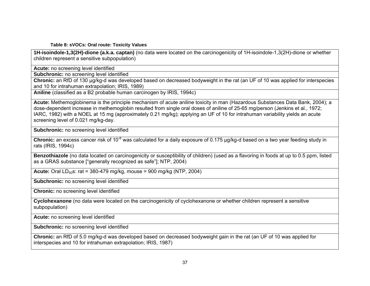**Table 8: sVOCs: Oral route: Toxicity Values** 

**1H-isoindole-1,3(2H)-dione (a.k.a. captan)** (no data were located on the carcinogenicity of 1H-isoindole-1,3(2H)-dione or whether children represent a sensitive subpopulation)

**Acute:** no screening level identified

**Subchronic:** no screening level identified

**Chronic:** an RfD of 130 ug/kg-d was developed based on decreased bodyweight in the rat (an UF of 10 was applied for interspecies and 10 for intrahuman extrapolation; IRIS, 1989)

**Aniline** (classified as a B2 probable human carcinogen by IRIS, 1994c)

**Acute:** Methemoglobinema is the principle mechanism of acute aniline toxicity in man (Hazardous Substances Data Bank, 2004); a dose-dependent increase in methemoglobin resulted from single oral doses of aniline of 25-65 mg/person (Jenkins et al., 1972; IARC, 1982) with a NOEL at 15 mg (approximately 0.21 mg/kg); applying an UF of 10 for intrahuman variability yields an acute screening level of 0.021 mg/kg-day.

**Subchronic:** no screening level identified

**Chronic:** an excess cancer risk of 10<sup>-6</sup> was calculated for a daily exposure of 0.175 μg/kg-d based on a two year feeding study in rats (IRIS, 1994c)

**Benzothiazole** (no data located on carcinogenicity or susceptibility of children) (used as a flavoring in foods at up to 0.5 ppm, listed as a GRAS substance ["generally recognized as safe"]; NTP, 2004)

**Acute:** Oral LD<sub>50</sub>s: rat = 380-479 mg/kg, mouse = 900 mg/kg (NTP, 2004)

**Subchronic:** no screening level identified

**Chronic:** no screening level identified

**Cyclohexanone** (no data were located on the carcinogenicity of cyclohexanone or whether children represent a sensitive subpopulation)

**Acute:** no screening level identified

**Subchronic:** no screening level identified

**Chronic:** an RfD of 5.0 mg/kg-d was developed based on decreased bodyweight gain in the rat (an UF of 10 was applied for interspecies and 10 for intrahuman extrapolation; IRIS, 1987)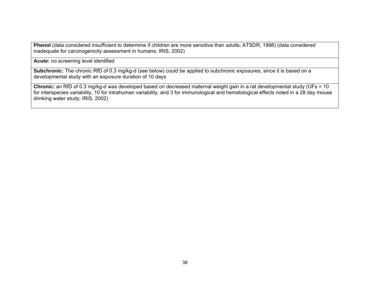**Phenol** (data considered insufficient to determine if children are more sensitive than adults; ATSDR, 1998) (data considered inadequate for carcinogenicity assessment in humans; IRIS, 2002)

**Acute:** no screening level identified

**Subchronic:** The chronic RfD of 0.3 mg/kg-d (see below) could be applied to subchronic exposures, since it is based on a developmental study with an exposure duration of 10 days

Chronic: an RfD of 0.3 mg/kg-d was developed based on decreased maternal weight gain in a rat developmental study (UFs = 10 for interspecies variability, 10 for intrahuman variability, and 3 for immunological and hematological effects noted in a 28 day mouse drinking water study; IRIS, 2002)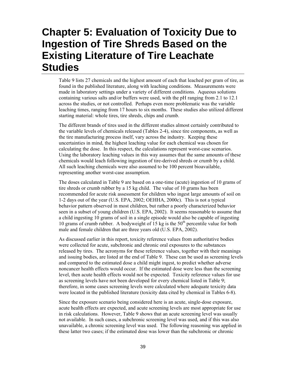# **Chapter 5: Evaluation of Toxicity Due to Ingestion of Tire Shreds Based on the Existing Literature of Tire Leachate Studies**

Table 9 lists 27 chemicals and the highest amount of each that leached per gram of tire, as found in the published literature, along with leaching conditions. Measurements were made in laboratory settings under a variety of different conditions. Aqueous solutions containing various salts and/or buffers were used, with the pH ranging from 2.1 to 12.1 across the studies, or not controlled. Perhaps even more problematic was the variable leaching times, ranging from 17 hours to six months. These studies also utilized different starting material: whole tires, tire shreds, chips and crumb.

The different brands of tires used in the different studies almost certainly contributed to the variable levels of chemicals released (Tables 2-4), since tire components, as well as the tire manufacturing process itself, vary across the industry. Keeping these uncertainties in mind, the highest leaching value for each chemical was chosen for calculating the dose. In this respect, the calculations represent worst-case scenarios. Using the laboratory leaching values in this way assumes that the same amounts of these chemicals would leach following ingestion of tire-derived shreds or crumb by a child. All such leaching chemicals were also assumed to be 100 percent bioavailable, representing another worst-case assumption.

The doses calculated in Table 9 are based on a one-time (acute) ingestion of 10 grams of tire shreds or crumb rubber by a 15 kg child. The value of 10 grams has been recommended for acute risk assessment for children who ingest large amounts of soil on 1-2 days out of the year (U.S. EPA, 2002; OEHHA, 2000c). This is not a typical behavior pattern observed in most children, but rather a poorly characterized behavior seen in a subset of young children (U.S. EPA, 2002). It seems reasonable to assume that a child ingesting 10 grams of soil in a single episode would also be capable of ingesting 10 grams of crumb rubber. A bodyweight of 15 kg is the  $50<sup>th</sup>$  percentile value for both male and female children that are three years old (U.S. EPA, 2002).

As discussed earlier in this report, toxicity reference values from authoritative bodies were collected for acute, subchronic and chronic oral exposures to the substances released by tires. The acronyms for these reference values, together with their meanings and issuing bodies, are listed at the end of Table 9. These can be used as screening levels and compared to the estimated dose a child might ingest, to predict whether adverse noncancer health effects would occur. If the estimated dose were less than the screening level, then acute health effects would not be expected. Toxicity reference values for use as screening levels have not been developed for every chemical listed in Table 9; therefore, in some cases screening levels were calculated where adequate toxicity data were located in the published literature (toxicity data cited by chemical in Tables 6-8).

Since the exposure scenario being considered here is an acute, single-dose exposure, acute health effects are expected, and acute screening levels are most appropriate for use in risk calculations. However, Table 9 shows that an acute screening level was usually not available. In such cases, a subchronic screening level was used, and if this was also unavailable, a chronic screening level was used. The following reasoning was applied in these latter two cases; if the estimated dose was lower than the subchronic or chronic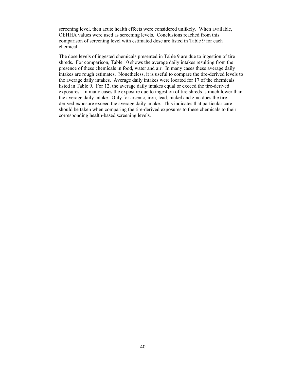screening level, then acute health effects were considered unlikely. When available, OEHHA values were used as screening levels. Conclusions reached from this comparison of screening level with estimated dose are listed in Table 9 for each chemical.

The dose levels of ingested chemicals presented in Table 9 are due to ingestion of tire shreds. For comparison, Table 10 shows the average daily intakes resulting from the presence of these chemicals in food, water and air. In many cases these average daily intakes are rough estimates. Nonetheless, it is useful to compare the tire-derived levels to the average daily intakes. Average daily intakes were located for 17 of the chemicals listed in Table 9. For 12, the average daily intakes equal or exceed the tire-derived exposures. In many cases the exposure due to ingestion of tire shreds is much lower than the average daily intake. Only for arsenic, iron, lead, nickel and zinc does the tirederived exposure exceed the average daily intake. This indicates that particular care should be taken when comparing the tire-derived exposures to these chemicals to their corresponding health-based screening levels.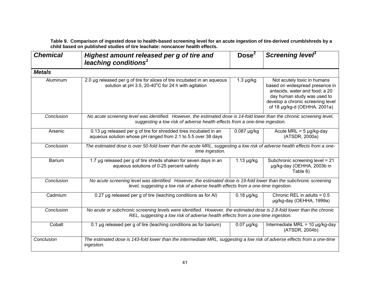**Table 9. Comparison of ingested dose to health-based screening level for an acute ingestion of tire-derived crumb/shreds by a child based on published studies of tire leachate: noncancer health effects.** 

| <b>Chemical</b> | Highest amount released per g of tire and<br>leaching conditions <sup>1</sup>                                                                                                                              | Dose <sup>2</sup> | Screening level <sup>3</sup>                                                                                                                                                                         |  |
|-----------------|------------------------------------------------------------------------------------------------------------------------------------------------------------------------------------------------------------|-------------------|------------------------------------------------------------------------------------------------------------------------------------------------------------------------------------------------------|--|
| <b>Metals</b>   |                                                                                                                                                                                                            |                   |                                                                                                                                                                                                      |  |
| Aluminum        | 2.0 µg released per g of tire for slices of tire incubated in an aqueous<br>solution at pH 3.5, 20-40°C for 24 h with agitation                                                                            | $1.3 \mu g/kg$    | Not acutely toxic in humans<br>based on widespread presence in<br>antacids, water and food; a 20<br>day human study was used to<br>develop a chronic screening level<br>of 18 µg/kg-d (OEHHA, 2001a) |  |
| Conclusion      | No acute screening level was identified. However, the estimated dose is 14-fold lower than the chronic screening level,<br>suggesting a low risk of adverse health effects from a one-time ingestion.      |                   |                                                                                                                                                                                                      |  |
| Arsenic         | 0.13 µg released per g of tire for shredded tires incubated in an<br>$0.087$ µg/kg<br>aqueous solution whose pH ranged from 2.1 to 5.5 over 38 days                                                        |                   | Acute MRL = $5 \mu g/kg$ -day<br>(ATSDR, 2000a)                                                                                                                                                      |  |
| Conclusion      | The estimated dose is over 50-fold lower than the acute MRL, suggesting a low risk of adverse health effects from a one-<br>time ingestion.                                                                |                   |                                                                                                                                                                                                      |  |
| <b>Barium</b>   | 1.7 µg released per g of tire shreds shaken for seven days in an<br>aqueous solutions of 0-25 percent salinity                                                                                             | $1.13 \mu g/kg$   | Subchronic screening level = 21<br>µg/kg-day (OEHHA, 2003b in<br>Table 6)                                                                                                                            |  |
| Conclusion      | No acute screening level was identified. However, the estimated dose is 19-fold lower than the subchronic screening<br>level, suggesting a low risk of adverse health effects from a one-time ingestion.   |                   |                                                                                                                                                                                                      |  |
| Cadmium         | 0.27 µg released per g of tire (leaching conditions as for AI)                                                                                                                                             | $0.18 \mu g/kg$   | Chronic REL in adults = $0.5$<br>µg/kg-day (OEHHA, 1999a)                                                                                                                                            |  |
| Conclusion      | No acute or subchronic screening levels were identified. However, the estimated dose is 2.8-fold lower than the chronic<br>REL, suggesting a low risk of adverse health effects from a one-time ingestion. |                   |                                                                                                                                                                                                      |  |
| Cobalt          | 0.1 µg released per g of tire (leaching conditions as for barium)                                                                                                                                          | $0.07$ µg/kg      | Intermediate MRL = $10 \mu g/kg$ -day<br>(ATSDR, 2004b)                                                                                                                                              |  |
| Conclusion      | The estimated dose is 143-fold lower than the intermediate MRL, suggesting a low risk of adverse effects from a one-time<br>ingestion.                                                                     |                   |                                                                                                                                                                                                      |  |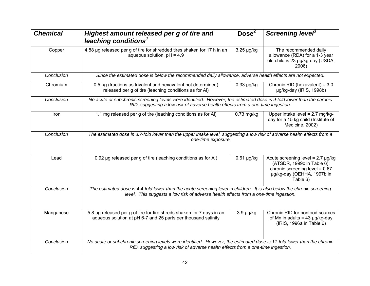| <b>Chemical</b> | Highest amount released per g of tire and<br>leaching conditions <sup>1</sup>                                                                                                                                   | Dose <sup>2</sup> | Screening level <sup>3</sup>                                                                                                                     |
|-----------------|-----------------------------------------------------------------------------------------------------------------------------------------------------------------------------------------------------------------|-------------------|--------------------------------------------------------------------------------------------------------------------------------------------------|
| Copper          | 4.88 µg released per g of tire for shredded tires shaken for 17 h in an<br>aqueous solution, $pH = 4.9$                                                                                                         | 3.25 µg/kg        | The recommended daily<br>allowance (RDA) for a 1-3 year<br>old child is 23 µg/kg-day (USDA,<br>2006)                                             |
| Conclusion      | Since the estimated dose is below the recommended daily allowance, adverse health effects are not expected.                                                                                                     |                   |                                                                                                                                                  |
| Chromium        | 0.5 µg (fractions as trivalent and hexavalent not determined)<br>released per g of tire (leaching conditions as for AI)                                                                                         | $0.33 \mu g/kg$   | Chronic RfD (hexavalent) = 3.0<br>µg/kg-day (IRIS, 1998b)                                                                                        |
| Conclusion      | No acute or subchronic screening levels were identified. However, the estimated dose is 9-fold lower than the chronic<br>RfD, suggesting a low risk of adverse health effects from a one-time ingestion.        |                   |                                                                                                                                                  |
| Iron            | 1.1 mg released per g of tire (leaching conditions as for AI)                                                                                                                                                   | $0.73$ mg/kg      | Upper intake level = $2.7 \text{ mg/kg}$ -<br>day for a 15 kg child (Institute of<br>Medicine, 2002)                                             |
| Conclusion      | The estimated dose is 3.7-fold lower than the upper intake level, suggesting a low risk of adverse health effects from a<br>one-time exposure                                                                   |                   |                                                                                                                                                  |
| Lead            | 0.92 µg released per g of tire (leaching conditions as for AI)                                                                                                                                                  | $0.61$ µg/kg      | Acute screening level = $2.7 \mu g/kg$<br>(ATSDR, 1999c in Table 6);<br>chronic screening level = 0.67<br>µg/kg-day (OEHHA, 1997b in<br>Table 6) |
| Conclusion      | The estimated dose is 4.4-fold lower than the acute screening level in children. It is also below the chronic screening<br>level. This suggests a low risk of adverse health effects from a one-time ingestion. |                   |                                                                                                                                                  |
| Manganese       | 5.8 µg released per g of tire for tire shreds shaken for 7 days in an<br>aqueous solution at pH 6-7 and 25 parts per thousand salinity                                                                          | $3.9 \mu g/kg$    | Chronic RfD for nonfood sources<br>of Mn in adults = $43 \mu g/kg$ -day<br>(IRIS, 1996a in Table 6)                                              |
| Conclusion      | No acute or subchronic screening levels were identified. However, the estimated dose is 11-fold lower than the chronic<br>RfD, suggesting a low risk of adverse health effects from a one-time ingestion.       |                   |                                                                                                                                                  |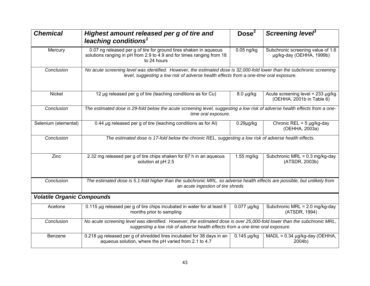| <b>Chemical</b>                   | Highest amount released per g of tire and<br>leaching conditions <sup>1</sup>                                                                                                                                    | Dose <sup>2</sup>        | Screening level <sup>3</sup>                                        |  |
|-----------------------------------|------------------------------------------------------------------------------------------------------------------------------------------------------------------------------------------------------------------|--------------------------|---------------------------------------------------------------------|--|
| Mercury                           | 0.07 ng released per g of tire for ground tires shaken in aqueous<br>solutions ranging in pH from 2.9 to 4.9 and for times ranging from 18<br>to 24 hours                                                        | $0.05$ ng/kg             | Subchronic screening value of 1.6<br>µg/kg-day (OEHHA, 1999b)       |  |
| Conclusion                        | No acute screening level was identified. However, the estimated dose is 32,000-fold lower than the subchronic screening<br>level, suggesting a low risk of adverse health effects from a one-time oral exposure. |                          |                                                                     |  |
| Nickel                            | 12 µg released per g of tire (leaching conditions as for Cu)                                                                                                                                                     | $8.0 \mu g/kg$           | Acute screening level = $233 \mu g/kg$<br>(OEHHA, 2001b in Table 6) |  |
| Conclusion                        | The estimated dose is 29-fold below the acute screening level, suggesting a low risk of adverse health effects from a one-<br>time oral exposure.                                                                |                          |                                                                     |  |
| Selenium (elemental)              | 0.44 µg released per g of tire (leaching conditions as for AI)                                                                                                                                                   | $0.29$ µg/kg             | Chronic REL = $5 \mu g/kg$ -day<br>(OEHHA, 2003a)                   |  |
| Conclusion                        | The estimated dose is 17-fold below the chronic REL, suggesting a low risk of adverse health effects.                                                                                                            |                          |                                                                     |  |
| Zinc                              | 2.32 mg released per g of tire chips shaken for 67 h in an aqueous<br>solution at pH 2.5                                                                                                                         | $1.55$ mg/kg             | Subchronic MRL = $0.3$ mg/kg-day<br>(ATSDR, 2003b)                  |  |
| Conclusion                        | The estimated dose is 5.1-fold higher than the subchronic MRL, so adverse health effects are possible, but unlikely from<br>an acute ingestion of tire shreds                                                    |                          |                                                                     |  |
| <b>Volatile Organic Compounds</b> |                                                                                                                                                                                                                  |                          |                                                                     |  |
| Acetone                           | 0.115 µg released per g of tire chips incubated in water for at least 6<br>months prior to sampling                                                                                                              | $\overline{0.077}$ µg/kg | Subchronic $MRL = 2.0$ mg/kg-day<br>(ATSDR, 1994)                   |  |
| Conclusion                        | No acute screening level was identified. However, the estimated dose is over 25,000-fold lower than the subchronic MRL,<br>suggesting a low risk of adverse health effects from a one-time oral exposure.        |                          |                                                                     |  |
| Benzene                           | 0.218 µg released per g of shredded tires incubated for 38 days in an<br>aqueous solution, where the pH varied from 2.1 to 4.7                                                                                   | $0.145$ µg/kg            | MADL = $0.34 \mu g/kg$ -day (OEHHA,<br>2004b)                       |  |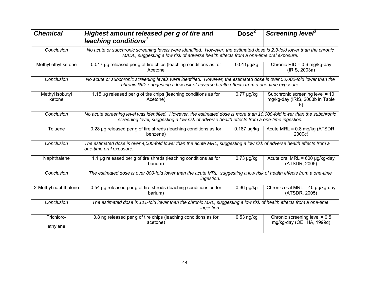| <b>Chemical</b>           | Highest amount released per g of tire and<br>leaching conditions <sup>1</sup>                                                                                                                                          | Dose <sup>2</sup> | Screening level <sup>3</sup>                                             |  |
|---------------------------|------------------------------------------------------------------------------------------------------------------------------------------------------------------------------------------------------------------------|-------------------|--------------------------------------------------------------------------|--|
| Conclusion                | No acute or subchronic screening levels were identified. However, the estimated dose is 2.3-fold lower than the chronic<br>MADL, suggesting a low risk of adverse health effects from a one-time oral exposure.        |                   |                                                                          |  |
| Methyl ethyl ketone       | 0.017 µg released per g of tire chips (leaching conditions as for<br>Acetone                                                                                                                                           | $0.011$ µg/kg     | Chronic $RfD = 0.6$ mg/kg-day<br>(IRIS, 2003a)                           |  |
| Conclusion                | No acute or subchronic screening levels were identified. However, the estimated dose is over 50,000-fold lower than the<br>chronic RfD, suggesting a low risk of adverse health effects from a one-time exposure.      |                   |                                                                          |  |
| Methyl isobutyl<br>ketone | 1.15 µg released per g of tire chips (leaching conditions as for<br>Acetone)                                                                                                                                           | $0.77 \mu g/kg$   | Subchronic screening level = 10<br>mg/kg-day (IRIS, 2003b in Table<br>6) |  |
| Conclusion                | No acute screening level was identified. However, the estimated dose is more than 10,000-fold lower than the subchronic<br>screening level, suggesting a low risk of adverse health effects from a one-time ingestion. |                   |                                                                          |  |
| Toluene                   | 0.28 µg released per g of tire shreds (leaching conditions as for<br>benzene)                                                                                                                                          | $0.187$ µg/kg     | Acute $MRL = 0.8$ mg/kg (ATSDR,<br>2000c)                                |  |
| Conclusion                | The estimated dose is over 4,000-fold lower than the acute MRL, suggesting a low risk of adverse health effects from a<br>one-time oral exposure.                                                                      |                   |                                                                          |  |
| Naphthalene               | 1.1 µg released per g of tire shreds (leaching conditions as for<br>$0.73 \mu g/kg$<br>barium)                                                                                                                         |                   | Acute oral MRL = $600 \mu g/kg$ -day<br>(ATSDR, 2005)                    |  |
| Conclusion                | The estimated dose is over 800-fold lower than the acute MRL, suggesting a low risk of health effects from a one-time<br>ingestion.                                                                                    |                   |                                                                          |  |
| 2-Methyl naphthalene      | 0.54 µg released per g of tire shreds (leaching conditions as for<br>$0.36 \mu g/kg$<br>barium)                                                                                                                        |                   | Chronic oral MRL = 40 $\mu$ g/kg-day<br>(ATSDR, 2005)                    |  |
| Conclusion                | The estimated dose is 111-fold lower than the chronic MRL, suggesting a low risk of health effects from a one-time<br>ingestion.                                                                                       |                   |                                                                          |  |
| Trichloro-<br>ethylene    | 0.8 ng released per g of tire chips (leaching conditions as for<br>acetone)                                                                                                                                            | $0.53$ ng/kg      | Chronic screening level = 0.5<br>mg/kg-day (OEHHA, 1999d)                |  |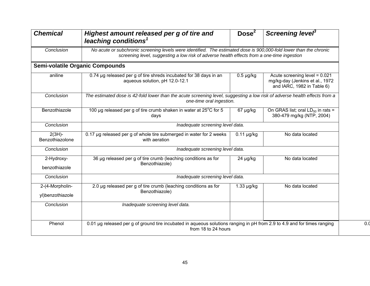| <b>Chemical</b>                     | Highest amount released per g of tire and<br>leaching conditions <sup>1</sup>                                                                                                                                    | Dose <sup>2</sup> | Screening level <sup>3</sup>                                                                     |  |
|-------------------------------------|------------------------------------------------------------------------------------------------------------------------------------------------------------------------------------------------------------------|-------------------|--------------------------------------------------------------------------------------------------|--|
| Conclusion                          | No acute or subchronic screening levels were identified. The estimated dose is 900,000-fold lower than the chronic<br>screening level, suggesting a low risk of adverse health effects from a one-time ingestion |                   |                                                                                                  |  |
|                                     | <b>Semi-volatile Organic Compounds</b>                                                                                                                                                                           |                   |                                                                                                  |  |
| aniline                             | 0.74 µg released per g of tire shreds incubated for 38 days in an<br>aqueous solution, pH 12.0-12.1                                                                                                              | $0.5 \mu g/kg$    | Acute screening level = $0.021$<br>mg/kg-day (Jenkins et al., 1972<br>and IARC, 1982 in Table 6) |  |
| Conclusion                          | The estimated dose is 42-fold lower than the acute screening level, suggesting a low risk of adverse health effects from a<br>one-time oral ingestion.                                                           |                   |                                                                                                  |  |
| Benzothiazole                       | 100 µg released per g of tire crumb shaken in water at 25°C for 5<br>67 µg/kg<br>days                                                                                                                            |                   | On GRAS list; oral $LD_{50}$ in rats =<br>380-479 mg/kg (NTP, 2004)                              |  |
| Conclusion                          | Inadequate screening level data.                                                                                                                                                                                 |                   |                                                                                                  |  |
| $2(3H)$ -<br>Benzothiazolone        | 0.17 µg released per g of whole tire submerged in water for 2 weeks<br>$0.11$ µg/kg<br>with aeration                                                                                                             |                   | No data located                                                                                  |  |
| Conclusion                          | Inadequate screening level data.                                                                                                                                                                                 |                   |                                                                                                  |  |
| 2-Hydroxy-<br>benzothiazole         | 36 µg released per g of tire crumb (leaching conditions as for<br>$24 \mu g/kg$<br>Benzothiazole)                                                                                                                |                   | No data located                                                                                  |  |
| Conclusion                          | Inadequate screening level data.                                                                                                                                                                                 |                   |                                                                                                  |  |
| 2-(4-Morpholin-<br>yl)benzothiazole | 2.0 µg released per g of tire crumb (leaching conditions as for<br>Benzothiazole)                                                                                                                                | 1.33 µg/kg        | No data located                                                                                  |  |
| Conclusion                          | Inadequate screening level data.                                                                                                                                                                                 |                   |                                                                                                  |  |
| Phenol                              | 0.01 µg released per g of ground tire incubated in aqueous solutions ranging in pH from 2.9 to 4.9 and for times ranging<br>from 18 to 24 hours                                                                  |                   |                                                                                                  |  |

 $0.0$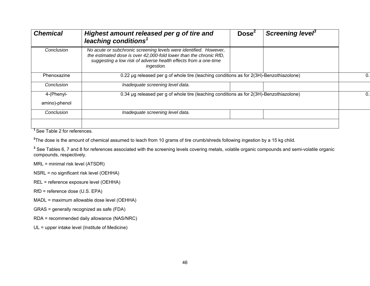| <b>Chemical</b>             | Highest amount released per g of tire and<br>leaching conditions <sup>1</sup>                                                                                                                                            | Dose <sup>2</sup> | Screening level <sup>3</sup> |  |
|-----------------------------|--------------------------------------------------------------------------------------------------------------------------------------------------------------------------------------------------------------------------|-------------------|------------------------------|--|
| Conclusion                  | No acute or subchronic screening levels were identified. However,<br>the estimated dose is over 42,000-fold lower than the chronic RfD,<br>suggesting a low risk of adverse health effects from a one-time<br>ingestion. |                   |                              |  |
| Phenoxazine                 | 0.22 µg released per g of whole tire (leaching conditions as for 2(3H)-Benzothiazolone)                                                                                                                                  |                   |                              |  |
| Conclusion                  | Inadequate screening level data.                                                                                                                                                                                         |                   |                              |  |
| 4-(Phenyl-<br>amino)-phenol | 0.34 µg released per g of whole tire (leaching conditions as for 2(3H)-Benzothiazolone)                                                                                                                                  |                   |                              |  |
| Conclusion                  | Inadequate screening level data.                                                                                                                                                                                         |                   |                              |  |

**<sup>1</sup>**See Table 2 for references.

<sup>2</sup>The dose is the amount of chemical assumed to leach from 10 grams of tire crumb/shreds following ingestion by a 15 kg child.

<sup>3</sup> See Tables 6, 7 and 8 for references associated with the screening levels covering metals, volatile organic compounds and semi-volatile organic compounds, respectively.

MRL = minimal risk level (ATSDR)

NSRL = no significant risk level (OEHHA)

REL = reference exposure level (OEHHA)

RfD = reference dose (U.S. EPA)

MADL = maximum allowable dose level (OEHHA)

GRAS = generally recognized as safe (FDA)

RDA = recommended daily allowance (NAS/NRC)

UL = upper intake level (Institute of Medicine)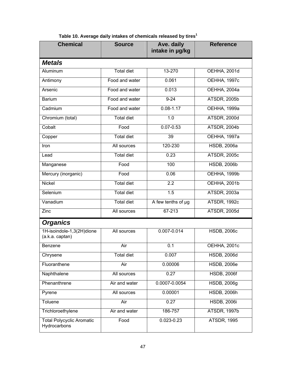| <b>Chemical</b>                                  | <b>Source</b>     | Ave. daily<br>intake in µg/kg | <b>Reference</b>    |
|--------------------------------------------------|-------------------|-------------------------------|---------------------|
| <b>Metals</b>                                    |                   |                               |                     |
| <b>Total diet</b><br>Aluminum                    |                   | 13-270                        | <b>OEHHA, 2001d</b> |
| Antimony                                         | Food and water    | 0.061                         | <b>OEHHA, 1997c</b> |
| Arsenic                                          | Food and water    | 0.013                         | OEHHA, 2004a        |
| <b>Barium</b>                                    | Food and water    | $9 - 24$                      | <b>ATSDR, 2005b</b> |
| Cadmium                                          | Food and water    | $0.08 - 1.17$                 | <b>OEHHA, 1999a</b> |
| Chromium (total)                                 | <b>Total diet</b> | 1.0                           | ATSDR, 2000d        |
| Cobalt                                           | Food              | $0.07 - 0.53$                 | <b>ATSDR, 2004b</b> |
| Copper                                           | <b>Total diet</b> | 39                            | <b>OEHHA, 1997a</b> |
| Iron                                             | All sources       | 120-230                       | <b>HSDB, 2006a</b>  |
| Lead                                             | <b>Total diet</b> | 0.23                          | <b>ATSDR, 2005c</b> |
| Manganese                                        | Food              | 100                           | <b>HSDB, 2006b</b>  |
| Mercury (inorganic)                              | Food              | 0.06                          | OEHHA, 1999b        |
| <b>Total diet</b><br>Nickel                      |                   | $\overline{2.2}$              | <b>OEHHA, 2001b</b> |
| Selenium                                         | <b>Total diet</b> | 1.5                           | ATSDR, 2003a        |
| Vanadium                                         | <b>Total diet</b> | A few tenths of µg            | ATSDR, 1992c        |
| Zinc                                             | All sources       | 67-213                        | ATSDR, 2005d        |
| <b>Organics</b>                                  |                   |                               |                     |
| 1H-isoindole-1,3(2H)dione<br>(a.k.a. captan)     | All sources       | $0.007 - 0.014$               | <b>HSDB, 2006c</b>  |
| Benzene                                          | Air               | 0.1                           | <b>OEHHA, 2001c</b> |
| Chrysene                                         | <b>Total diet</b> | 0.007                         | <b>HSDB, 2006d</b>  |
| Fluoranthene                                     | Air               | 0.00006                       | <b>HSDB, 2006e</b>  |
| Naphthalene                                      | All sources       | 0.27                          | <b>HSDB, 2006f</b>  |
| Phenanthrene                                     | Air and water     | 0.0007-0.0054                 | <b>HSDB, 2006g</b>  |
| Pyrene                                           | All sources       | 0.00001                       | <b>HSDB, 2006h</b>  |
| Toluene                                          | Air               | 0.27                          | <b>HSDB, 2006i</b>  |
| Trichloroethylene                                | Air and water     | 186-757                       | <b>ATSDR, 1997b</b> |
| <b>Total Polycyclic Aromatic</b><br>Hydrocarbons | Food              | $0.023 - 0.23$                | <b>ATSDR, 1995</b>  |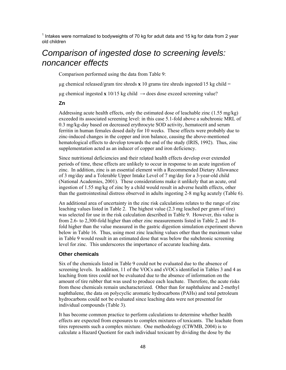$1$  Intakes were normalized to bodyweights of 70 kg for adult data and 15 kg for data from 2 year old children

# *Comparison of ingested dose to screening levels: noncancer effects*

Comparison performed using the data from Table 9:

ug chemical released/gram tire shreds  $\bf{x}$  10 grams tire shreds ingested/15 kg child =

 $\mu$ g chemical ingested **x** 10/15 kg child  $\rightarrow$  does dose exceed screening value?

#### **Zn**

Addressing acute health effects, only the estimated dose of leachable zinc (1.55 mg/kg) exceeded its associated screening level: in this case 5.1-fold above a subchronic MRL of 0.3 mg/kg-day based on decreased erythrocyte SOD activity, hematocrit and serum ferritin in human females dosed daily for 10 weeks. These effects were probably due to zinc-induced changes in the copper and iron balance, causing the above-mentioned hematological effects to develop towards the end of the study (IRIS, 1992). Thus, zinc supplementation acted as an inducer of copper and iron deficiency.

Since nutritional deficiencies and their related health effects develop over extended periods of time, these effects are unlikely to occur in response to an acute ingestion of zinc. In addition, zinc is an essential element with a Recommended Dietary Allowance of 3 mg/day and a Tolerable Upper Intake Level of 7 mg/day for a 3-year-old child (National Academies, 2001). These considerations make it unlikely that an acute, oral ingestion of 1.55 mg/kg of zinc by a child would result in adverse health effects, other than the gastrointestinal distress observed in adults ingesting 2-8 mg/kg acutely (Table 6).

An additional area of uncertainty in the zinc risk calculations relates to the range of zinc leaching values listed in Table 2. The highest value (2.3 mg leached per gram of tire) was selected for use in the risk calculation described in Table 9. However, this value is from 2.6- to 2,300-fold higher than other zinc measurements listed in Table 2, and 18 fold higher than the value measured in the gastric digestion simulation experiment shown below in Table 16. Thus, using most zinc leaching values other than the maximum value in Table 9 would result in an estimated dose that was below the subchronic screening level for zinc. This underscores the importance of accurate leaching data.

#### **Other chemicals**

Six of the chemicals listed in Table 9 could not be evaluated due to the absence of screening levels. In addition, 11 of the VOCs and sVOCs identified in Tables 3 and 4 as leaching from tires could not be evaluated due to the absence of information on the amount of tire rubber that was used to produce each leachate. Therefore, the acute risks from these chemicals remain uncharacterized. Other than for naphthalene and 2-methyl naphthalene, the data on polycyclic aromatic hydrocarbons (PAHs) and total petroleum hydrocarbons could not be evaluated since leaching data were not presented for individual compounds (Table 3).

It has become common practice to perform calculations to determine whether health effects are expected from exposures to complex mixtures of toxicants. The leachate from tires represents such a complex mixture. One methodology (CIWMB, 2004) is to calculate a Hazard Quotient for each individual toxicant by dividing the dose by the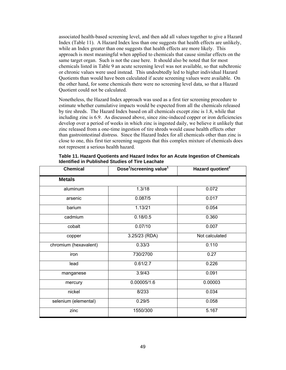associated health-based screening level, and then add all values together to give a Hazard Index (Table 11). A Hazard Index less than one suggests that health effects are unlikely, while an Index greater than one suggests that health effects are more likely. This approach is most meaningful when applied to chemicals that cause similar effects on the same target organ. Such is not the case here. It should also be noted that for most chemicals listed in Table 9 an acute screening level was not available, so that subchronic or chronic values were used instead. This undoubtedly led to higher individual Hazard Quotients than would have been calculated if acute screening values were available. On the other hand, for some chemicals there were no screening level data, so that a Hazard Quotient could not be calculated.

Nonetheless, the Hazard Index approach was used as a first tier screening procedure to estimate whether cumulative impacts would be expected from all the chemicals released by tire shreds. The Hazard Index based on all chemicals except zinc is 1.8, while that including zinc is 6.9. As discussed above, since zinc-induced copper or iron deficiencies develop over a period of weeks in which zinc is ingested daily, we believe it unlikely that zinc released from a one-time ingestion of tire shreds would cause health effects other than gastrointestinal distress. Since the Hazard Index for all chemicals other than zinc is close to one, this first tier screening suggests that this complex mixture of chemicals does not represent a serious health hazard.

| <b>Chemical</b>       | Dose <sup>1</sup> /screening value <sup>1</sup> | Hazard quotient <sup>2</sup> |
|-----------------------|-------------------------------------------------|------------------------------|
| <b>Metals</b>         |                                                 |                              |
| aluminum              | 1.3/18                                          | 0.072                        |
| arsenic               | 0.087/5                                         | 0.017                        |
| barium                | 1.13/21                                         | 0.054                        |
| cadmium               | 0.18/0.5                                        | 0.360                        |
| cobalt                | 0.07/10                                         | 0.007                        |
| copper                | 3.25/23 (RDA)                                   | Not calculated               |
| chromium (hexavalent) | 0.33/3                                          | 0.110                        |
| iron                  | 730/2700                                        | 0.27                         |
| lead                  | 0.61/2.7                                        | 0.226                        |
| manganese             | 3.9/43                                          | 0.091                        |
| mercury               | 0.00005/1.6                                     | 0.00003                      |
| nickel                | 8/233                                           | 0.034                        |
| selenium (elemental)  | 0.29/5                                          | 0.058                        |
| zinc                  | 1550/300                                        | 5.167                        |

**Table 11. Hazard Quotients and Hazard Index for an Acute Ingestion of Chemicals Identified in Published Studies of Tire Leachate**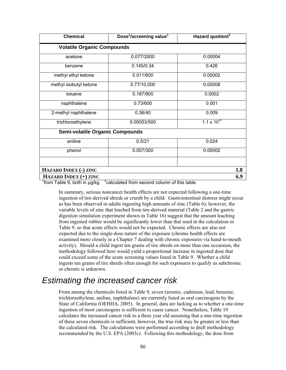| <b>Chemical</b>                        | Dose <sup>1</sup> /screening value <sup>1</sup> | Hazard quotient <sup>2</sup> |  |
|----------------------------------------|-------------------------------------------------|------------------------------|--|
| <b>Volatile Organic Compounds</b>      |                                                 |                              |  |
| acetone                                | 0.077/2000                                      | 0.00004                      |  |
| benzene                                | 0.145/0.34                                      | 0.426                        |  |
| methyl ethyl ketone                    | 0.011/600                                       | 0.00002                      |  |
| methyl isobutyl ketone                 | 0.77/10,000                                     | 0.00008                      |  |
| toluene                                | 0.187/800                                       | 0.0002                       |  |
| naphthalene                            | 0.73/600                                        | 0.001                        |  |
| 2-methyl naphthalene                   | 0.36/40                                         | 0.009                        |  |
| trichloroethylene                      | 0.00053/500                                     | $1.1 \times 10^{-6}$         |  |
| <b>Semi-volatile Organic Compounds</b> |                                                 |                              |  |
| aniline                                | 0.5/21                                          | 0.024                        |  |
| phenol                                 | 0.007/300                                       | 0.00002                      |  |
|                                        |                                                 |                              |  |
| HAZARD INDEX (-) ZINC                  |                                                 | 1.8                          |  |
| HAZARD INDEX (+) ZINC<br>6.9           |                                                 |                              |  |

<sup>1</sup> from Table 9, both in  $\mu$ g/kg  $^{-2}$ calculated from second column of this table

In summary, serious noncancer health effects are not expected following a one-time ingestion of tire-derived shreds or crumb by a child. Gastrointestinal distress might occur as has been observed in adults ingesting high amounts of zinc (Table 6); however, the variable levels of zinc that leached from tire-derived material (Table 2 and the gastric digestion simulation experiment shown in Table 16) suggest that the amount leaching from ingested rubber would be significantly lower than that used in the calculation in Table 9, so that acute effects would not be expected. Chronic effects are also not expected due to the single-dose nature of the exposure (chronic health effects are examined more closely in a Chapter 7 dealing with chronic exposures via hand-to-mouth activity). Should a child ingest ten grams of tire shreds on more than one occassion, the methodology followed here would yield a proportional increase in ingested dose that could exceed some of the acute screening values listed in Table 9. Whether a child ingests ten grams of tire shreds often enough for such exposures to qualify as subchronic or chronic is unknown.

# *Estimating the increased cancer risk*

From among the chemicals listed in Table 9, seven (arsenic, cadmium, lead, benzene, trichloroethylene, aniline, naphthalene) are currently listed as oral carcinogens by the State of California (OEHHA, 2005). In general, data are lacking as to whether a one-time ingestion of most carcinogens is sufficient to cause cancer. Nonetheless, Table 10 calculates the increased cancer risk to a three year old assuming that a one-time ingestion of these seven chemicals is sufficient, however, the true risk may be greater or less than the calculated risk. The calculations were performed according to draft methodology recommended by the U.S. EPA (2003c). Following this methodology, the dose from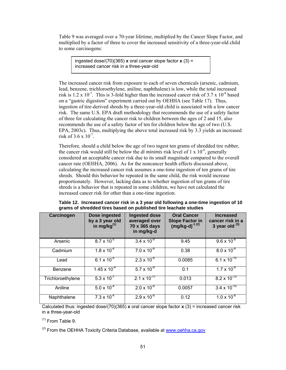Table 9 was averaged over a 70-year lifetime, multiplied by the Cancer Slope Factor, and multiplied by a factor of three to cover the increased sensitivity of a three-year-old child to some carcinogens:

ingested dose/(70)(365) **x** oral cancer slope factor **x** (3) = increased cancer risk in a three-year-old

The increased cancer risk from exposure to each of seven chemicals (arsenic, cadmium, lead, benzene, trichloroethylene, aniline, naphthalene) is low, while the total increased risk is  $1.2 \times 10^{-7}$ . This is 3-fold higher than the increased cancer risk of 3.7 x  $10^{-8}$  based on a "gastric digestion" experiment carried out by OEHHA (see Table 17). Thus, ingestion of tire-derived shreds by a three-year-old child is associated with a low cancer risk. The same U.S. EPA draft methodology that recommends the use of a safety factor of three for calculating the cancer risk to children between the ages of 2 and 15, also recommends the use of a safety factor of ten for children below the age of two (U.S. EPA, 2003c). Thus, multiplying the above total increased risk by 3.3 yields an increased risk of  $3.6 \times 10^{-7}$ .

Therefore, should a child below the age of two ingest ten grams of shredded tire rubber, the cancer risk would still be below the *di minimis* risk level of 1 x 10-6, generally considered an acceptable cancer risk due to its small magnitude compared to the overall cancer rate (OEHHA, 2006). As for the noncancer health effects discussed above, calculating the increased cancer risk assumes a one-time ingestion of ten grams of tire shreds. Should this behavior be repeated in the same child, the risk would increase proportionately. However, lacking data as to whether ingestion of ten grams of tire shreds is a behavior that is repeated in some children, we have not calculated the increased cancer risk for other than a one-time ingestion.

| Carcinogen        | Dose ingested<br>by a 3 year old<br>in mg/kg $^{(1)}$ | <b>Ingested dose</b><br>averaged over<br>70 x 365 days<br>in mg/kg-d | <b>Oral Cancer</b><br><b>Slope Factor in</b><br>$(mg/kg-d)^{-1}$ <sup>(2)</sup> | <b>Increased</b><br>cancer risk in a<br>3 year old $(3)$ |
|-------------------|-------------------------------------------------------|----------------------------------------------------------------------|---------------------------------------------------------------------------------|----------------------------------------------------------|
| Arsenic           | $8.7 \times 10^{-5}$                                  | $3.4 \times 10^{-9}$                                                 | 9.45                                                                            | $9.6 \times 10^{-8}$                                     |
| Cadmium           | $1.8 \times 10^{-4}$                                  | $7.0 \times 10^{-9}$                                                 | 0.38                                                                            | $8.0 \times 10^{-9}$                                     |
| Lead              | $6.1 \times 10^{-4}$                                  | $2.3 \times 10^{-8}$                                                 | 0.0085                                                                          | $6.1 \times 10^{-10}$                                    |
| Benzene           | $1.45 \times 10^{-4}$                                 | $5.7 \times 10^{-9}$                                                 | 0.1                                                                             | $1.7 \times 10^{-9}$                                     |
| Trichloroethylene | $5.3 \times 10^{-7}$                                  | $2.1 \times 10^{-11}$                                                | 0.013                                                                           | $8.2 \times 10^{-13}$                                    |
| Aniline           | $5.0 \times 10^{-4}$                                  | $2.0 \times 10^{-8}$                                                 | 0.0057                                                                          | $3.4 \times 10^{-10}$                                    |
| Naphthalene       | $7.3 \times 10^{-4}$                                  | $2.9 \times 10^{-8}$                                                 | 0.12                                                                            | $1.0 \times 10^{-8}$                                     |

**Table 12. Increased cancer risk in a 3 year old following a one-time ingestion of 10 grams of shredded tires based on published tire leachate studies** 

Calculated thus: ingested dose/(70)(365) **x** oral cancer slope factor **x** (3) = increased cancer risk in a three-year-old

 $(1)$  From Table 9.

 $^{(2)}$  From the OEHHA Toxicity Criteria Database, available at www.oehha.ca.gov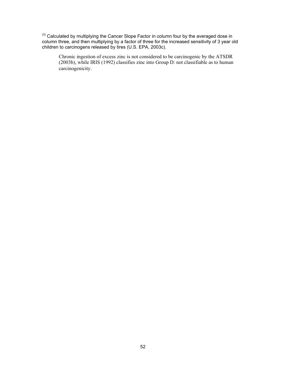$(3)$  Calculated by multiplying the Cancer Slope Factor in column four by the averaged dose in column three, and then multiplying by a factor of three for the increased sensitivity of 3 year old children to carcinogens released by tires (U.S. EPA, 2003c).

Chronic ingestion of excess zinc is not considered to be carcinogenic by the ATSDR (2003b), while IRIS (1992) classifies zinc into Group D: not classifiable as to human carcinogenicity.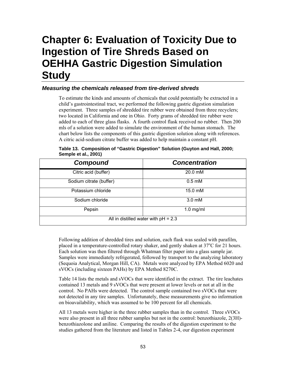# **Chapter 6: Evaluation of Toxicity Due to Ingestion of Tire Shreds Based on OEHHA Gastric Digestion Simulation Study**

## *Measuring the chemicals released from tire-derived shreds*

To estimate the kinds and amounts of chemicals that could potentially be extracted in a child's gastrointestinal tract, we performed the following gastric digestion simulation experiment. Three samples of shredded tire rubber were obtained from three recyclers; two located in California and one in Ohio. Forty grams of shredded tire rubber were added to each of three glass flasks. A fourth control flask received no rubber. Then 200 mls of a solution were added to simulate the environment of the human stomach. The chart below lists the components of this gastric digestion solution along with references. A citric acid-sodium citrate buffer was added to help maintain a constant pH.

| <b>Compound</b>                        | <b>Concentration</b> |  |  |
|----------------------------------------|----------------------|--|--|
| Citric acid (buffer)                   | 20.0 mM              |  |  |
| Sodium citrate (buffer)                | $0.5 \text{ mM}$     |  |  |
| Potassium chloride                     | 15.0 mM              |  |  |
| Sodium chloride                        | $3.0 \text{ mM}$     |  |  |
| Pepsin                                 | $1.0$ mg/ml          |  |  |
| All in distilled water with $pH = 2.3$ |                      |  |  |

**Table 13. Composition of "Gastric Digestion" Solution (Guyton and Hall, 2000; Semple et al., 2001)** 

Following addition of shredded tires and solution, each flask was sealed with parafilm, placed in a temperature-controlled rotary shaker, and gently shaken at 37°C for 21 hours. Each solution was then filtered through Whatman filter paper into a glass sample jar. Samples were immediately refrigerated, followed by transport to the analyzing laboratory (Sequoia Analytical, Morgan Hill, CA). Metals were analyzed by EPA Method 6020 and sVOCs (including sixteen PAHs) by EPA Method 8270C.

Table 14 lists the metals and sVOCs that were identified in the extract. The tire leachates contained 13 metals and 9 sVOCs that were present at lower levels or not at all in the control. No PAHs were detected. The control sample contained two sVOCs that were not detected in any tire samples. Unfortunately, these measurements give no information on bioavailability, which was assumed to be 100 percent for all chemicals.

All 13 metals were higher in the three rubber samples than in the control. Three sVOCs were also present in all three rubber samples but not in the control: benzothiazole, 2(3H) benzothiazolone and aniline. Comparing the results of the digestion experiment to the studies gathered from the literature and listed in Tables 2-4, our digestion experiment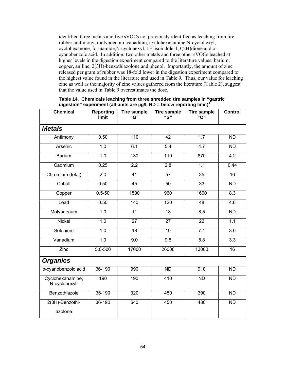identified three metals and five sVOCs not previously identified as leaching from tire rubber: antimony, molybdenum, vanadium, cyclohexanamine N-cyclohexyl, cyclohexanone, formamide,N-cyclohexyl, 1H-isoindole-1,3(2H)dione and ocyanobenzoic acid. In addition, two other metals and three other sVOCs leached at higher levels in the digestion experiment compared to the literature values: barium, copper, aniline, 2(3H)-benzothiazolone and phenol. Importantly, the amount of zinc released per gram of rubber was 18-fold lower in the digestion experiment compared to the highest value found in the literature and used in Table 9. Thus, our value for leaching zinc as well as the majority of zinc values gathered from the literature (Table 2), suggest that the value used in Table 9 overestimates the dose.

**Chemical Reporting limit Tire sample "G" Tire sample "S" Tire sample "O" Control**  *Metals* Antimony | 0.50 | 110 | 42 | 1.7 | ND Arsenic | 1.0 | 6.1 | 5.4 | 4.7 | ND Barium | 1.0 | 130 | 110 | 870 | 4.2 Cadmium | 0.25 | 2.2 | 2.8 | 1.1 | 0.44 Chromium (total) 2.0 41 57 35 16 Cobalt | 0.50 | 45 | 50 | 33 | ND Copper | 0.5-50 | 1500 | 960 | 1600 | 8.3 Lead | 0.50 | 140 | 120 | 48 | 4.6 Molybdenum 1.0 11 18 8.5 ND Nickel | 1.0 | 27 | 27 | 22 | 1.1 Selenium | 1.0 | 18 | 10 | 7.1 | 3.0 Vanadium | 1.0 | 9.0 | 9.5 | 5.8 | 3.3 Zinc 5.0-500 17000 26000 13000 16 *Organics*  o-cyanobenzoic acid 36-190 990 ND 910 ND Cyclohexanamine, N-cyclohexyl-190 | 190 | 410 | ND | ND Benzothiazole 36-190 320 450 390 ND 2(3H)-Benzothiazolone 36-190 640 450 480 ND

**Table 14. Chemicals leaching from three shredded tire samples in "gastric digestion" experiment (all units are µg/l, ND = below reporting limit)<sup>1</sup>**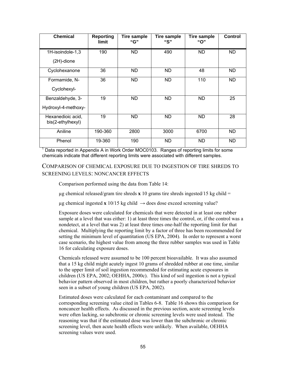| <b>Chemical</b>                        | <b>Reporting</b><br>limit | Tire sample<br>"G" | <b>Tire sample</b><br>"S" | Tire sample<br>"O" | Control   |
|----------------------------------------|---------------------------|--------------------|---------------------------|--------------------|-----------|
| 1H-isoindole-1,3                       | 190                       | ND.                | 490                       | ND.                | ND.       |
| $(2H)$ -dione                          |                           |                    |                           |                    |           |
| Cyclohexanone                          | 36                        | ND.                | ND                        | 48                 | <b>ND</b> |
| Formamide, N-                          | 36                        | ND.                | ND                        | 110                | <b>ND</b> |
| Cyclohexyl-                            |                           |                    |                           |                    |           |
| Benzaldehyde, 3-                       | 19                        | ND.                | <b>ND</b>                 | <b>ND</b>          | 25        |
| Hydroxyl-4-methoxy-                    |                           |                    |                           |                    |           |
| Hexanedioic acid,<br>bis(2-ethylhexyl) | 19                        | ND.                | ND                        | ND                 | 28        |
| Aniline                                | 190-360                   | 2800               | 3000                      | 6700               | ND.       |
| Phenol                                 | 19-360                    | 190                | ND                        | <b>ND</b>          | <b>ND</b> |

<sup>1</sup> Data reported in Appendix A in Work Order MOC0103. Ranges of reporting limits for some chemicals indicate that different reporting limits were associated with different samples.

### COMPARISON OF CHEMICAL EXPOSURE DUE TO INGESTION OF TIRE SHREDS TO SCREENING LEVELS: NONCANCER EFFECTS

Comparison performed using the data from Table 14:

 $\mu$ g chemical released/gram tire shreds **x** 10 grams tire shreds ingested/15 kg child =

 $\mu$ g chemical ingested **x** 10/15 kg child  $\rightarrow$  does dose exceed screening value?

Exposure doses were calculated for chemicals that were detected in at least one rubber sample at a level that was either: 1) at least three times the control, or, if the control was a nondetect, at a level that was 2) at least three times one-half the reporting limit for that chemical. Multiplying the reporting limit by a factor of three has been recommended for setting the minimum level of quantitation (US EPA, 2004). In order to represent a worst case scenario, the highest value from among the three rubber samples was used in Table 16 for calculating exposure doses.

Chemicals released were assumed to be 100 percent bioavailable. It was also assumed that a 15 kg child might acutely ingest 10 grams of shredded rubber at one time, similar to the upper limit of soil ingestion recommended for estimating acute exposures in children (US EPA, 2002; OEHHA, 2000c). This kind of soil ingestion is not a typical behavior pattern observed in most children, but rather a poorly characterized behavior seen in a subset of young children (US EPA, 2002).

Estimated doses were calculated for each contaminant and compared to the corresponding screening value cited in Tables 6-8. Table 16 shows this comparison for noncancer health effects. As discussed in the previous section, acute screening levels were often lacking, so subchronic or chronic screening levels were used instead. The reasoning was that if the estimated dose was lower than the subchronic or chronic screening level, then acute health effects were unlikely. When available, OEHHA screening values were used.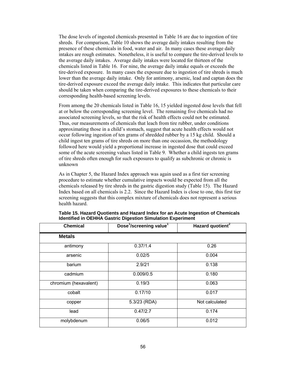The dose levels of ingested chemicals presented in Table 16 are due to ingestion of tire shreds. For comparison, Table 10 shows the average daily intakes resulting from the presence of these chemicals in food, water and air. In many cases these average daily intakes are rough estimates. Nonetheless, it is useful to compare the tire-derived levels to the average daily intakes. Average daily intakes were located for thirteen of the chemicals listed in Table 16. For nine, the average daily intake equals or exceeds the tire-derived exposure. In many cases the exposure due to ingestion of tire shreds is much lower than the average daily intake. Only for antimony, arsenic, lead and captan does the tire-derived exposure exceed the average daily intake. This indicates that particular care should be taken when comparing the tire-derived exposures to these chemicals to their corresponding health-based screening levels.

From among the 20 chemicals listed in Table 16, 15 yielded ingested dose levels that fell at or below the corresponding screening level. The remaining five chemicals had no associated screening levels, so that the risk of health effects could not be estimated. Thus, our measurements of chemicals that leach from tire rubber, under conditions approximating those in a child's stomach, suggest that acute health effects would not occur following ingestion of ten grams of shredded rubber by a 15 kg child. Should a child ingest ten grams of tire shreds on more than one occassion, the methodology followed here would yield a proportional increase in ingested dose that could exceed some of the acute screening values listed in Table 9. Whether a child ingests ten grams of tire shreds often enough for such exposures to qualify as subchronic or chronic is unknown

As in Chapter 5, the Hazard Index approach was again used as a first tier screening procedure to estimate whether cumulative impacts would be expected from all the chemicals released by tire shreds in the gastric digestion study (Table 15). The Hazard Index based on all chemicals is 2.2. Since the Hazard Index is close to one, this first tier screening suggests that this complex mixture of chemicals does not represent a serious health hazard.

| <b>Chemical</b>       | Dose <sup>1</sup> /screening value <sup>1</sup> | Hazard quotient <sup>2</sup> |
|-----------------------|-------------------------------------------------|------------------------------|
| <b>Metals</b>         |                                                 |                              |
| antimony              | 0.37/1.4                                        | 0.26                         |
| arsenic               | 0.02/5                                          | 0.004                        |
| barium                | 2.9/21                                          | 0.138                        |
| cadmium               | 0.009/0.5                                       | 0.180                        |
| chromium (hexavalent) | 0.19/3                                          | 0.063                        |
| cobalt                | 0.17/10                                         | 0.017                        |
| copper                | 5.3/23 (RDA)                                    | Not calculated               |
| lead                  | 0.47/2.7                                        | 0.174                        |
| molybdenum            | 0.06/5                                          | 0.012                        |

| Table 15. Hazard Quotients and Hazard Index for an Acute Ingestion of Chemicals |
|---------------------------------------------------------------------------------|
| <b>Identified in OEHHA Gastric Digestion Simulation Experiment</b>              |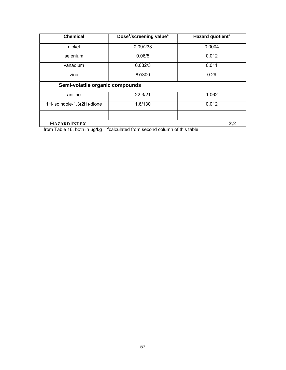| <b>Chemical</b>                 | Dose <sup>1</sup> /screening value <sup>1</sup>          | Hazard quotient <sup>2</sup> |  |  |  |
|---------------------------------|----------------------------------------------------------|------------------------------|--|--|--|
| nickel                          | 0.09/233                                                 | 0.0004                       |  |  |  |
| selenium                        | 0.06/5                                                   | 0.012                        |  |  |  |
| vanadium                        | 0.032/3                                                  | 0.011                        |  |  |  |
| zinc                            | 87/300                                                   | 0.29                         |  |  |  |
| Semi-volatile organic compounds |                                                          |                              |  |  |  |
| aniline                         | 22.3/21                                                  | 1.062                        |  |  |  |
| 1H-isoindole-1,3(2H)-dione      | 1.6/130                                                  | 0.012                        |  |  |  |
|                                 |                                                          |                              |  |  |  |
| <b>HAZARD INDEX</b><br>2.2      |                                                          |                              |  |  |  |
| from Table 16, both in ug/kg    | <sup>2</sup> calculated from second column of this table |                              |  |  |  |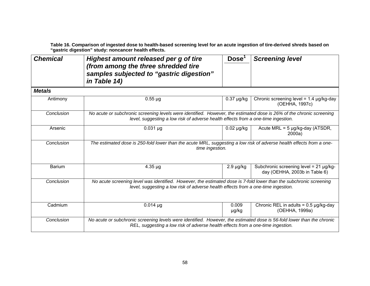**Table 16. Comparison of ingested dose to health-based screening level for an acute ingestion of tire-derived shreds based on "gastric digestion" study: noncancer health effects.** 

| <b>Chemical</b> | Highest amount released per g of tire<br>(from among the three shredded tire<br>samples subjected to "gastric digestion"<br>in Table 14)                                                                  | Dose <sup>1</sup> | <b>Screening level</b>                                                  |
|-----------------|-----------------------------------------------------------------------------------------------------------------------------------------------------------------------------------------------------------|-------------------|-------------------------------------------------------------------------|
| <b>Metals</b>   |                                                                                                                                                                                                           |                   |                                                                         |
| Antimony        | $0.55 \mu g$                                                                                                                                                                                              | $0.37 \mu g/kg$   | Chronic screening level = $1.4 \mu g/kg$ -day<br>(OEHHA, 1997c)         |
| Conclusion      | No acute or subchronic screening levels were identified. However, the estimated dose is 26% of the chronic screening<br>level, suggesting a low risk of adverse health effects from a one-time ingestion. |                   |                                                                         |
| Arsenic         | $0.031 \mu g$                                                                                                                                                                                             | $0.02 \mu g/kg$   | Acute MRL = $5 \mu g/kg$ -day (ATSDR,<br>2000a)                         |
| Conclusion      | The estimated dose is 250-fold lower than the acute MRL, suggesting a low risk of adverse health effects from a one-<br>time ingestion.                                                                   |                   |                                                                         |
| <b>Barium</b>   | $4.35 \mu g$                                                                                                                                                                                              | $2.9 \mu g/kg$    | Subchronic screening level = 21 µg/kg-<br>day (OEHHA, 2003b in Table 6) |
| Conclusion      | No acute screening level was identified. However, the estimated dose is 7-fold lower than the subchronic screening<br>level, suggesting a low risk of adverse health effects from a one-time ingestion.   |                   |                                                                         |
| Cadmium         | $0.014 \mu g$                                                                                                                                                                                             | 0.009<br>µg/kg    | Chronic REL in adults = $0.5 \mu g/kg$ -day<br>(OEHHA, 1999a)           |
| Conclusion      | No acute or subchronic screening levels were identified. However, the estimated dose is 56-fold lower than the chronic<br>REL, suggesting a low risk of adverse health effects from a one-time ingestion. |                   |                                                                         |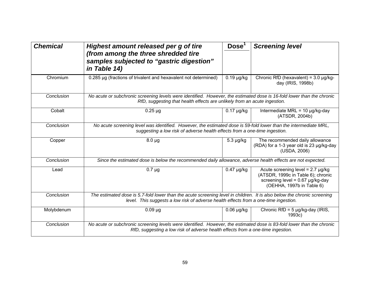| <b>Chemical</b> | Highest amount released per g of tire<br>(from among the three shredded tire<br>samples subjected to "gastric digestion"<br>in Table 14)                                                                        | Dose <sup>1</sup>                                                                                           | <b>Screening level</b>                                                                                                                              |  |  |
|-----------------|-----------------------------------------------------------------------------------------------------------------------------------------------------------------------------------------------------------------|-------------------------------------------------------------------------------------------------------------|-----------------------------------------------------------------------------------------------------------------------------------------------------|--|--|
| Chromium        | 0.285 µg (fractions of trivalent and hexavalent not determined)                                                                                                                                                 | $\overline{0.19}$ µg/kg                                                                                     | Chronic RfD (hexavalent) = $3.0 \mu g/kg$ -<br>day (IRIS, 1998b)                                                                                    |  |  |
| Conclusion      | No acute or subchronic screening levels were identified. However, the estimated dose is 16-fold lower than the chronic<br>RfD, suggesting that health effects are unlikely from an acute ingestion.             |                                                                                                             |                                                                                                                                                     |  |  |
| Cobalt          | $0.25 \mu g$                                                                                                                                                                                                    | $0.17 \mu g/kg$                                                                                             | Intermediate MRL = $10 \mu g/kg$ -day<br>(ATSDR, 2004b)                                                                                             |  |  |
| Conclusion      | No acute screening level was identified. However, the estimated dose is 59-fold lower than the intermediate MRL,<br>suggesting a low risk of adverse health effects from a one-time ingestion.                  |                                                                                                             |                                                                                                                                                     |  |  |
| Copper          | $8.0 \mu g$                                                                                                                                                                                                     | $5.3 \mu g/kg$                                                                                              | The recommended daily allowance<br>(RDA) for a 1-3 year old is 23 µg/kg-day<br>(USDA, 2006)                                                         |  |  |
| Conclusion      |                                                                                                                                                                                                                 | Since the estimated dose is below the recommended daily allowance, adverse health effects are not expected. |                                                                                                                                                     |  |  |
| Lead            | $0.7 \mu g$                                                                                                                                                                                                     | $0.47 \mu g/kg$                                                                                             | Acute screening level = $2.7 \mu g/kg$<br>(ATSDR, 1999c in Table 6); chronic<br>screening level = $0.67 \mu g/kg$ -day<br>(OEHHA, 1997b in Table 6) |  |  |
| Conclusion      | The estimated dose is 5.7-fold lower than the acute screening level in children. It is also below the chronic screening<br>level. This suggests a low risk of adverse health effects from a one-time ingestion. |                                                                                                             |                                                                                                                                                     |  |  |
| Molybdenum      | $0.09 \mu g$                                                                                                                                                                                                    | $0.06$ µg/kg                                                                                                | Chronic RfD = $5 \mu g/kg$ -day (IRIS,<br>1993c)                                                                                                    |  |  |
| Conclusion      | No acute or subchronic screening levels were identified. However, the estimated dose is 83-fold lower than the chronic<br>RfD, suggesting a low risk of adverse health effects from a one-time ingestion.       |                                                                                                             |                                                                                                                                                     |  |  |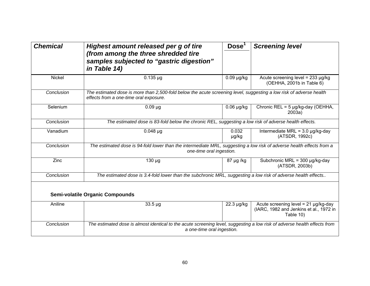| <b>Chemical</b> | Highest amount released per g of tire<br>(from among the three shredded tire<br>samples subjected to "gastric digestion"<br>in Table 14)                      | Dose <sup>1</sup> | <b>Screening level</b>                                                                             |  |
|-----------------|---------------------------------------------------------------------------------------------------------------------------------------------------------------|-------------------|----------------------------------------------------------------------------------------------------|--|
| Nickel          | $0.135 \mu g$                                                                                                                                                 | $0.09$ µg/kg      | Acute screening level = $233 \mu g/kg$<br>(OEHHA, 2001b in Table 6)                                |  |
| Conclusion      | The estimated dose is more than 2,500-fold below the acute screening level, suggesting a low risk of adverse health<br>effects from a one-time oral exposure. |                   |                                                                                                    |  |
| Selenium        | $0.09 \mu g$                                                                                                                                                  | $0.06 \mu g/kg$   | Chronic REL = 5 µg/kg-day (OEHHA,<br>2003a)                                                        |  |
| Conclusion      | The estimated dose is 83-fold below the chronic REL, suggesting a low risk of adverse health effects.                                                         |                   |                                                                                                    |  |
| Vanadium        | $0.048 \mu g$                                                                                                                                                 | 0.032<br>µg/kg    | Intermediate MRL = $3.0 \mu g/kg$ -day<br>(ATSDR, 1992c)                                           |  |
| Conclusion      | The estimated dose is 94-fold lower than the intermediate MRL, suggesting a low risk of adverse health effects from a<br>one-time oral ingestion.             |                   |                                                                                                    |  |
| Zinc            | 130 µg                                                                                                                                                        | 87 µg /kg         | Subchronic MRL = $300 \mu g/kg$ -day<br>(ATSDR, 2003b)                                             |  |
| Conclusion      | The estimated dose is 3.4-fold lower than the subchronic MRL, suggesting a low risk of adverse health effects                                                 |                   |                                                                                                    |  |
|                 | <b>Semi-volatile Organic Compounds</b>                                                                                                                        |                   |                                                                                                    |  |
| Aniline         | $33.5 \mu g$                                                                                                                                                  | 22.3 µg/kg        | Acute screening level = $21 \mu g/kg$ -day<br>(IARC, 1982 and Jenkins et al., 1972 in<br>Table 10) |  |
| Conclusion      | The estimated dose is almost identical to the acute screening level, suggesting a low risk of adverse health effects from<br>a one-time oral ingestion.       |                   |                                                                                                    |  |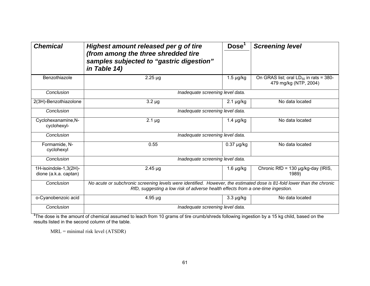| <b>Chemical</b>                                | Highest amount released per g of tire<br>(from among the three shredded tire<br>samples subjected to "gastric digestion"<br>in Table 14)                                                                  | Dose <sup>1</sup> | <b>Screening level</b>                                               |
|------------------------------------------------|-----------------------------------------------------------------------------------------------------------------------------------------------------------------------------------------------------------|-------------------|----------------------------------------------------------------------|
| Benzothiazole                                  | $2.25 \mu g$                                                                                                                                                                                              | $1.5 \mu g/kg$    | On GRAS list; oral $LD_{50}$ in rats = 380-<br>479 mg/kg (NTP, 2004) |
| Conclusion                                     | Inadequate screening level data.                                                                                                                                                                          |                   |                                                                      |
| 2(3H)-Benzothiazolone                          | $3.2 \mu g$                                                                                                                                                                                               | $2.1 \mu g/kg$    | No data located                                                      |
| Conclusion                                     | Inadequate screening level data.                                                                                                                                                                          |                   |                                                                      |
| Cyclohexanamine, N-<br>cyclohexyl-             | $2.1 \mu g$                                                                                                                                                                                               | $1.4 \mu g/kg$    | No data located                                                      |
| Conclusion                                     | Inadequate screening level data.                                                                                                                                                                          |                   |                                                                      |
| Formamide, N-<br>cyclohexyl                    | 0.55                                                                                                                                                                                                      | $0.37 \mu g/kg$   | No data located                                                      |
| Conclusion                                     | Inadequate screening level data.                                                                                                                                                                          |                   |                                                                      |
| 1H-isoindole-1,3(2H)-<br>dione (a.k.a. captan) | $2.45 \mu g$                                                                                                                                                                                              | $1.6 \mu g/kg$    | Chronic RfD = $130 \mu g/kg$ -day (IRIS,<br>1989)                    |
| Conclusion                                     | No acute or subchronic screening levels were identified. However, the estimated dose is 81-fold lower than the chronic<br>RfD, suggesting a low risk of adverse health effects from a one-time ingestion. |                   |                                                                      |
| o-Cyanobenzoic acid                            | $4.95 \mu g$                                                                                                                                                                                              | $3.3 \mu g/kg$    | No data located                                                      |
| Conclusion                                     | Inadequate screening level data.                                                                                                                                                                          |                   |                                                                      |

<sup>1</sup>The dose is the amount of chemical assumed to leach from 10 grams of tire crumb/shreds following ingestion by a 15 kg child, based on the results listed in the second column of the table.

MRL = minimal risk level (ATSDR)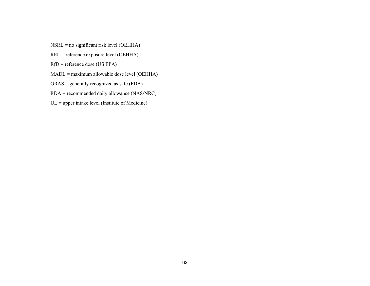- NSRL = no significant risk level (OEHHA)
- REL = reference exposure level (OEHHA)
- RfD = reference dose (US EPA)
- MADL = maximum allowable dose level (OEHHA)
- GRAS = generally recognized as safe (FDA)
- RDA = recommended daily allowance (NAS/NRC)
- $UL = upper$  intake level (Institute of Medicine)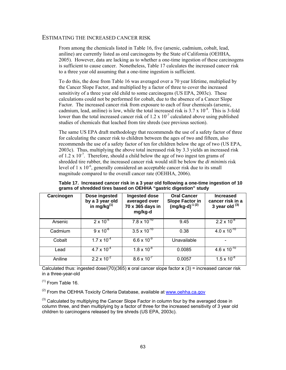#### ESTIMATING THE INCREASED CANCER RISK

From among the chemicals listed in Table 16, five (arsenic, cadmium, cobalt, lead, aniline) are currently listed as oral carcinogens by the State of California (OEHHA, 2005). However, data are lacking as to whether a one-time ingestion of these carcinogens is sufficient to cause cancer. Nonetheless, Table 17 calculates the increased cancer risk to a three year old assuming that a one-time ingestion is sufficient.

To do this, the dose from Table 16 was averaged over a 70 year lifetime, multiplied by the Cancer Slope Factor, and multiplied by a factor of three to cover the increased sensitivity of a three year old child to some carcinogens (US EPA, 2003c). These calculations could not be performed for cobalt, due to the absence of a Cancer Slope Factor. The increased cancer risk from exposure to each of four chemicals (arsenic, cadmium, lead, aniline) is low, while the total increased risk is  $3.7 \times 10^{-8}$ . This is 3-fold lower than the total increased cancer risk of 1.2 x  $10^{-7}$  calculated above using published studies of chemicals that leached from tire shreds (see previous section).

The same US EPA draft methodology that recommends the use of a safety factor of three for calculating the cancer risk to children between the ages of two and fifteen, also recommends the use of a safety factor of ten for children below the age of two (US EPA, 2003c). Thus, multiplying the above total increased risk by 3.3 yields an increased risk of 1.2 x  $10^{-7}$ . Therefore, should a child below the age of two ingest ten grams of shredded tire rubber, the increased cancer risk would still be below the *di minimis* risk level of  $1 \times 10^{-6}$ , generally considered an acceptable cancer risk due to its small magnitude compared to the overall cancer rate (OEHHA, 2006).

| Carcinogen | Dose ingested<br>by a 3 year old<br>in mg/kg $^{(1)}$ | Ingested dose<br>averaged over<br>70 x 365 days in<br>mg/kg-d | <b>Oral Cancer</b><br>Slope Factor in $(mg/kg-d)^{-1}$ <sup>(2)</sup> | <b>Increased</b><br>cancer risk in a<br>3 year old $(3)$ |
|------------|-------------------------------------------------------|---------------------------------------------------------------|-----------------------------------------------------------------------|----------------------------------------------------------|
| Arsenic    | $2 \times 10^{-5}$                                    | $7.8 \times 10^{-10}$                                         | 9.45                                                                  | $2.2 \times 10^{-8}$                                     |
| Cadmium    | $9 \times 10^{-6}$                                    | $3.5 \times 10^{-10}$                                         | 0.38                                                                  | $4.0 \times 10^{-10}$                                    |
| Cobalt     | $1.7 \times 10^{-4}$                                  | $6.6 \times 10^{-9}$                                          | Unavailable                                                           |                                                          |
| Lead       | $4.7 \times 10^{-4}$                                  | $1.8 \times 10^{-8}$                                          | 0.0085                                                                | $4.6 \times 10^{-10}$                                    |
| Aniline    | $2.2 \times 10^{-2}$                                  | $8.6 \times 10^{-7}$                                          | 0.0057                                                                | $1.5 \times 10^{-8}$                                     |

**Table 17. Increased cancer risk in a 3 year old following a one-time ingestion of 10 grams of shredded tires based on OEHHA "gastric digestion" study** 

Calculated thus: ingested dose/(70)(365) **x** oral cancer slope factor **x** (3) = increased cancer risk in a three-year-old

 $(1)$  From Table 16.

 $^{(2)}$  From the OEHHA Toxicity Criteria Database, available at www.oehha.ca.gov

 $<sup>(3)</sup>$  Calculated by multiplying the Cancer Slope Factor in column four by the averaged dose in</sup> column three, and then multiplying by a factor of three for the increased sensitivity of 3 year old children to carcinogens released by tire shreds (US EPA, 2003c).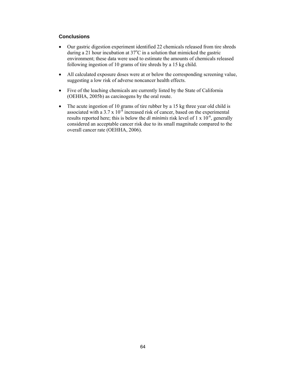### **Conclusions**

- Our gastric digestion experiment identified 22 chemicals released from tire shreds during a 21 hour incubation at  $37^{\circ}$ C in a solution that mimicked the gastric environment; these data were used to estimate the amounts of chemicals released following ingestion of 10 grams of tire shreds by a 15 kg child.
- All calculated exposure doses were at or below the corresponding screening value, suggesting a low risk of adverse noncancer health effects.
- Five of the leaching chemicals are currently listed by the State of California (OEHHA, 2005b) as carcinogens by the oral route.
- The acute ingestion of 10 grams of tire rubber by a 15 kg three year old child is associated with a 3.7 x  $10^{-8}$  increased risk of cancer, based on the experimental results reported here; this is below the *di minimis* risk level of 1 x 10<sup>-6</sup>, generally considered an acceptable cancer risk due to its small magnitude compared to the overall cancer rate (OEHHA, 2006).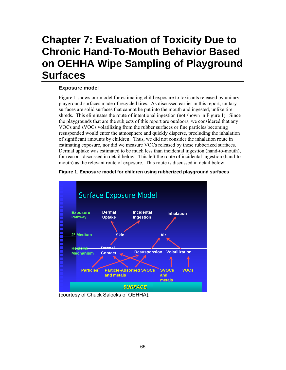# **Chapter 7: Evaluation of Toxicity Due to Chronic Hand-To-Mouth Behavior Based on OEHHA Wipe Sampling of Playground Surfaces**

## **Exposure model**

Figure 1 shows our model for estimating child exposure to toxicants released by unitary playground surfaces made of recycled tires. As discussed earlier in this report, unitary surfaces are solid surfaces that cannot be put into the mouth and ingested, unlike tire shreds. This eliminates the route of intentional ingestion (not shown in Figure 1). Since the playgrounds that are the subjects of this report are outdoors, we considered that any VOCs and sVOCs volatilizing from the rubber surfaces or fine particles becoming resuspended would enter the atmosphere and quickly disperse, precluding the inhalation of significant amounts by children. Thus, we did not consider the inhalation route in estimating exposure, nor did we measure VOCs released by these rubberized surfaces. Dermal uptake was estimated to be much less than incidental ingestion (hand-to-mouth), for reasons discussed in detail below. This left the route of incidental ingestion (hand-tomouth) as the relevant route of exposure. This route is discussed in detail below.



### **Figure 1. Exposure model for children using rubberized playground surfaces**

(courtesy of Chuck Salocks of OEHHA).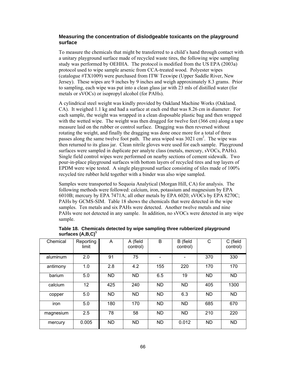# **Measuring the concentration of dislodgeable toxicants on the playground surface**

To measure the chemicals that might be transferred to a child's hand through contact with a unitary playground surface made of recycled waste tires, the following wipe sampling study was performed by OEHHA. The protocol is modified from the US EPA (2003a) protocol used to wipe sample arsenic from CCA-treated wood. Polyester wipes (catalogue #TX1009) were purchased from ITW Texwipe (Upper Saddle River, New Jersey). These wipes are 9 inches by 9 inches and weigh approximately 8.3 grams. Prior to sampling, each wipe was put into a clean glass jar with 23 mls of distilled water (for metals or sVOCs) or isopropyl alcohol (for PAHs).

A cylindrical steel weight was kindly provided by Oakland Machine Works (Oakland, CA). It weighed 1.1 kg and had a surface at each end that was 8.26 cm in diameter. For each sample, the weight was wrapped in a clean disposable plastic bag and then wrapped with the wetted wipe. The weight was then dragged for twelve feet (366 cm) along a tape measure laid on the rubber or control surface. Dragging was then reversed without rotating the weight, and finally the dragging was done once more for a total of three passes along the same twelve foot path. The area wiped was 3021 cm<sup>2</sup>. The wipe was then returned to its glass jar. Clean nitrile gloves were used for each sample. Playground surfaces were sampled in duplicate per analyte class (metals, mercury, sVOCs, PAHs). Single field control wipes were performed on nearby sections of cement sidewalk. Two pour-in-place playground surfaces with bottom layers of recycled tires and top layers of EPDM were wipe tested. A single playground surface consisting of tiles made of 100% recycled tire rubber held together with a binder was also wipe sampled.

Samples were transported to Sequoia Analytical (Morgan Hill, CA) for analysis. The following methods were followed: calcium, iron, potassium and magnesium by EPA 6010B; mercury by EPA 7471A; all other metals by EPA 6020; sVOCs by EPA 8270C; PAHs by GCMS-SIM. Table 18 shows the chemicals that were detected in the wipe samples. Ten metals and six PAHs were detected. Another twelve metals and nine PAHs were not detected in any sample. In addition, no sVOCs were detected in any wipe sample.

| Chemical  | Reporting<br>limit | A         | A (field<br>control) | B         | B (field<br>control) | C         | C (field<br>control) |
|-----------|--------------------|-----------|----------------------|-----------|----------------------|-----------|----------------------|
| aluminum  | 2.0                | 91        | 75                   |           |                      | 370       | 330                  |
| antimony  | 1.0                | 2.8       | 4.2                  | 155       | 220                  | 170       | 170                  |
| barium    | 5.0                | <b>ND</b> | <b>ND</b>            | 6.5       | 19                   | <b>ND</b> | ND                   |
| calcium   | 12                 | 425       | 240                  | <b>ND</b> | <b>ND</b>            | 405       | 1300                 |
| copper    | 5.0                | <b>ND</b> | <b>ND</b>            | ND.       | 6.3                  | <b>ND</b> | <b>ND</b>            |
| iron      | 5.0                | 180       | 170                  | <b>ND</b> | <b>ND</b>            | 685       | 670                  |
| magnesium | 2.5                | 78        | 58                   | <b>ND</b> | <b>ND</b>            | 210       | 220                  |
| mercury   | 0.005              | ND        | ND.                  | <b>ND</b> | 0.012                | ND        | ND                   |

**Table 18. Chemicals detected by wipe sampling three rubberized playground surfaces (A,B,C)<sup>1</sup>**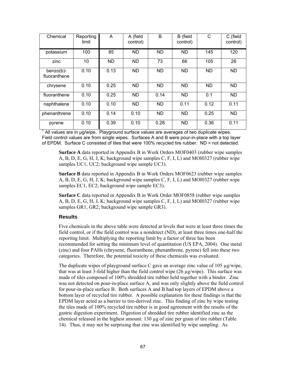| Chemical                     | Reporting<br>limit | A         | A (field<br>control) | B         | B (field<br>control) | C         | C (field<br>control) |
|------------------------------|--------------------|-----------|----------------------|-----------|----------------------|-----------|----------------------|
| potassium                    | 100                | 85        | <b>ND</b>            | <b>ND</b> | <b>ND</b>            | 145       | 120                  |
| zinc                         | 10                 | <b>ND</b> | ND.                  | 73        | 66                   | 105       | 26                   |
| $benzo(b)$ -<br>fluoranthene | 0.10               | 0.13      | <b>ND</b>            | <b>ND</b> | <b>ND</b>            | <b>ND</b> | <b>ND</b>            |
| chrysene                     | 0.10               | 0.25      | <b>ND</b>            | <b>ND</b> | <b>ND</b>            | <b>ND</b> | <b>ND</b>            |
| fluoranthene                 | 0.10               | 0.25      | <b>ND</b>            | 0.14      | ND.                  | 0.1       | ND.                  |
| naphthalene                  | 0.10               | 0.10      | ND.                  | <b>ND</b> | 0.11                 | 0.12      | 0.11                 |
| phenanthrene                 | 0.10               | 0.14      | 0.10                 | <b>ND</b> | <b>ND</b>            | 0.25      | <b>ND</b>            |
| pyrene                       | 0.10               | 0.39      | 0.10                 | 0.28      | ND.                  | 0.36      | 0.11                 |

1 All values are in µg/wipe. Playground surface values are averages of two duplicate wipes. Field control values are from single wipes. Surfaces A and B were pour-in-place with a top layer of EPDM. Surface C consisted of tiles that were 100% recycled tire rubber. ND = not detected.

**Surface A** data reported in Appendix B in Work Orders MOF0403 (rubber wipe samples A, B, D, E, G, H, J, K; background wipe samples C, F, I, L) and MOI0327 (rubber wipe samples UC1, UC2; background wipe sample UC3).

**Surface B** data reported in Appendix B in Work Orders MOF0623 (rubber wipe samples A, B, D, E, G, H, J, K; background wipe samples C, F, I, L) and MOI0327 (rubber wipe samples EC1, EC2; background wipe sample EC3).

**Surface C** data reported in Appendix B in Work Order MOF0858 (rubber wipe samples A, B, D, E, G, H, J, K; background wipe samples C, F, I, L) and MOI0327 (rubber wipe samples GR1, GR2; background wipe sample GR3).

# **Results**

Five chemicals in the above table were detected at levels that were at least three times the field control, or if the field control was a nondetect (ND), at least three times one-half the reporting limit. Multiplying the reporting limit by a factor of three has been recommended for setting the minimum level of quantitation (US EPA, 2004). One metal (zinc) and four PAHs (chrysene, fluoranthene, phenanthrene, pyrene) fell into these two categories. Therefore, the potential toxicity of these chemicals was evaluated.

The duplicate wipes of playground surface C gave an average zinc value of 105  $\mu$ g/wipe, that was at least 3-fold higher than the field control wipe  $(26 \mu g/wipe)$ . This surface was made of tiles composed of 100% shredded tire rubber held together with a binder. Zinc was not detected on pour-in-place surface A, and was only slightly above the field control for pour-in-place surface B. Both surfaces A and B had top layers of EPDM above a bottom layer of recycled tire rubber. A possible explanation for these findings is that the EPDM layer acted as a barrier to tire-derived zinc. This finding of zinc by wipe testing the tiles made of 100% recycled tire rubber is in good agreement with the results of the gastric digestion experiment. Digestion of shredded tire rubber identified zinc as the chemical released in the highest amount:  $130 \mu$ g of zinc per gram of tire rubber (Table 14). Thus, it may not be surprising that zinc was identified by wipe sampling. As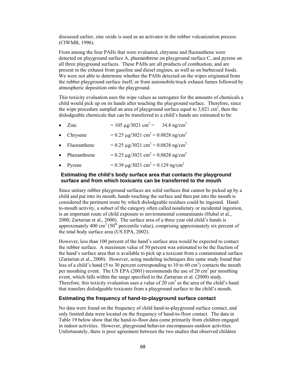discussed earlier, zinc oxide is used as an activator in the rubber vulcanization process (CIWMB, 1996).

From among the four PAHs that were evaluated, chrysene and fluoranthene were detected on playground surface A, phenanthrene on playground surface C, and pyrene on all three playground surfaces. These PAHs are all products of combustion, and are present in the exhaust from gasoline and diesel engines, as well as on barbecued foods. We were not able to determine whether the PAHs detected on the wipes originated from the rubber playground surface itself, or from automobile/truck exhaust fumes followed by atmospheric deposition onto the playground.

This toxicity evaluation uses the wipe values as surrogates for the amounts of chemicals a child would pick up on its hands after touching the playground surface. Therefore, since the wipe procedure sampled an area of playground surface equal to  $3,021$  cm<sup>2</sup>, then the dislodgeable chemicals that can be transferred to a child's hands are estimated to be:

- Zinc  $= 105 \text{ µg}/3021 \text{ cm}^2 = 34.8 \text{ ng/cm}^2$
- Chrysene  $= 0.25 \text{ µg}/3021 \text{ cm}^2 = 0.0828 \text{ ng/cm}^2$
- Fluoranthene  $= 0.25 \text{ µg}/3021 \text{ cm}^2 = 0.0828 \text{ ng/cm}^2$
- Phenanthrene  $= 0.25 \,\mu\text{g}/3021 \text{ cm}^2 = 0.0828 \text{ ng/cm}^2$
- Pyrene  $= 0.39 \text{ µg}/3021 \text{ cm}^2 = 0.129 \text{ ng/cm}^2$

# **Estimating the child's body surface area that contacts the playground surface and from which toxicants can be transferred to the mouth**

Since unitary rubber playground surfaces are solid surfaces that cannot be picked up by a child and put into its mouth, hands touching the surface and then put into the mouth is considered the pertinent route by which dislodgeable residues could be ingested. Handto-mouth activity, a subset of the category often called nondietary or incidental ingestion, is an important route of child exposure to environmental contaminants (Hubal et al., 2000; Zartarian et al., 2000). The surface area of a three year old child's hands is approximately 400 cm<sup>2</sup> (50<sup>th</sup> percentile value), comprising approximately six percent of the total body surface area (US EPA, 2002).

However, less than 100 percent of the hand's surface area would be expected to contact the rubber surface. A maximum value of 50 percent was estimated to be the fraction of the hand's surface area that is available to pick up a toxicant from a contaminated surface (Zartarian et al., 2000). However, using modeling techniques this same study found that less of a child's hand (5 to 30 percent corresponding to 10 to 60 cm<sup>2</sup>) contacts the mouth per mouthing event. The US EPA (2001) recommends the use of 20 cm<sup>2</sup> per mouthing event, which falls within the range specified in the Zartarian et al. (2000) study. Therefore, this toxicity evaluation uses a value of 20  $\text{cm}^2$  as the area of the child's hand that transfers dislodgeable toxicants from a playground surface to the child's mouth.

#### **Estimating the frequency of hand-to-playground surface contact**

No data were found on the frequency of child hand-to-playground surface contact, and only limited data were located on the frequency of hand-to-floor contact. The data in Table 19 below show that the hand-to-floor data come primarily from children engaged in indoor activities. However, playground behavior encompasses outdoor activities. Unfortunately, there is poor agreement between the two studies that observed children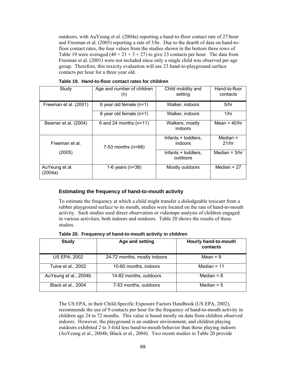outdoors, with AuYeung et al. (2004a) reporting a hand-to-floor contact rate of 27/hour and Freeman et al. (2005) reporting a rate of 3/hr. Due to the dearth of data on hand-tofloor contact rates, the four values from the studies shown in the bottom three rows of Table 19 were averaged  $(40 + 21 + 3 + 27)$  to give 23 contacts per hour. The data from Freeman et al. (2001) were not included since only a single child was observed per age group. Therefore, this toxicity evaluation will use 23 hand-to-playground surface contacts per hour for a three year old.

| Study                     | Age and number of children<br>(n) | Child mobility and<br>setting   | Hand-to-floor<br>contacts |
|---------------------------|-----------------------------------|---------------------------------|---------------------------|
| Freeman et al. (2001)     | 6 year old female $(n=1)$         | Walker, indoors                 | 5/hr                      |
|                           | 8 year old female (n=1)           | Walker, indoors                 | 1/hr                      |
| Beamer et al. (2004)      | 6 and 24 months $(n=11)$          | Walkers, mostly<br>indoors      | Mean = $40$ /hr           |
| Freeman et al.            | 7-53 months $(n=68)$              | Infants + toddlers,<br>indoors  | Median $=$<br>21/hr       |
| (2005)                    |                                   | Infants + toddlers,<br>outdoors | Median = $3/hr$           |
| AuYeung et al.<br>(2004a) | 1-6 years $(n=38)$                | Mostly outdoors                 | Median = $27$             |

**Table 19. Hand-to-floor contact rates for children** 

# **Estimating the frequency of hand-to-mouth activity**

To estimate the frequency at which a child might transfer a dislodgeable toxicant from a rubber playground surface to its mouth, studies were located on the rate of hand-to-mouth activity. Such studies used direct observation or videotape analysis of children engaged in various activities, both indoors and outdoors. Table 20 shows the results of those studies.

**Table 20. Frequency of hand-to-mouth activity in children** 

| <b>Study</b>          | Age and setting              | Hourly hand-to-mouth<br>contacts |
|-----------------------|------------------------------|----------------------------------|
| <b>US EPA, 2002</b>   | 24-72 months, mostly indoors | Mean = $9$                       |
| Tulve et al., 2002    | 10-60 months, indoors        | Median = $11$                    |
| AuYeung et al., 2004b | 14-82 months, outdoors       | Median = $8$                     |
| Black et al., 2004    | 7-53 months, outdoors        | Median = $5$                     |

The US EPA, in their Child-Specific Exposure Factors Handbook (US EPA, 2002), recommends the use of 9 contacts per hour for the frequency of hand-to-mouth activity in children age 24 to 72 months. This value is based mostly on data from children observed indoors. However, the playground is an outdoor environment, and children playing outdoors exhibited 2 to 3-fold less hand-to-mouth behavior than those playing indoors (AuYeung et al., 2004b; Black et al., 2004). Two recent studies in Table 20 provide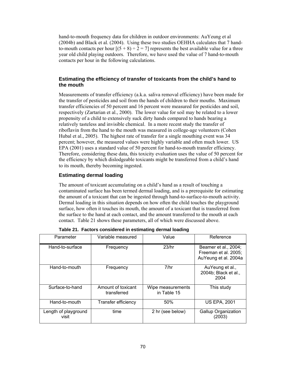hand-to-mouth frequency data for children in outdoor environments: AuYeung et al (2004b) and Black et al. (2004). Using these two studies OEHHA calculates that 7 handto-mouth contacts per hour  $[(5 + 8) \div 2 = 7]$  represents the best available value for a three year old child playing outdoors. Therefore, we have used the value of 7 hand-to-mouth contacts per hour in the following calculations.

# **Estimating the efficiency of transfer of toxicants from the child's hand to the mouth**

Measurements of transfer efficiency (a.k.a. saliva removal efficiency) have been made for the transfer of pesticides and soil from the hands of children to their mouths. Maximum transfer efficiencies of 50 percent and 16 percent were measured for pesticides and soil, respectively (Zartarian et al., 2000). The lower value for soil may be related to a lower propensity of a child to extensively suck dirty hands compared to hands bearing a relatively tasteless and invisible chemical. In a more recent study the transfer of riboflavin from the hand to the mouth was measured in college-age volunteers (Cohen Hubal et al., 2005). The highest rate of transfer for a single mouthing event was 34 percent; however, the measured values were highly variable and often much lower. US EPA (2001) uses a standard value of 50 percent for hand-to-mouth transfer efficiency. Therefore, considering these data, this toxicity evaluation uses the value of 50 percent for the efficiency by which dislodgeable toxicants might be transferred from a child's hand to its mouth, thereby becoming ingested.

# **Estimating dermal loading**

The amount of toxicant accumulating on a child's hand as a result of touching a contaminated surface has been termed dermal loading, and is a prerequisite for estimating the amount of a toxicant that can be ingested through hand-to-surface-to-mouth activity. Dermal loading in this situation depends on how often the child touches the playground surface, how often it touches its mouth, the amount of a toxicant that is transferred from the surface to the hand at each contact, and the amount transferred to the mouth at each contact. Table 21 shows these parameters, all of which were discussed above.

| Parameter                     | Variable measured                 | Value                            | Reference                                                            |
|-------------------------------|-----------------------------------|----------------------------------|----------------------------------------------------------------------|
| Hand-to-surface               | Frequency                         | 23/hr                            | Beamer et al., 2004;<br>Freeman et al. 2005;<br>AuYeung et al. 2004a |
| Hand-to-mouth                 | Frequency                         | 7/hr                             | AuYeung et al.,<br>2004b; Black et al.,<br>2004                      |
| Surface-to-hand               | Amount of toxicant<br>transferred | Wipe measurements<br>in Table 15 | This study                                                           |
| Hand-to-mouth                 | Transfer efficiency               | 50%                              | <b>US EPA, 2001</b>                                                  |
| Length of playground<br>visit | time                              | 2 hr (see below)                 | <b>Gallup Organization</b><br>(2003)                                 |

|  |  |  | Table 21. Factors considered in estimating dermal loading |  |  |
|--|--|--|-----------------------------------------------------------|--|--|
|--|--|--|-----------------------------------------------------------|--|--|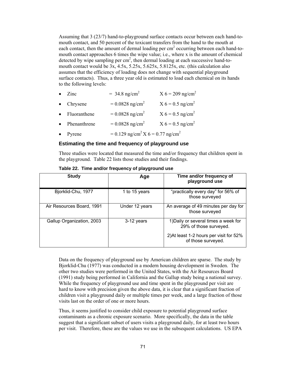Assuming that 3 (23/7) hand-to-playground surface contacts occur between each hand-tomouth contact, and 50 percent of the toxicant transfers from the hand to the mouth at each contact, then the amount of dermal loading per  $cm<sup>2</sup>$  occurring between each hand-tomouth contact approaches 6 times the wipe value; i.e., where x is the amount of chemical detected by wipe sampling per  $cm<sup>2</sup>$ , then dermal loading at each successive hand-tomouth contact would be 3x, 4.5x, 5.25x, 5.625x, 5.8125x, etc. (this calculation also assumes that the efficiency of loading does not change with sequential playground surface contacts). Thus, a three year old is estimated to load each chemical on its hands to the following levels:

| $\bullet$ | Zinc         | $= 34.8$ ng/cm <sup>2</sup>                                | $X 6 = 209$ ng/cm <sup>2</sup> |
|-----------|--------------|------------------------------------------------------------|--------------------------------|
|           | • Chrysene   | $= 0.0828$ ng/cm <sup>2</sup>                              | $X 6 = 0.5$ ng/cm <sup>2</sup> |
| $\bullet$ | Fluoranthene | $= 0.0828$ ng/cm <sup>2</sup>                              | $X 6 = 0.5$ ng/cm <sup>2</sup> |
|           | Phenanthrene | $= 0.0828$ ng/cm <sup>2</sup>                              | $X 6 = 0.5$ ng/cm <sup>2</sup> |
| $\bullet$ | Pyrene       | $= 0.129$ ng/cm <sup>2</sup> X 6 = 0.77 ng/cm <sup>2</sup> |                                |

#### **Estimating the time and frequency of playground use**

Three studies were located that measured the time and/or frequency that children spent in the playground. Table 22 lists those studies and their findings.

| <b>Study</b>              | Age            | Time and/or frequency of<br>playground use                     |
|---------------------------|----------------|----------------------------------------------------------------|
| Bjorklid-Chu, 1977        | 1 to 15 years  | "practically every day" for 56% of<br>those surveyed           |
| Air Resources Board, 1991 | Under 12 years | An average of 49 minutes per day for<br>those surveyed         |
| Gallup Organization, 2003 | 3-12 years     | 1) Daily or several times a week for<br>29% of those surveyed. |
|                           |                | 2) At least 1-2 hours per visit for 52%<br>of those surveyed.  |

Data on the frequency of playground use by American children are sparse. The study by Bjorklid-Chu (1977) was conducted in a modern housing development in Sweden. The other two studies were performed in the United States, with the Air Resources Board (1991) study being performed in California and the Gallup study being a national survey. While the frequency of playground use and time spent in the playground per visit are hard to know with precision given the above data, it is clear that a significant fraction of children visit a playground daily or multiple times per week, and a large fraction of those visits last on the order of one or more hours.

Thus, it seems justified to consider child exposure to potential playground surface contaminants as a chronic exposure scenario. More specifically, the data in the table suggest that a significant subset of users visits a playground daily, for at least two hours per visit. Therefore, these are the values we use in the subsequent calculations. US EPA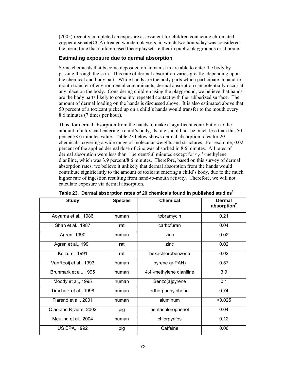(2005) recently completed an exposure assessment for children contacting chromated copper arsenate(CCA)-treated wooden playsets, in which two hours/day was considered the mean time that children used these playsets, either in public playgrounds or at home.

# **Estimating exposure due to dermal absorption**

Some chemicals that become deposited on human skin are able to enter the body by passing through the skin. This rate of dermal absorption varies greatly, depending upon the chemical and body part. While hands are the body parts which participate in hand-tomouth transfer of environmental contaminants, dermal absorption can potentially occur at any place on the body. Considering children using the playground, we believe that hands are the body parts likely to come into repeated contact with the rubberized surface. The amount of dermal loading on the hands is discussed above. It is also estimated above that 50 percent of a toxicant picked up on a child's hands would transfer to the mouth every 8.6 minutes (7 times per hour).

Thus, for dermal absorption from the hands to make a significant contribution to the amount of a toxicant entering a child's body, its rate should not be much less than this 50 percent/8.6 minutes value. Table 23 below shows dermal absorption rates for 20 chemicals, covering a wide range of molecular weights and structures. For example, 0.02 percent of the applied dermal dose of zinc was absorbed in 8.6 minutes. All rates of dermal absorption were less than 1 percent/8.6 minutes except for 4,4'-methylene dianiline, which was 3.9 percent/8.6 minutes. Therefore, based on this survey of dermal absorption rates, we believe it unlikely that dermal absorption from the hands would contribute significantly to the amount of toxicant entering a child's body, due to the much higher rate of ingestion resulting from hand-to-mouth activity. Therefore, we will not calculate exposure via dermal absorption.

| <b>Study</b>           | <b>Species</b> | <b>Chemical</b>          | <b>Dermal</b><br>absorption <sup>2</sup> |
|------------------------|----------------|--------------------------|------------------------------------------|
| Aoyama et al., 1986    | human          | tobramycin               | 0.21                                     |
| Shah et al., 1987      | rat            | carbofuran               | 0.04                                     |
| Agren, 1990            | human          | zinc                     | 0.02                                     |
| Agren et al., 1991     | rat            | zinc                     | 0.02                                     |
| Koizumi, 1991          | rat            | hexachlorobenzene        | 0.02                                     |
| VanRooij et al., 1993  | human          | pyrene (a PAH)           | 0.57                                     |
| Brunmark et al., 1995  | human          | 4,4'-methylene dianiline | 3.9                                      |
| Moody et al., 1995     | human          | Benzo[a]pyrene           | 0.1                                      |
| Timchalk et al., 1998  | human          | ortho-phenylphenol       | 0.74                                     |
| Flarend et al., 2001   | human          | aluminum                 | < 0.025                                  |
| Qiao and Riviere, 2002 | pig            | pentachlorophenol        | 0.04                                     |
| Meuling et al., 2004   | human          | chlorpyrifos             | 0.12                                     |
| <b>US EPA, 1992</b>    | pig            | Caffeine                 | 0.06                                     |

**Table 23. Dermal absorption rates of 20 chemicals found in published studies<sup>1</sup>**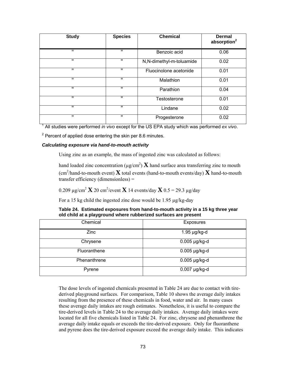| <b>Study</b> | <b>Species</b> | <b>Chemical</b>          | <b>Dermal</b><br>absorption <sup>2</sup> |
|--------------|----------------|--------------------------|------------------------------------------|
| $\mathbf H$  | П.             | Benzoic acid             | 0.06                                     |
| $\mathbf H$  | $\mathbf{H}$   | N,N-dimethyl-m-toluamide | 0.02                                     |
| $\mathbf H$  | $\mathbf H$    | Fluocinolone acetonide   | 0.01                                     |
| $\mathbf H$  | $\mathbf H$    | Malathion                | 0.01                                     |
| $\mathbf H$  | $\mathbf{H}$   | Parathion                | 0.04                                     |
| $\mathbf{u}$ | $\mathbf H$    | Testosterone             | 0.01                                     |
| $\mathbf{u}$ | $\mathbf{H}$   | Lindane                  | 0.02                                     |
| $\mathbf{u}$ | $\mathbf{H}$   | Progesterone             | 0.02                                     |

1 All studies were performed *in vivo* except for the US EPA study which was performed *ex vivo*.

 $2$  Percent of applied dose entering the skin per 8.6 minutes.

### *Calculating exposure via hand-to-mouth activity*

Using zinc as an example, the mass of ingested zinc was calculated as follows:

hand loaded zinc concentration ( $\mu$ g/cm<sup>2</sup>) **X** hand surface area transferring zinc to mouth (cm2 /hand-to-mouth event) **X** total events (hand-to-mouth events/day) **X** hand-to-mouth transfer efficiency (dimensionless) =

0.209  $\mu$ g/cm<sup>2</sup> **X** 20 cm<sup>2</sup>/event **X** 14 events/day **X** 0.5 = 29.3  $\mu$ g/day

For a 15 kg child the ingested zinc dose would be 1.95 µg/kg-day

| Table 24. Estimated exposures from hand-to-mouth activity in a 15 kg three year |  |  |
|---------------------------------------------------------------------------------|--|--|
| old child at a playground where rubberized surfaces are present                 |  |  |

| Chemical     | <b>Exposures</b>  |
|--------------|-------------------|
| Zinc         | $1.95 \mu g/kg-d$ |
| Chrysene     | 0.005 µg/kg-d     |
| Fluoranthene | 0.005 µg/kg-d     |
| Phenanthrene | $0.005$ µg/kg-d   |
| Pyrene       | $0.007$ µg/kg-d   |

The dose levels of ingested chemicals presented in Table 24 are due to contact with tirederived playground surfaces. For comparison, Table 10 shows the average daily intakes resulting from the presence of these chemicals in food, water and air. In many cases these average daily intakes are rough estimates. Nonetheless, it is useful to compare the tire-derived levels in Table 24 to the average daily intakes. Average daily intakes were located for all five chemicals listed in Table 24. For zinc, chrysene and phenanthrene the average daily intake equals or exceeds the tire-derived exposure. Only for fluoranthene and pyrene does the tire-derived exposure exceed the average daily intake. This indicates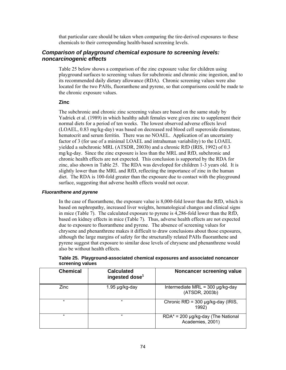that particular care should be taken when comparing the tire-derived exposures to these chemicals to their corresponding health-based screening levels.

# *Comparison of playground chemical exposure to screening levels: noncarcinogenic effects*

Table 25 below shows a comparison of the zinc exposure value for children using playground surfaces to screening values for subchronic and chronic zinc ingestion, and to its recommended daily dietary allowance (RDA). Chronic screening values were also located for the two PAHs, fluoranthene and pyrene, so that comparisons could be made to the chronic exposure values.

# **Zinc**

The subchronic and chronic zinc screening values are based on the same study by Yadrick et al. (1989) in which healthy adult females were given zinc to supplement their normal diets for a period of ten weeks. The lowest observed adverse effects level (LOAEL, 0.83 mg/kg-day) was based on decreased red blood cell superoxide dismutase, hematocrit and serum ferritin. There was no NOAEL. Application of an uncertainty factor of 3 (for use of a minimal LOAEL and intrahuman variability) to the LOAEL yielded a subchronic MRL (ATSDR, 2003b) and a chronic RfD (IRIS, 1992) of 0.3 mg/kg-day. Since the zinc exposure is less than the MRL and RfD, subchronic and chronic health effects are not expected. This conclusion is supported by the RDA for zinc, also shown in Table 25. The RDA was developed for children 1-3 years old. It is slightly lower than the MRL and RfD, reflecting the importance of zinc in the human diet. The RDA is 100-fold greater than the exposure due to contact with the playground surface, suggesting that adverse health effects would not occur.

#### *Fluoranthene and pyrene*

In the case of fluoranthene, the exposure value is 8,000-fold lower than the RfD, which is based on nephropathy, increased liver weights, hematological changes and clinical signs in mice (Table 7). The calculated exposure to pyrene is 4,286-fold lower than the RfD, based on kidney effects in mice (Table 7). Thus, adverse health effects are not expected due to exposure to fluoranthene and pyrene. The absence of screening values for chrysene and phenanthrene makes it difficult to draw conclusions about those exposures, although the large margins of safety for the structurally related PAHs fluoranthene and pyrene suggest that exposure to similar dose levels of chrysene and phenanthrene would also be without health effects.

| <b>Chemical</b> | <b>Calculated</b><br>ingested dose <sup>1</sup> | Noncancer screening value                                    |
|-----------------|-------------------------------------------------|--------------------------------------------------------------|
| Zinc            | 1.95 µg/kg-day                                  | Intermediate MRL = $300 \mu g/kg$ -day<br>(ATSDR, 2003b)     |
| $\epsilon$      | $^{16}$                                         | Chronic RfD = $300 \mu g/kg$ -day (IRIS,<br>1992)            |
| $\epsilon$      | $^{16}$                                         | $RDA* = 200 \mu g/kg$ -day (The National<br>Academies, 2001) |

**Table 25. Playground-associated chemical exposures and associated noncancer screening values**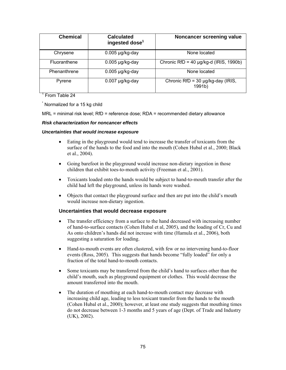| <b>Chemical</b> | <b>Calculated</b><br>ingested dose <sup>1</sup> | Noncancer screening value                                    |
|-----------------|-------------------------------------------------|--------------------------------------------------------------|
| Chrysene        | $0.005$ µg/kg-day                               | None located                                                 |
| Fluoranthene    | $0.005$ µg/kg-day                               | Chronic RfD = 40 $\mu$ g/kg-d (IRIS, 1990b)                  |
| Phenanthrene    | $0.005$ µg/kg-day                               | None located                                                 |
| Pyrene          | $0.007$ µg/kg-day                               | Chronic RfD = $30 \mu g/kg$ -day (IRIS,<br>1991 <sub>b</sub> |

<sup>1</sup> From Table 24

\* Normalized for a 15 kg child

MRL = minimal risk level; RfD = reference dose; RDA = recommended dietary allowance

# *Risk characterization for noncancer effects*

#### *Uncertainties that would increase exposure*

- Eating in the playground would tend to increase the transfer of toxicants from the surface of the hands to the food and into the mouth (Cohen Hubal et al., 2000; Black et al., 2004).
- Going barefoot in the playground would increase non-dietary ingestion in those children that exhibit toes-to-mouth activity (Freeman et al., 2001).
- Toxicants loaded onto the hands would be subject to hand-to-mouth transfer after the child had left the playground, unless its hands were washed.
- Objects that contact the playground surface and then are put into the child's mouth would increase non-dietary ingestion.

# **Uncertainties that would decrease exposure**

- The transfer efficiency from a surface to the hand decreased with increasing number of hand-to-surface contacts (Cohen Hubal et al, 2005), and the loading of Cr, Cu and As onto children's hands did not increase with time (Hamula et al., 2006), both suggesting a saturation for loading.
- Hand-to-mouth events are often clustered, with few or no intervening hand-to-floor events (Ross, 2005). This suggests that hands become "fully loaded" for only a fraction of the total hand-to-mouth contacts.
- Some toxicants may be transferred from the child's hand to surfaces other than the child's mouth, such as playground equipment or clothes. This would decrease the amount transferred into the mouth.
- The duration of mouthing at each hand-to-mouth contact may decrease with increasing child age, leading to less toxicant transfer from the hands to the mouth (Cohen Hubal et al., 2000); however, at least one study suggests that mouthing times do not decrease between 1-3 months and 5 years of age (Dept. of Trade and Industry (UK), 2002).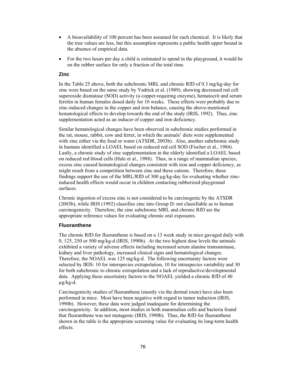- A bioavailability of 100 percent has been assumed for each chemical. It is likely that the true values are less, but this assumption represents a public health upper bound in the absence of empirical data.
- For the two hours per day a child is estimated to spend in the playground, it would be on the rubber surface for only a fraction of the total time.

# **Zinc**

In the Table 25 above, both the subchronic MRL and chronic RfD of 0.3 mg/kg-day for zinc were based on the same study by Yadrick et al. (1989), showing decreased red cell superoxide dismutase (SOD) activity (a copper-requiring enzyme), hematocrit and serum ferritin in human females dosed daily for 10 weeks. These effects were probably due to zinc-induced changes in the copper and iron balance, causing the above-mentioned hematological effects to develop towards the end of the study (IRIS, 1992). Thus, zinc supplementation acted as an inducer of copper and iron deficiency.

Similar hematological changes have been observed in subchronic studies performed in the rat, mouse, rabbit, cow and ferret, in which the animals' diets were supplemented with zinc either via the food or water (ATSDR, 2003b). Also, another subchronic study in humans identified a LOAEL based on reduced red cell SOD (Fischer et al., 1984). Lastly, a chronic study of zinc supplementation in the elderly identified a LOAEL based on reduced red blood cells (Hale et al., 1988). Thus, in a range of mammalian species, excess zinc caused hematological changes consistent with iron and copper deficiency, as might result from a competition between zinc and these cations. Therefore, these findings support the use of the MRL/RfD of 300  $\mu$ g/kg-day for evaluating whether zincinduced health effects would occur in children contacting rubberized playground surfaces.

Chronic ingestion of excess zinc is not considered to be carcinogenic by the ATSDR (2003b), while IRIS (1992) classifies zinc into Group D: not classifiable as to human carcinogenicity. Therefore, the zinc subchronic MRL and chronic RfD are the appropriate reference values for evaluating chronic oral exposures.

# **Fluoranthene**

The chronic RfD for fluoranthene is based on a 13 week study in mice gavaged daily with 0, 125, 250 or 500 mg/kg-d (IRIS, 1990b). At the two highest dose levels the animals exhibited a variety of adverse effects including increased serum alanine transaminase, kidney and liver pathology, increased clinical signs and hematological changes. Therefore, the NOAEL was 125 mg/kg-d. The following uncertainty factors were selected by IRIS: 10 for interspecies extrapolation, 10 for intraspecies variability and 30 for both subchronic to chronic extrapolation and a lack of reproductive/developmental data. Applying these uncertainty factors to the NOAEL yielded a chronic RfD of 40 µg/kg-d.

Carcinogenicity studies of fluoranthene (mostly via the dermal route) have also been performed in mice. Most have been negative with regard to tumor induction (IRIS, 1990b). However, these data were judged inadequate for determining the carcinogenicity. In addition, most studies in both mammalian cells and bacteria found that fluoranthene was not mutagenic (IRIS, 1990b). Thus, the RfD for fluoranthene shown in the table is the appropriate screening value for evaluating its long-term health effects.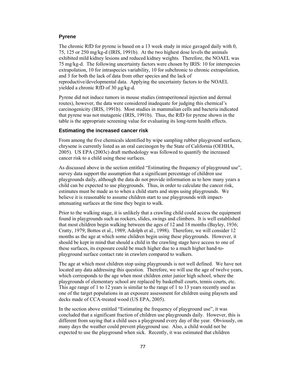#### **Pyrene**

The chronic RfD for pyrene is based on a 13 week study in mice gavaged daily with 0, 75, 125 or 250 mg/kg-d (IRIS, 1991b). At the two highest dose levels the animals exhibited mild kidney lesions and reduced kidney weights. Therefore, the NOAEL was 75 mg/kg-d. The following uncertainty factors were chosen by IRIS: 10 for interspecies extrapolation, 10 for intraspecies variability, 10 for subchronic to chronic extrapolation, and 3 for both the lack of data from other species and the lack of reproductive/developmental data. Applying the uncertainty factors to the NOAEL yielded a chronic RfD of 30 µg/kg-d.

Pyrene did not induce tumors in mouse studies (intraperitoneal injection and dermal routes), however, the data were considered inadequate for judging this chemical's carcinogenicity (IRIS, 1991b). Most studies in mammalian cells and bacteria indicated that pyrene was not mutagenic (IRIS, 1991b). Thus, the RfD for pyrene shown in the table is the appropriate screening value for evaluating its long-term health effects.

#### **Estimating the increased cancer risk**

From among the five chemicals identified by wipe sampling rubber playground surfaces, chrysene is currently listed as an oral carcinogen by the State of California (OEHHA, 2005). US EPA (2003c) draft methodology was followed to quantify the increased cancer risk to a child using these surfaces.

As discussed above in the section entitled "Estimating the frequency of playground use", survey data support the assumption that a significant percentage of children use playgrounds daily, although the data do not provide information as to how many years a child can be expected to use playgrounds. Thus, in order to calculate the cancer risk, estimates must be made as to when a child starts and stops using playgrounds. We believe it is reasonable to assume children start to use playgrounds with impactattenuating surfaces at the time they begin to walk.

Prior to the walking stage, it is unlikely that a crawling child could access the equipment found in playgrounds such as rockers, slides, swings and climbers. It is well established that most children begin walking between the ages of 12 and 18 months (Bayley, 1936; Cratty, 1979; Bottos et al., 1989; Adolph et al., 1998). Therefore, we will consider 12 months as the age at which some children begin using these playgrounds. However, it should be kept in mind that should a child in the crawling stage have access to one of these surfaces, its exposure could be much higher due to a much higher hand-toplayground surface contact rate in crawlers compared to walkers.

The age at which most children stop using playgrounds is not well defined. We have not located any data addressing this question. Therefore, we will use the age of twelve years, which corresponds to the age when most children enter junior high school, where the playgrounds of elementary school are replaced by basketball courts, tennis courts, etc. This age range of 1 to 12 years is similar to the range of 1 to 13 years recently used as one of the target populations in an exposure assessment for children using playsets and decks made of CCA-treated wood (US EPA, 2005).

In the section above entitled "Estimating the frequency of playground use", it was concluded that a significant fraction of children use playgrounds daily. However, this is different from saying that a child uses a playground every day of the year. Obviously, on many days the weather could prevent playground use. Also, a child would not be expected to use the playground when sick. Recently, it was estimated that children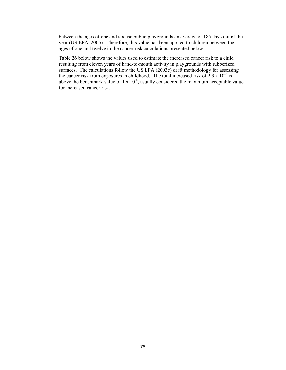between the ages of one and six use public playgrounds an average of 185 days out of the year (US EPA, 2005). Therefore, this value has been applied to children between the ages of one and twelve in the cancer risk calculations presented below.

Table 26 below shows the values used to estimate the increased cancer risk to a child resulting from eleven years of hand-to-mouth activity in playgrounds with rubberized surfaces. The calculations follow the US EPA (2003c) draft methodology for assessing the cancer risk from exposures in childhood. The total increased risk of  $2.9 \times 10^{-6}$  is above the benchmark value of  $1 \times 10^{-6}$ , usually considered the maximum acceptable value for increased cancer risk.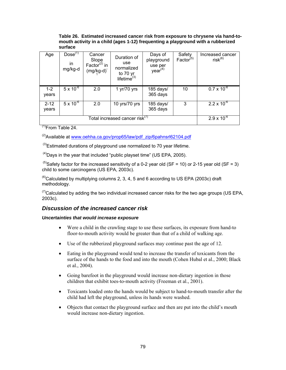#### **Table 26. Estimated increased cancer risk from exposure to chrysene via hand-tomouth activity in a child (ages 1-12) frequenting a playground with a rubberized surface**

| Age               | $Dose^{(1)}$<br>in<br>mg/kg-d | Cancer<br>Slope<br>Factor <sup><math>(2)</math></sup> in<br>(mg/kg-d) <sup>-</sup> | Duration of<br>use<br>normalized<br>to 70 yr<br>lifetime $^{(3)}$ | Days of<br>playground<br>use per<br>year <sup>(4)</sup> | Safety<br>Factor <sup>(5)</sup> | Increased cancer<br>$risk^{(6)}$ |
|-------------------|-------------------------------|------------------------------------------------------------------------------------|-------------------------------------------------------------------|---------------------------------------------------------|---------------------------------|----------------------------------|
| $1 - 2$<br>years  | $5 \times 10^{-6}$            | 2.0                                                                                | 1 $yr/70$ yrs                                                     | 185 days/<br>365 days                                   | 10                              | $0.7 \times 10^{-6}$             |
| $2 - 12$<br>years | $5 \times 10^{-6}$            | 2.0                                                                                | 10 yrs/70 yrs                                                     | 185 days/<br>365 days                                   | 3                               | $2.2 \times 10^{-6}$             |
|                   |                               |                                                                                    | Total increased cancer risk <sup>(7)</sup>                        |                                                         |                                 | $2.9 \times 10^{-6}$             |

 $<sup>(1)</sup>$ From Table 24.</sup>

 $^{(2)}$ Available at www.oehha.ca.gov/prop65/law/pdf\_zip/6pahnsrl62104.pdf

 $^{(3)}$ Estimated durations of playground use normalized to 70 year lifetime.

 $<sup>(4)</sup>$ Days in the year that included "public playset time" (US EPA, 2005).</sup>

<sup>(5)</sup>Safety factor for the increased sensitivity of a 0-2 year old (SF = 10) or 2-15 year old (SF = 3) child to some carcinogens (US EPA, 2003c).

 $^{(6)}$ Calculated by multiplying columns 2, 3, 4, 5 and 6 according to US EPA (2003c) draft methodology.

 $^{(7)}$ Calculated by adding the two individual increased cancer risks for the two age groups (US EPA, 2003c).

# *Discussion of the increased cancer risk*

# *Uncertainties that would increase exposure*

- Were a child in the crawling stage to use these surfaces, its exposure from hand-to floor-to-mouth activity would be greater than that of a child of walking age.
- Use of the rubberized playground surfaces may continue past the age of 12.
- Eating in the playground would tend to increase the transfer of toxicants from the surface of the hands to the food and into the mouth (Cohen Hubal et al., 2000; Black et al., 2004).
- Going barefoot in the playground would increase non-dietary ingestion in those children that exhibit toes-to-mouth activity (Freeman et al., 2001).
- Toxicants loaded onto the hands would be subject to hand-to-mouth transfer after the child had left the playground, unless its hands were washed.
- Objects that contact the playground surface and then are put into the child's mouth would increase non-dietary ingestion.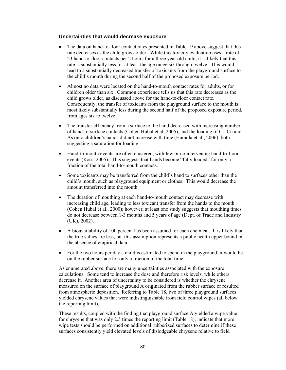# **Uncertainties that would decrease exposure**

- The data on hand-to-floor contact rates presented in Table 19 above suggest that this rate decreases as the child grows older. While this toxicity evaluation uses a rate of 23 hand-to-floor contacts per 2 hours for a three year old child, it is likely that this rate is substantially less for at least the age range six through twelve. This would lead to a substantially decreased transfer of toxicants from the playground surface to the child's mouth during the second half of the proposed exposure period.
- Almost no data were located on the hand-to-mouth contact rates for adults, or for children older than six. Common experience tells us that this rate decreases as the child grows older, as discussed above for the hand-to-floor contact rate. Consequently, the transfer of toxicants from the playground surface to the mouth is most likely substantially less during the second half of the proposed exposure period, from ages six to twelve.
- The transfer efficiency from a surface to the hand decreased with increasing number of hand-to-surface contacts (Cohen Hubal et al, 2005), and the loading of Cr, Cu and As onto children's hands did not increase with time (Hamula et al., 2006), both suggesting a saturation for loading.
- Hand-to-mouth events are often clustered, with few or no intervening hand-to-floor events (Ross, 2005). This suggests that hands become "fully loaded" for only a fraction of the total hand-to-mouth contacts.
- Some toxicants may be transferred from the child's hand to surfaces other than the child's mouth, such as playground equipment or clothes. This would decrease the amount transferred into the mouth.
- The duration of mouthing at each hand-to-mouth contact may decrease with increasing child age, leading to less toxicant transfer from the hands to the mouth (Cohen Hubal et al., 2000); however, at least one study suggests that mouthing times do not decrease between 1-3 months and 5 years of age (Dept. of Trade and Industry (UK), 2002).
- A bioavailability of 100 percent has been assumed for each chemical. It is likely that the true values are less, but this assumption represents a public health upper bound in the absence of empirical data.
- For the two hours per day a child is estimated to spend in the playground, it would be on the rubber surface for only a fraction of the total time.

As enumerated above, there are many uncertainties associated with the exposure calculations. Some tend to increase the dose and therefore risk levels, while others decrease it. Another area of uncertainty to be considered is whether the chrysene measured on the surface of playground A originated from the rubber surface or resulted from atmospheric deposition. Referring to Table 18, two of three playground surfaces yielded chrysene values that were indistinguishable from field control wipes (all below the reporting limit).

These results, coupled with the finding that playground surface A yielded a wipe value for chrysene that was only 2.5 times the reporting limit (Table 18), indicate that more wipe tests should be performed on additional rubberized surfaces to determine if these surfaces consistently yield elevated levels of dislodgeable chrysene relative to field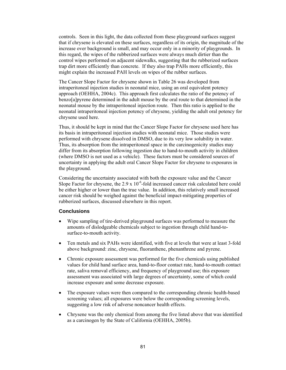controls. Seen in this light, the data collected from these playground surfaces suggest that if chrysene is elevated on these surfaces, regardless of its origin, the magnitude of the increase over background is small, and may occur only in a minority of playgrounds. In this regard, the wipes of the rubberized surfaces were always much dirtier than the control wipes performed on adjacent sidewalks, suggesting that the rubberized surfaces trap dirt more efficiently than concrete. If they also trap PAHs more efficiently, this might explain the increased PAH levels on wipes of the rubber surfaces.

The Cancer Slope Factor for chrysene shown in Table 26 was developed from intraperitoneal injection studies in neonatal mice, using an oral equivalent potency approach (OEHHA, 2004c). This approach first calculates the ratio of the potency of benzo[a]pyrene determined in the adult mouse by the oral route to that determined in the neonatal mouse by the intraperitoneal injection route. Then this ratio is applied to the neonatal intraperitoneal injection potency of chrysene, yielding the adult oral potency for chrysene used here.

Thus, it should be kept in mind that the Cancer Slope Factor for chrysene used here has its basis in intraperitoneal injection studies with neonatal mice. Those studies were performed with chrysene dissolved in DMSO, due to its very low solubility in water. Thus, its absorption from the intraperitoneal space in the carcinogenicity studies may differ from its absorption following ingestion due to hand-to-mouth activity in children (where DMSO is not used as a vehicle). These factors must be considered sources of uncertainty in applying the adult oral Cancer Slope Factor for chrysene to exposures in the playground.

Considering the uncertainty associated with both the exposure value and the Cancer Slope Factor for chrysene, the  $2.9 \times 10^{-6}$ -fold increased cancer risk calculated here could be either higher or lower than the true value. In addition, this relatively small increased cancer risk should be weighed against the beneficial impact-mitigating properties of rubberized surfaces, discussed elsewhere in this report.

#### **Conclusions**

- Wipe sampling of tire-derived playground surfaces was performed to measure the amounts of dislodgeable chemicals subject to ingestion through child hand-tosurface-to-mouth activity.
- Ten metals and six PAHs were identified, with five at levels that were at least 3-fold above background: zinc, chrysene, fluoranthene, phenanthrene and pyrene.
- Chronic exposure assessment was performed for the five chemicals using published values for child hand surface area, hand-to-floor contact rate, hand-to-mouth contact rate, saliva removal efficiency, and frequency of playground use; this exposure assessment was associated with large degrees of uncertainty, some of which could increase exposure and some decrease exposure.
- The exposure values were then compared to the corresponding chronic health-based screening values; all exposures were below the corresponding screening levels, suggesting a low risk of adverse noncancer health effects.
- Chrysene was the only chemical from among the five listed above that was identified as a carcinogen by the State of California (OEHHA, 2005b).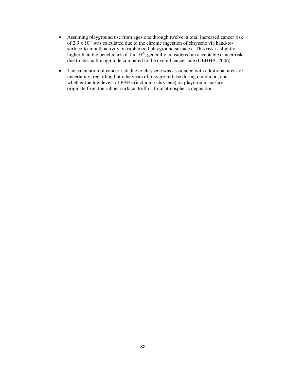- Assuming playground use from ages one through twelve, a total increased cancer risk of 2.9 x  $10^{-6}$  was calculated due to the chronic ingestion of chrysene via hand-tosurface-to-mouth activity on rubberized playground surfaces. This risk is slightly higher than the benchmark of 1 x  $10^{-6}$ , generally considered an acceptable cancer risk due to its small magnitude compared to the overall cancer rate (OEHHA, 2006).
- The calculation of cancer risk due to chrysene was associated with additional areas of uncertainty, regarding both the years of playground use during childhood, and whether the low levels of PAHs (including chrysene) on playground surfaces originate from the rubber surface itself or from atmospheric deposition.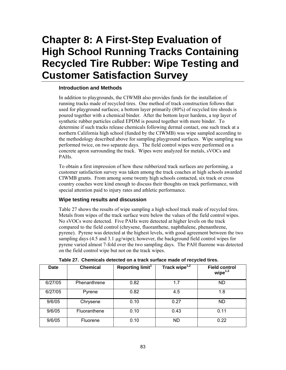# **Chapter 8: A First-Step Evaluation of High School Running Tracks Containing Recycled Tire Rubber: Wipe Testing and Customer Satisfaction Survey**

# **Introduction and Methods**

In addition to playgrounds, the CIWMB also provides funds for the installation of running tracks made of recycled tires. One method of track construction follows that used for playground surfaces; a bottom layer primarily (80%) of recycled tire shreds is poured together with a chemical binder. After the bottom layer hardens, a top layer of synthetic rubber particles called EPDM is poured together with more binder. To determine if such tracks release chemicals following dermal contact, one such track at a northern California high school (funded by the CIWMB) was wipe sampled according to the methodology described above for sampling playground surfaces. Wipe sampling was performed twice, on two separate days. The field control wipes were performed on a concrete apron surrounding the track. Wipes were analyzed for metals, sVOCs and PAHs.

To obtain a first impression of how these rubberized track surfaces are performing, a customer satisfaction survey was taken among the track coaches at high schools awarded CIWMB grants. From among some twenty high schools contacted, six track or cross country coaches were kind enough to discuss their thoughts on track performance, with special attention paid to injury rates and athletic performance.

# **Wipe testing results and discussion**

Table 27 shows the results of wipe sampling a high school track made of recycled tires. Metals from wipes of the track surface were below the values of the field control wipes. No sVOCs were detected. Five PAHs were detected at higher levels on the track compared to the field control (chrysene, fluoranthene, naphthalene, phenanthrene, pyrene). Pyrene was detected at the highest levels, with good agreement between the two sampling days (4.5 and 3.1  $\mu$ g/wipe); however, the background field control wipes for pyrene varied almost 7-fold over the two sampling days. The PAH fluorene was detected on the field control wipe but not on the track wipes.

| <b>Date</b> | <b>Chemical</b> | Reporting limit <sup>1</sup> | Track wipe <sup>1,2</sup> | <b>Field control</b><br>wipe $1,3$ |
|-------------|-----------------|------------------------------|---------------------------|------------------------------------|
| 6/27/05     | Phenanthrene    | 0.82                         | 1.7                       | ND.                                |
| 6/27/05     | Pyrene          | 0.82                         | 4.5                       | 1.8                                |
| 9/6/05      | Chrysene        | 0.10                         | 0.27                      | ND.                                |
| 9/6/05      | Fluoranthene    | 0.10                         | 0.43                      | 0.11                               |
| 9/6/05      | Fluorene        | 0.10                         | <b>ND</b>                 | 0.22                               |

**Table 27. Chemicals detected on a track surface made of recycled tires.**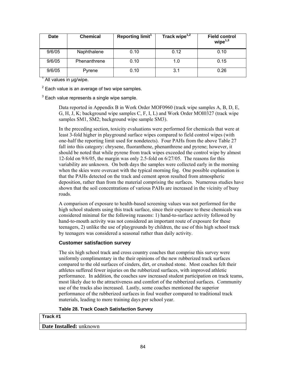| Date   | <b>Chemical</b> | Reporting limit <sup>1</sup> | Track wipe $1,2$ | <b>Field control</b><br>wipe $1,3$ |
|--------|-----------------|------------------------------|------------------|------------------------------------|
| 9/6/05 | Naphthalene     | 0.10                         | 0.12             | 0.10                               |
| 9/6/05 | Phenanthrene    | 0.10                         | 1.0              | 0.15                               |
| 9/6/05 | Pyrene          | 0.10                         | 3.1              | 0.26                               |

<sup>1</sup> All values in µg/wipe.

 $2$  Each value is an average of two wipe samples.

 $3$  Each value represents a single wipe sample.

Data reported in Appendix B in Work Order MOF0960 (track wipe samples A, B, D, E, G, H, J, K; background wipe samples C, F, I, L) and Work Order MOI0327 (track wipe samples SM1, SM2; background wipe sample SM3).

In the preceding section, toxicity evaluations were performed for chemicals that were at least 3-fold higher in playground surface wipes compared to field control wipes (with one-half the reporting limit used for nondetects). Four PAHs from the above Table 27 fall into this category: chrysene, fluoranthene, phenanthrene and pyrene; however, it should be noted that while pyrene from track wipes exceeded the control wipe by almost 12-fold on 9/6/05, the margin was only 2.5-fold on 6/27/05. The reasons for this variability are unknown. On both days the samples were collected early in the morning when the skies were overcast with the typical morning fog. One possible explanation is that the PAHs detected on the track and cement apron resulted from atmospheric deposition, rather than from the material comprising the surfaces. Numerous studies have shown that the soil concentrations of various PAHs are increased in the vicinity of busy roads.

A comparison of exposure to health-based screening values was not performed for the high school students using this track surface, since their exposure to these chemicals was considered minimal for the following reasons: 1) hand-to-surface activity followed by hand-to-mouth activity was not considered an important route of exposure for these teenagers, 2) unlike the use of playgrounds by children, the use of this high school track by teenagers was considered a seasonal rather than daily activity.

# **Customer satisfaction survey**

The six high school track and cross country coaches that comprise this survey were uniformly complimentary in the their opinions of the new rubberized track surfaces compared to the old surfaces of cinders, dirt, or crushed stone. Most coaches felt their athletes suffered fewer injuries on the rubberized surfaces, with improved athletic performance. In addition, the coaches saw increased student participation on track teams, most likely due to the attractiveness and comfort of the rubberized surfaces. Community use of the tracks also increased. Lastly, some coaches mentioned the superior performance of the rubberized surfaces in foul weather compared to traditional track materials, leading to more training days per school year.

**Table 28. Track Coach Satisfaction Survey** 

#### **Track #1**

**Date Installed:** unknown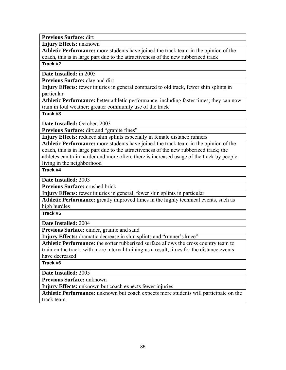**Previous Surface:** dirt

**Injury Effects:** unknown

**Athletic Performance:** more students have joined the track team-in the opinion of the coach, this is in large part due to the attractiveness of the new rubberized track

**Track #2**

**Date Installed:** in 2005

**Previous Surface:** clay and dirt

**Injury Effects:** fewer injuries in general compared to old track, fewer shin splints in particular

**Athletic Performance:** better athletic performance, including faster times; they can now train in foul weather; greater community use of the track

**Track #3**

**Date Installed:** October, 2003

Previous Surface: dirt and "granite fines"

**Injury Effects:** reduced shin splints especially in female distance runners

**Athletic Performance:** more students have joined the track team-in the opinion of the coach, this is in large part due to the attractiveness of the new rubberized track; the athletes can train harder and more often; there is increased usage of the track by people living in the neighborhood

**Track #4**

**Date Installed:** 2003

**Previous Surface:** crushed brick

**Injury Effects:** fewer injuries in general, fewer shin splints in particular

**Athletic Performance:** greatly improved times in the highly technical events, such as high hurdles

**Track #5**

**Date Installed:** 2004

Previous Surface: cinder, granite and sand

**Injury Effects:** dramatic decrease in shin splints and "runner's knee"

**Athletic Performance:** the softer rubberized surface allows the cross country team to train on the track, with more interval training-as a result, times for the distance events have decreased

**Track #6**

**Date Installed:** 2005

**Previous Surface:** unknown

**Injury Effects:** unknown but coach expects fewer injuries

**Athletic Performance:** unknown but coach expects more students will participate on the track team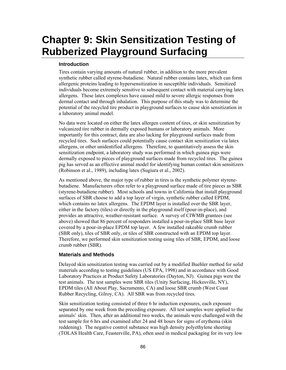# **Chapter 9: Skin Sensitization Testing of Rubberized Playground Surfacing**

# **Introduction**

Tires contain varying amounts of natural rubber, in addition to the more prevalent synthetic rubber called styrene-butadiene. Natural rubber contains latex, which can form allergenic proteins leading to hypersensitization in susceptible individuals. Sensitized individuals become extremely sensitive to subsequent contact with material carrying latex allergens. These latex complexes have caused mild to severe allergic responses from dermal contact and through inhalation. This purpose of this study was to determine the potential of the recycled tire product in playground surfaces to cause skin sensitization in a laboratory animal model.

No data were located on either the latex allergen content of tires, or skin sensitization by vulcanized tire rubber in dermally exposed humans or laboratory animals. More importantly for this contract, data are also lacking for playground surfaces made from recycled tires. Such surfaces could potentially cause contact skin sensitization via latex allergens, or other unidentified allergens. Therefore, to quantitatively assess the skin sensitization endpoint, a laboratory study was performed in which guinea pigs were dermally exposed to pieces of playground surfaces made from recycled tires. The guinea pig has served as an effective animal model for identifying human contact skin sensitizers (Robinson et al., 1989), including latex (Sugiura et al., 2002).

As mentioned above, the major type of rubber in tires is the synthetic polymer styrenebutadiene. Manufacturers often refer to a playground surface made of tire pieces as SBR (styrene-butadiene rubber). Most schools and towns in California that install playground surfaces of SBR choose to add a top layer of virgin, synthetic rubber called EPDM, which contains no latex allergens. The EPDM layer is installed over the SBR layer, either in the factory (tiles) or directly in the playground itself (pour-in-place), and provides an attractive, weather-resistant surface. A survey of CIWMB grantees (see above) showed that 86 percent of responders installed a pour-in-place SBR base layer covered by a pour-in-place EPDM top layer. A few installed rakeable crumb rubber (SBR only), tiles of SBR only, or tiles of SBR constructed with an EPDM top layer. Therefore, we performed skin sensitization testing using tiles of SBR, EPDM, and loose crumb rubber (SBR).

# **Materials and Methods**

Delayed skin sensitization testing was carried out by a modified Buehler method for solid materials according to testing guidelines (US EPA, 1998) and in accordance with Good Laboratory Practices at Product Safety Laboratories (Dayton, NJ). Guinea pigs were the test animals. The test samples were SBR tiles (Unity Surfacing, Hickesville, NY), EPDM tiles (All About Play, Sacramento, CA) and loose SBR crumb (West Coast Rubber Recycling, Gilroy, CA). All SBR was from recycled tires.

Skin sensitization testing consisted of three 6 hr induction exposures, each exposure separated by one week from the preceding exposure. All test samples were applied to the animals' skin. Then, after an additional two weeks, the animals were challenged with the test sample for 6 hrs and examined after 24 and 48 hours for signs of erythema (skin reddening). The negative control substance was high density polyethylene sheeting (TOLAS Health Care, Feasterville, PA), often used in medical packaging for its very low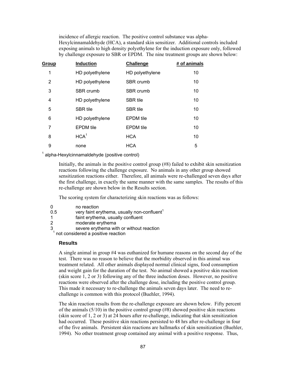incidence of allergic reaction. The positive control substance was alpha-Hexylcinnamaldehyde (HCA), a standard skin sensitizer. Additional controls included exposing animals to high density polyethylene for the induction exposure only, followed by challenge exposure to SBR or EPDM. The nine treatment groups are shown below:

| <b>Group</b> | <b>Induction</b> | Challenge        | # of animals |
|--------------|------------------|------------------|--------------|
| 1            | HD polyethylene  | HD polyethylene  | 10           |
| 2            | HD polyethylene  | SBR crumb        | 10           |
| 3            | SBR crumb        | <b>SBR</b> crumb | 10           |
| 4            | HD polyethylene  | <b>SBR</b> tile  | 10           |
| 5            | <b>SBR</b> tile  | <b>SBR</b> tile  | 10           |
| 6            | HD polyethylene  | <b>EPDM</b> tile | 10           |
| 7            | <b>EPDM</b> tile | <b>EPDM</b> tile | 10           |
| 8            | HCA <sup>1</sup> | <b>HCA</b>       | 10           |
| 9            | none             | <b>HCA</b>       | 5            |

<sup>1</sup> alpha-Hexylcinnamaldehyde (positive control)

Initially, the animals in the positive control group (#8) failed to exhibit skin sensitization reactions following the challenge exposure. No animals in any other group showed sensitization reactions either. Therefore, all animals were re-challenged seven days after the first challenge, in exactly the same manner with the same samples. The results of this re-challenge are shown below in the Results section.

The scoring system for characterizing skin reactions was as follows:

- 0 no reaction<br>0.5 very faint er
- very faint erythema, usually non-confluent $1$
- 1 faint erythema, usually confluent
- 2 moderate erythema
- 3 severe erythema with or without reaction

 $<sup>1</sup>$  not considered a positive reaction</sup>

# **Results**

A single animal in group #4 was euthanized for humane reasons on the second day of the test. There was no reason to believe that the morbidity observed in this animal was treatment related. All other animals displayed normal clinical signs, food consumption and weight gain for the duration of the test. No animal showed a positive skin reaction (skin score 1, 2 or 3) following any of the three induction doses. However, no positive reactions were observed after the challenge dose, including the positive control group. This made it necessary to re-challenge the animals seven days later. The need to rechallenge is common with this protocol (Buehler, 1994).

The skin reaction results from the re-challenge exposure are shown below. Fifty percent of the animals  $(5/10)$  in the positive control group  $(48)$  showed positive skin reactions (skin score of 1, 2 or 3) at 24 hours after re-challenge, indicating that skin sensitization had occurred. These positive skin reactions persisted to 48 hrs after re-challenge in four of the five animals. Persistent skin reactions are hallmarks of skin sensitization (Buehler, 1994). No other treatment group contained any animal with a positive response. Thus,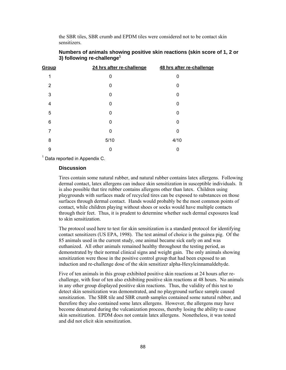the SBR tiles, SBR crumb and EPDM tiles were considered not to be contact skin sensitizers.

| Group | 24 hrs after re-challenge | 48 hrs after re-challenge |
|-------|---------------------------|---------------------------|
| 1     | 0                         | 0                         |
| 2     | 0                         | 0                         |
| 3     | 0                         | 0                         |
| 4     | 0                         | 0                         |
| 5     | 0                         | 0                         |
| 6     | 0                         | 0                         |
| 7     | 0                         | 0                         |
| 8     | 5/10                      | 4/10                      |
| 9     | 0                         | 0                         |

# **Numbers of animals showing positive skin reactions (skin score of 1, 2 or 3) following re-challenge1**

 $1$  Data reported in Appendix C.

#### **Discussion**

Tires contain some natural rubber, and natural rubber contains latex allergens. Following dermal contact, latex allergens can induce skin sensitization in susceptible individuals. It is also possible that tire rubber contains allergens other than latex. Children using playgrounds with surfaces made of recycled tires can be exposed to substances on those surfaces through dermal contact. Hands would probably be the most common points of contact, while children playing without shoes or socks would have multiple contacts through their feet. Thus, it is prudent to determine whether such dermal exposures lead to skin sensitization.

The protocol used here to test for skin sensitization is a standard protocol for identifying contact sensitizers (US EPA, 1998). The test animal of choice is the guinea pig. Of the 85 animals used in the current study, one animal became sick early on and was euthanized. All other animals remained healthy throughout the testing period, as demonstrated by their normal clinical signs and weight gain. The only animals showing sensitization were those in the positive control group that had been exposed to an induction and re-challenge dose of the skin sensitizer alpha-Hexylcinnamaldehyde.

Five of ten animals in this group exhibited positive skin reactions at 24 hours after rechallenge, with four of ten also exhibiting positive skin reactions at 48 hours. No animals in any other group displayed positive skin reactions. Thus, the validity of this test to detect skin sensitization was demonstrated, and no playground surface sample caused sensitization. The SBR tile and SBR crumb samples contained some natural rubber, and therefore they also contained some latex allergens. However, the allergens may have become denatured during the vulcanization process, thereby losing the ability to cause skin sensitization. EPDM does not contain latex allergens. Nonetheless, it was tested and did not elicit skin sensitization.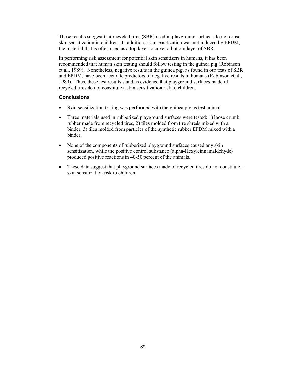These results suggest that recycled tires (SBR) used in playground surfaces do not cause skin sensitization in children. In addition, skin sensitization was not induced by EPDM, the material that is often used as a top layer to cover a bottom layer of SBR.

In performing risk assessment for potential skin sensitizers in humans, it has been recommended that human skin testing should follow testing in the guinea pig (Robinson et al., 1989). Nonetheless, negative results in the guinea pig, as found in our tests of SBR and EPDM, have been accurate predictors of negative results in humans (Robinson et al., 1989). Thus, these test results stand as evidence that playground surfaces made of recycled tires do not constitute a skin sensitization risk to children.

# **Conclusions**

- Skin sensitization testing was performed with the guinea pig as test animal.
- Three materials used in rubberized playground surfaces were tested: 1) loose crumb rubber made from recycled tires, 2) tiles molded from tire shreds mixed with a binder, 3) tiles molded from particles of the synthetic rubber EPDM mixed with a binder.
- None of the components of rubberized playground surfaces caused any skin sensitization, while the positive control substance (alpha-Hexylcinnamaldehyde) produced positive reactions in 40-50 percent of the animals.
- These data suggest that playground surfaces made of recycled tires do not constitute a skin sensitization risk to children.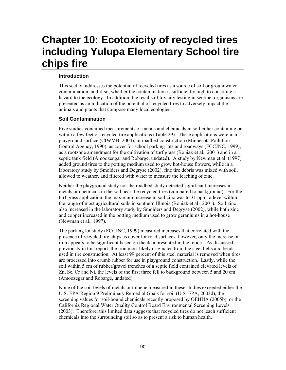# **Chapter 10: Ecotoxicity of recycled tires including Yulupa Elementary School tire chips fire**

# **Introduction**

This section addresses the potential of recycled tires as a source of soil or groundwater contamination, and if so, whether the contamination is sufficiently high to constitute a hazard to the ecology. In addition, the results of toxicity testing in sentinel organisms are presented as an indication of the potential of recycled tires to adversely impact the animals and plants that compose many local ecologies.

# **Soil Contamination**

Five studies contained measurements of metals and chemicals in soil either containing or within a few feet of recycled tire applications (Table 29). These applications were in a playground surface (CIWMB, 2004), in roadbed construction (Minnesota Pollution Control Agency, 1990), as cover for school parking lots and roadways (FCCJNC, 1999), as a rootzone amendment for the cultivation of turf grass (Boniak et al., 2001) and in a septic tank field (Amoozengar and Robarge, undated). A study by Newman et al. (1997) added ground tires to the potting medium used to grow hot-house flowers, while in a laboratory study by Smolders and Degryse (2002), fine tire debris was mixed with soil, allowed to weather, and filtered with water to measure the leaching of zinc.

Neither the playground study nor the roadbed study detected significant increases in metals or chemicals in the soil near the recycled tires (compared to background). For the turf grass application, the maximum increase in soil zinc was to 31 ppm: a level within the range of most agricultural soils in southern Illinois (Boniak et al., 2001). Soil zinc also increased in the laboratory study by Smolders and Degryse (2002), while both zinc and copper increased in the potting medium used to grow geraniums in a hot-house (Newman et al., 1997).

The parking lot study (FCCJNC, 1999) measured increases that correlated with the presence of recycled tire chips as cover for road surfaces: however, only the increase in iron appears to be significant based on the data presented in the report. As discussed previously in this report, the iron most likely originates from the steel belts and beads used in tire construction. At least 99 percent of this steel material is removed when tires are processed into crumb rubber for use in playground construction. Lastly, while the soil within 5 cm of rubber/gravel trenches of a septic field contained elevated levels of Zn, Se, Cr and Ni, the levels of the first three fell to background between 5 and 20 cm (Amoozegar and Robarge, undated).

None of the soil levels of metals or toluene measured in these studies exceeded either the U.S. EPA Region 9 Preliminary Remedial Goals for soil (U.S. EPA, 2003d), the screening values for soil-bound chemicals recently proposed by OEHHA (2005b), or the California Regional Water Quality Control Board Environmental Screening Levels (2003). Therefore, this limited data suggests that recycled tires do not leach sufficient chemicals into the surrounding soil so as to present a risk to human health.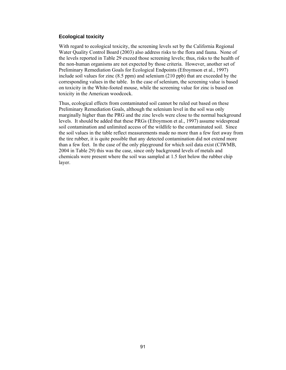#### **Ecological toxicity**

With regard to ecological toxicity, the screening levels set by the California Regional Water Quality Control Board (2003) also address risks to the flora and fauna. None of the levels reported in Table 29 exceed those screening levels; thus, risks to the health of the non-human organisms are not expected by those criteria. However, another set of Preliminary Remediation Goals for Ecological Endpoints (Efroymson et al., 1997) include soil values for zinc (8.5 ppm) and selenium (210 ppb) that are exceeded by the corresponding values in the table. In the case of selenium, the screening value is based on toxicity in the White-footed mouse, while the screening value for zinc is based on toxicity in the American woodcock.

Thus, ecological effects from contaminated soil cannot be ruled out based on these Preliminary Remediation Goals, although the selenium level in the soil was only marginally higher than the PRG and the zinc levels were close to the normal background levels. It should be added that these PRGs (Efroymson et al., 1997) assume widespread soil contamination and unlimited access of the wildlife to the contaminated soil. Since the soil values in the table reflect measurements made no more than a few feet away from the tire rubber, it is quite possible that any detected contamination did not extend more than a few feet. In the case of the only playground for which soil data exist (CIWMB, 2004 in Table 29) this was the case, since only background levels of metals and chemicals were present where the soil was sampled at 1.5 feet below the rubber chip layer.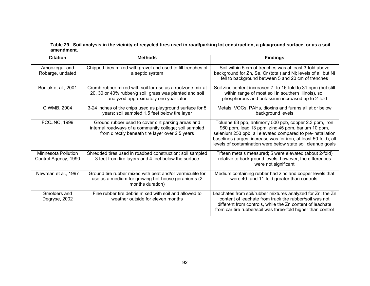**Table 29. Soil analysis in the vicinity of recycled tires used in road/parking lot construction, a playground surface, or as a soil amendment.** 

| <b>Citation</b>                             | <b>Methods</b>                                                                                                                                                  | <b>Findings</b>                                                                                                                                                                                                                                                                                               |
|---------------------------------------------|-----------------------------------------------------------------------------------------------------------------------------------------------------------------|---------------------------------------------------------------------------------------------------------------------------------------------------------------------------------------------------------------------------------------------------------------------------------------------------------------|
| Amoozegar and<br>Robarge, undated           | Chipped tires mixed with gravel and used to fill trenches of<br>a septic system                                                                                 | Soil within 5 cm of trenches was at least 3-fold above<br>background for Zn, Se, Cr (total) and Ni; levels of all but Ni<br>fell to background between 5 and 20 cm of trenches                                                                                                                                |
| Boniak et al., 2001                         | Crumb rubber mixed with soil for use as a rootzone mix at<br>20, 30 or 40% rubber/g soil; grass was planted and soil<br>analyzed approximately one year later   | Soil zinc content increased 7- to 16-fold to 31 ppm (but still<br>within range of most soil in southern Illinois), soil<br>phosphorous and potassium increased up to 2-fold                                                                                                                                   |
| <b>CIWMB, 2004</b>                          | 3-24 inches of tire chips used as playground surface for 5<br>years; soil sampled 1.5 feet below tire layer                                                     | Metals, VOCs, PAHs, dioxins and furans all at or below<br>background levels                                                                                                                                                                                                                                   |
| FCCJNC, 1999                                | Ground rubber used to cover dirt parking areas and<br>internal roadways of a community college; soil sampled<br>from directly beneath tire layer over 2.5 years | Toluene 63 ppb, antimony 500 ppb, copper 2.3 ppm, iron<br>960 ppm, lead 13 ppm, zinc 45 ppm, barium 10 ppm,<br>selenium 253 ppb, all elevated compared to pre-installation<br>baselines (largest increase was for iron, at least 50-fold); all<br>levels of contamination were below state soil cleanup goals |
| Minnesota Pollution<br>Control Agency, 1990 | Shredded tires used in roadbed construction; soil sampled<br>3 feet from tire layers and 4 feet below the surface                                               | Fifteen metals measured; 5 were elevated (about 2-fold)<br>relative to background levels, however, the differences<br>were not significant                                                                                                                                                                    |
| Newman et al., 1997                         | Ground tire rubber mixed with peat and/or vermiculite for<br>use as a medium for growing hot-house geraniums (2)<br>months duration)                            | Medium containing rubber had zinc and copper levels that<br>were 40- and 11-fold greater than controls.                                                                                                                                                                                                       |
| Smolders and<br>Degryse, 2002               | Fine rubber tire debris mixed with soil and allowed to<br>weather outside for eleven months                                                                     | Leachates from soil/rubber mixtures analyzed for Zn: the Zn<br>content of leachate from truck tire rubber/soil was not<br>different from controls, while the Zn content of leachate<br>from car tire rubber/soil was three-fold higher than control                                                           |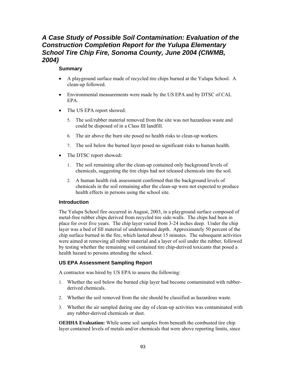# *A Case Study of Possible Soil Contamination: Evaluation of the Construction Completion Report for the Yulupa Elementary School Tire Chip Fire, Sonoma County, June 2004 (CIWMB, 2004)*

# **Summary**

- A playground surface made of recycled tire chips burned at the Yulupa School. A clean-up followed.
- Environmental measurements were made by the US EPA and by DTSC of CAL EPA.
- The US EPA report showed:
	- 5. The soil/rubber material removed from the site was not hazardous waste and could be disposed of in a Class III landfill.
	- 6. The air above the burn site posed no health risks to clean-up workers.
	- 7. The soil below the burned layer posed no significant risks to human health.
- The DTSC report showed**:** 
	- 1. The soil remaining after the clean-up contained only background levels of chemicals, suggesting the tire chips had not released chemicals into the soil.
	- 2. A human health risk assessment confirmed that the background levels of chemicals in the soil remaining after the clean-up were not expected to produce health effects in persons using the school site.

# **Introduction**

The Yulupa School fire occurred in August, 2003, in a playground surface composed of metal-free rubber chips derived from recycled tire side-walls. The chips had been in place for over five years. The chip layer varied from 3-24 inches deep. Under the chip layer was a bed of fill material of undetermined depth. Approximately 50 percent of the chip surface burned in the fire, which lasted about 15 minutes. The subsequent activities were aimed at removing all rubber material and a layer of soil under the rubber, followed by testing whether the remaining soil contained tire chip-derived toxicants that posed a health hazard to persons attending the school.

# **US EPA Assessment Sampling Report**

A contractor was hired by US EPA to assess the following:

- 1. Whether the soil below the burned chip layer had become contaminated with rubberderived chemicals.
- 2. Whether the soil removed from the site should be classified as hazardous waste.
- 3. Whether the air sampled during one day of clean-up activities was contaminated with any rubber-derived chemicals or dust.

**OEHHA Evaluation:** While some soil samples from beneath the combusted tire chip layer contained levels of metals and/or chemicals that were above reporting limits, since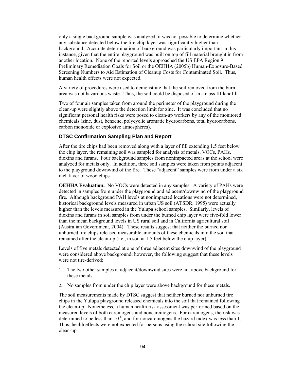only a single background sample was analyzed, it was not possible to determine whether any substance detected below the tire chip layer was significantly higher than background. Accurate determination of background was particularly important in this instance, given that the entire playground was built on top of fill material brought in from another location. None of the reported levels approached the US EPA Region 9 Preliminary Remediation Goals for Soil or the OEHHA (2005b) Human-Exposure-Based Screening Numbers to Aid Estimation of Cleanup Costs for Contaminated Soil. Thus, human health effects were not expected.

A variety of procedures were used to demonstrate that the soil removed from the burn area was not hazardous waste. Thus, the soil could be disposed of in a class III landfill.

Two of four air samples taken from around the perimeter of the playground during the clean-up were slightly above the detection limit for zinc. It was concluded that no significant personal health risks were posed to clean-up workers by any of the monitored chemicals (zinc, dust, benzene, polycyclic aromatic hydrocarbons, total hydrocarbons, carbon monoxide or explosive atmospheres).

#### **DTSC Confirmation Sampling Plan and Report**

After the tire chips had been removed along with a layer of fill extending 1.5 feet below the chip layer, the remaining soil was sampled for analysis of metals, VOCs, PAHs, dioxins and furans. Four background samples from nonimpacted areas at the school were analyzed for metals only. In addition, three soil samples were taken from points adjacent to the playground downwind of the fire. These "adjacent" samples were from under a six inch layer of wood chips.

**OEHHA Evaluation:** No VOCs were detected in any samples. A variety of PAHs were detected in samples from under the playground and adjacent/downwind of the playground fire. Although background PAH levels at nonimpacted locations were not determined, historical background levels measured in urban US soil (ATSDR, 1995) were actually higher than the levels measured in the Yulupa school samples. Similarly, levels of dioxins and furans in soil samples from under the burned chip layer were five-fold lower than the mean background levels in US rural soil and in California agricultural soil (Australian Government, 2004). These results suggest that neither the burned nor unburned tire chips released measurable amounts of these chemicals into the soil that remained after the clean-up (i.e., in soil at 1.5 feet below the chip layer).

Levels of five metals detected at one of three adjacent sites downwind of the playground were considered above background; however, the following suggest that these levels were not tire-derived:

- 1. The two other samples at adjacent/downwind sites were not above background for these metals.
- 2. No samples from under the chip layer were above background for these metals.

The soil measurements made by DTSC suggest that neither burned nor unburned tire chips in the Yulupa playground released chemicals into the soil that remained following the clean-up. Nonetheless, a human health risk assessment was performed based on the measured levels of both carcinogens and noncarcinogens. For carcinogens, the risk was determined to be less than  $10^{-6}$ , and for noncarcinogens the hazard index was less than 1. Thus, health effects were not expected for persons using the school site following the clean-up.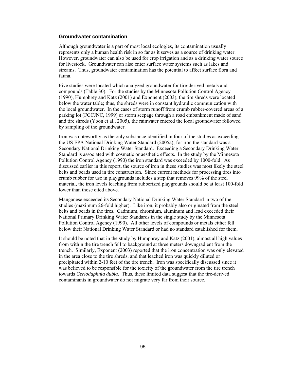#### **Groundwater contamination**

Although groundwater is a part of most local ecologies, its contamination usually represents only a human health risk in so far as it serves as a source of drinking water. However, groundwater can also be used for crop irrigation and as a drinking water source for livestock. Groundwater can also enter surface water systems such as lakes and streams. Thus, groundwater contamination has the potential to affect surface flora and fauna.

Five studies were located which analyzed groundwater for tire-derived metals and compounds (Table 30). For the studies by the Minnesota Pollution Control Agency (1990), Humphrey and Katz (2001) and Exponent (2003), the tire shreds were located below the water table; thus, the shreds were in constant hydraulic communication with the local groundwater. In the cases of storm runoff from crumb rubber-covered areas of a parking lot (FCCJNC, 1999) or storm seepage through a road embankment made of sand and tire shreds (Yoon et al., 2005), the rainwater entered the local groundwater followed by sampling of the groundwater.

Iron was noteworthy as the only substance identified in four of the studies as exceeding the US EPA National Drinking Water Standard (2005a); for iron the standard was a Secondary National Drinking Water Standard. Exceeding a Secondary Drinking Water Standard is associated with cosmetic or aesthetic effects. In the study by the Minnesota Pollution Control Agency (1990) the iron standard was exceeded by 1000-fold. As discussed earlier in this report, the source of iron in these studies was most likely the steel belts and beads used in tire construction. Since current methods for processing tires into crumb rubber for use in playgrounds includes a step that removes 99% of the steel material, the iron levels leaching from rubberized playgrounds should be at least 100-fold lower than those cited above.

Manganese exceeded its Secondary National Drinking Water Standard in two of the studies (maximum 26-fold higher). Like iron, it probably also originated from the steel belts and beads in the tires. Cadmium, chromium, aluminum and lead exceeded their National Primary Drinking Water Standards in the single study by the Minnesota Pollution Control Agency (1990). All other levels of compounds or metals either fell below their National Drinking Water Standard or had no standard established for them.

It should be noted that in the study by Humphrey and Katz (2001), almost all high values from within the tire trench fell to background at three meters downgradient from the trench. Similarly, Exponent (2003) reported that the iron concentration was only elevated in the area close to the tire shreds, and that leached iron was quickly diluted or precipitated within 2-10 feet of the tire trench. Iron was specifically discussed since it was believed to be responsible for the toxicity of the groundwater from the tire trench towards *Ceriodaphnia dubia*. Thus, these limited data suggest that the tire-derived contaminants in groundwater do not migrate very far from their source.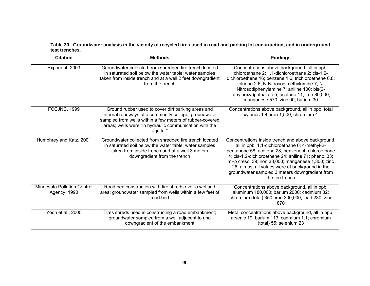**Table 30. Groundwater analysis in the vicinity of recycled tires used in road and parking lot construction, and in underground test trenches.** 

| <b>Citation</b>                                    | <b>Methods</b>                                                                                                                                                                                                                                | <b>Findings</b>                                                                                                                                                                                                                                                                                                                                                                               |
|----------------------------------------------------|-----------------------------------------------------------------------------------------------------------------------------------------------------------------------------------------------------------------------------------------------|-----------------------------------------------------------------------------------------------------------------------------------------------------------------------------------------------------------------------------------------------------------------------------------------------------------------------------------------------------------------------------------------------|
| Exponent, 2003                                     | Groundwater collected from shredded tire trench located<br>in saturated soil below the water table; water samples<br>taken from inside trench and at a well 2 feet downgradient<br>from the trench                                            | Concentrations above background, all in ppb:<br>chloroethane 2; 1,1-dichloroethane 2; cis-1,2-<br>dichloroethene 16; benzene 1.6; trichloroethene 0.8;<br>toluene 2.6; N-Nitrosodimethylamine 7; N-<br>Nitrosodiphenylamine 7; aniline 100; bis(2-<br>ethylhexyl)phthalate 5; acetone 11; iron 80,000;<br>manganese 570; zinc 90; barium 30                                                   |
| FCCJNC, 1999                                       | Ground rubber used to cover dirt parking areas and<br>internal roadways of a community college; groundwater<br>sampled from wells within a few meters of rubber-covered<br>areas; wells were "in hydraulic communication with the<br>aquifer" | Concentrations above background, all in ppb: total<br>xylenes 1.4; iron 1,500; chromium 4                                                                                                                                                                                                                                                                                                     |
| Humphrey and Katz, 2001                            | Groundwater collected from shredded tire trench located<br>in saturated soil below the water table; water samples<br>taken from inside trench and at a well 3 meters<br>downgradient from the trench                                          | Concentrations inside trench and above background,<br>all in ppb: 1,1-dichloroethane 6; 4-methyl-2-<br>pentanone 58; acetone 28; benzene 4; chloroethane<br>4; cis-1,2-dichloroethene 24; aniline 71; phenol 33;<br>m+p cresol 39; iron 33,000; manganese 1,300; zinc<br>26; almost all values were at background in the<br>groundwater sampled 3 meters downgradient from<br>the tire trench |
| <b>Minnesota Pollution Control</b><br>Agency, 1990 | Road bed construction with tire shreds over a wetland<br>area; groundwater sampled from wells within a few feet of<br>road bed                                                                                                                | Concentrations above background, all in ppb:<br>aluminum 180,000; barium 2000; cadmium 32;<br>chromium (total) 350; iron 300,000; lead 230; zinc<br>870                                                                                                                                                                                                                                       |
| Yoon et al., 2005                                  | Tires shreds used in constructing a road embankment;<br>groundwater sampled from a well adjacent to and<br>downgradient of the embankment                                                                                                     | Metal concentrations above background, all in ppb:<br>arsenic 19; barium 113; cadmium 1.1; chromium<br>(total) 55; selenium 23                                                                                                                                                                                                                                                                |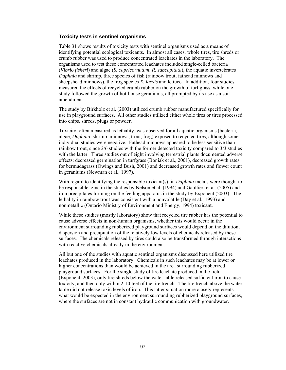#### **Toxicity tests in sentinel organisms**

Table 31 shows results of toxicity tests with sentinel organisms used as a means of identifying potential ecological toxicants. In almost all cases, whole tires, tire shreds or crumb rubber was used to produce concentrated leachates in the laboratory. The organisms used to test these concentrated leachates included single-celled bacteria (*Vibrio fisheri*) and algae (*S. capricornutum, R. subcapitata*), the aquatic invertebrates *Daphnia* and shrimp, three species of fish (rainbow trout, fathead minnows and sheepshead minnows), the frog species *X. laevis* and lettuce. In addition, four studies measured the effects of recycled crumb rubber on the growth of turf grass, while one study followed the growth of hot-house geraniums, all prompted by its use as a soil amendment.

The study by Birkholz et al. (2003) utilized crumb rubber manufactured specifically for use in playground surfaces. All other studies utilized either whole tires or tires processed into chips, shreds, plugs or powder.

Toxicity, often measured as lethality, was observed for all aquatic organisms (bacteria, algae, *Daphnia*, shrimp, minnows, trout, frog) exposed to recycled tires, although some individual studies were negative. Fathead minnows appeared to be less sensitive than rainbow trout, since 2/6 studies with the former detected toxicity compared to 3/3 studies with the latter. Three studies out of eight involving terrestrial plants documented adverse effects: decreased germination in turfgrass (Boniak et al., 2001), decreased growth rates for bermudagrass (Owings and Bush, 2001) and decreased growth rates and flower count in geraniums (Newman et al., 1997).

With regard to identifying the responsible toxicant(s), in *Daphnia* metals were thought to be responsible: zinc in the studies by Nelson et al. (1994) and Gaultieri et al. (2005) and iron precipitates forming on the feeding apparatus in the study by Exponent (2003). The lethality in rainbow trout was consistent with a nonvolatile (Day et al., 1993) and nonmetallic (Ontario Ministry of Environment and Energy, 1994) toxicant.

While these studies (mostly laboratory) show that recycled tire rubber has the potential to cause adverse effects in non-human organisms, whether this would occur in the environment surrounding rubberized playground surfaces would depend on the dilution, dispersion and precipitation of the relatively low levels of chemicals released by these surfaces. The chemicals released by tires could also be transformed through interactions with reactive chemicals already in the environment.

All but one of the studies with aquatic sentinel organisms discussed here utilized tire leachates produced in the laboratory. Chemicals in such leachates may be at lower or higher concentrations than would be achieved in the area surrounding rubberized playground surfaces. For the single study of tire leachate produced in the field (Exponent, 2003), only tire shreds below the water table released sufficient iron to cause toxicity, and then only within 2-10 feet of the tire trench. The tire trench above the water table did not release toxic levels of iron. This latter situation more closely represents what would be expected in the environment surrounding rubberized playground surfaces, where the surfaces are not in constant hydraulic communication with groundwater.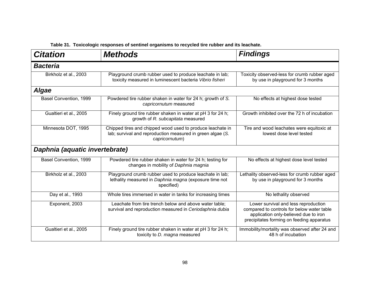| <b>Citation</b>                | <b>Methods</b>                                                                                                                             | <b>Findings</b>                                                                                                                                                          |
|--------------------------------|--------------------------------------------------------------------------------------------------------------------------------------------|--------------------------------------------------------------------------------------------------------------------------------------------------------------------------|
| <b>Bacteria</b>                |                                                                                                                                            |                                                                                                                                                                          |
| Birkholz et al., 2003          | Playground crumb rubber used to produce leachate in lab;<br>toxicity measured in luminescent bacteria Vibrio fisheri                       | Toxicity observed-less for crumb rubber aged<br>by use in playground for 3 months                                                                                        |
| <b>Algae</b>                   |                                                                                                                                            |                                                                                                                                                                          |
| Basel Convention, 1999         | Powdered tire rubber shaken in water for 24 h; growth of S.<br>capricornutum measured                                                      | No effects at highest dose tested                                                                                                                                        |
| Gualtieri et al., 2005         | Finely ground tire rubber shaken in water at pH 3 for 24 h;<br>growth of R. subcapitata measured                                           | Growth inhibited over the 72 h of incubation                                                                                                                             |
| Minnesota DOT, 1995            | Chipped tires and chipped wood used to produce leachate in<br>lab; survival and reproduction measured in green algae (S.<br>capricornutum) | Tire and wood leachates were equitoxic at<br>lowest dose level tested                                                                                                    |
| Daphnia (aquatic invertebrate) |                                                                                                                                            |                                                                                                                                                                          |
| Basel Convention, 1999         | Powdered tire rubber shaken in water for 24 h; testing for<br>changes in mobility of Daphnia magnia                                        | No effects at highest dose level tested                                                                                                                                  |
| Birkholz et al., 2003          | Playground crumb rubber used to produce leachate in lab;<br>lethality measured in Daphnia magna (exposure time not<br>specified)           | Lethality observed-less for crumb rubber aged<br>by use in playground for 3 months                                                                                       |
| Day et al., 1993               | Whole tires immersed in water in tanks for increasing times                                                                                | No lethality observed                                                                                                                                                    |
| Exponent, 2003                 | Leachate from tire trench below and above water table;<br>survival and reproduction measured in Ceriodaphnia dubia                         | Lower survival and less reproduction<br>compared to controls for below water table<br>application only-believed due to iron<br>precipitates forming on feeding apparatus |
| Gualtieri et al., 2005         | Finely ground tire rubber shaken in water at pH 3 for 24 h;<br>toxicity to D. magna measured                                               | Immobility/mortality was observed after 24 and<br>48 h of incubation                                                                                                     |

**Table 31. Toxicologic responses of sentinel organisms to recycled tire rubber and its leachate.**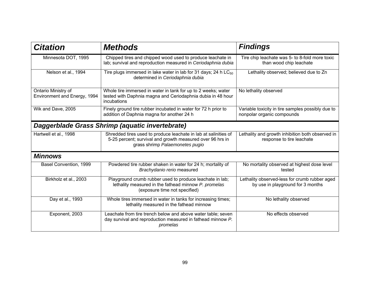| <b>Citation</b>                                     | <b>Methods</b>                                                                                                                                                  | <b>Findings</b>                                                                    |
|-----------------------------------------------------|-----------------------------------------------------------------------------------------------------------------------------------------------------------------|------------------------------------------------------------------------------------|
| Minnesota DOT, 1995                                 | Chipped tires and chipped wood used to produce leachate in<br>lab; survival and reproduction measured in Ceriodaphnia dubia                                     | Tire chip leachate was 5- to 8-fold more toxic<br>than wood chip leachate          |
| Nelson et al., 1994                                 | Tire plugs immersed in lake water in lab for 31 days; 24 h $LC_{50}$<br>determined in Ceriodaphnia dubia                                                        | Lethality observed; believed due to Zn                                             |
| Ontario Ministry of<br>Environment and Energy, 1994 | Whole tire immersed in water in tank for up to 2 weeks; water<br>tested with Daphnia magna and Ceriodaphnia dubia in 48 hour<br>incubations                     | No lethality observed                                                              |
| Wik and Dave, 2005                                  | Finely ground tire rubber incubated in water for 72 h prior to<br>addition of Daphnia magna for another 24 h                                                    | Variable toxicity in tire samples possibly due to<br>nonpolar organic compounds    |
|                                                     | Daggerblade Grass Shrimp (aquatic invertebrate)                                                                                                                 |                                                                                    |
| Hartwell et al., 1998                               | Shredded tires used to produce leachate in lab at salinities of<br>5-25 percent; survival and growth measured over 96 hrs in<br>grass shrimp Palaemonetes pugio | Lethality and growth inhibition both observed in<br>response to tire leachate      |
| <b>Minnows</b>                                      |                                                                                                                                                                 |                                                                                    |
| Basel Convention, 1999                              | Powdered tire rubber shaken in water for 24 h; mortality of<br>Brachydanio rerio measured                                                                       | No mortality observed at highest dose level<br>tested                              |
| Birkholz et al., 2003                               | Playground crumb rubber used to produce leachate in lab;<br>lethality measured in the fathead minnow P. promelas<br>(exposure time not specified)               | Lethality observed-less for crumb rubber aged<br>by use in playground for 3 months |
| Day et al., 1993                                    | Whole tires immersed in water in tanks for increasing times;<br>lethality measured in the fathead minnow                                                        | No lethality observed                                                              |
| Exponent, 2003                                      | Leachate from tire trench below and above water table; seven<br>day survival and reproduction measured in fathead minnow P.<br>promelas                         | No effects observed                                                                |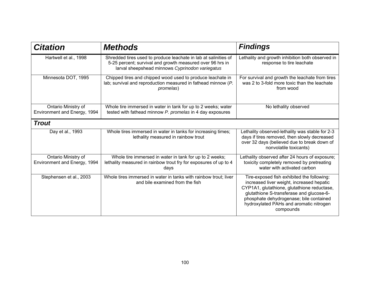| <b>Citation</b>                                     | <b>Methods</b>                                                                                                                                                                  | <b>Findings</b>                                                                                                                                                                                                                                                                       |
|-----------------------------------------------------|---------------------------------------------------------------------------------------------------------------------------------------------------------------------------------|---------------------------------------------------------------------------------------------------------------------------------------------------------------------------------------------------------------------------------------------------------------------------------------|
| Hartwell et al., 1998                               | Shredded tires used to produce leachate in lab at salinities of<br>5-25 percent; survival and growth measured over 96 hrs in<br>larval sheepshead minnows Cyprinodon variegatus | Lethality and growth inhibition both observed in<br>response to tire leachate                                                                                                                                                                                                         |
| Minnesota DOT, 1995                                 | Chipped tires and chipped wood used to produce leachate in<br>lab; survival and reproduction measured in fathead minnow (P.<br>promelas)                                        | For survival and growth the leachate from tires<br>was 2 to 3-fold more toxic than the leachate<br>from wood                                                                                                                                                                          |
| Ontario Ministry of<br>Environment and Energy, 1994 | Whole tire immersed in water in tank for up to 2 weeks; water<br>tested with fathead minnow P. promelas in 4 day exposures                                                      | No lethality observed                                                                                                                                                                                                                                                                 |
| <b>Trout</b>                                        |                                                                                                                                                                                 |                                                                                                                                                                                                                                                                                       |
| Day et al., 1993                                    | Whole tires immersed in water in tanks for increasing times;<br>lethality measured in rainbow trout                                                                             | Lethality observed-lethality was stable for 2-3<br>days if tires removed, then slowly decreased<br>over 32 days (believed due to break down of<br>nonvolatile toxicants)                                                                                                              |
| Ontario Ministry of<br>Environment and Energy, 1994 | Whole tire immersed in water in tank for up to 2 weeks;<br>lethality measured in rainbow trout fry for exposures of up to 4<br>days                                             | Lethality observed after 24 hours of exposure;<br>toxicity completely removed by pretreating<br>water with activated carbon                                                                                                                                                           |
| Stephensen et al., 2003                             | Whole tires immersed in water in tanks with rainbow trout; liver<br>and bile examined from the fish                                                                             | Tire-exposed fish exhibited the following:<br>increased liver weight, increased hepatic<br>CYP1A1, glutathione, glutathione reductase,<br>glutathione S-transferase and glucose-6-<br>phosphate dehydrogenase; bile contained<br>hydroxylated PAHs and aromatic nitrogen<br>compounds |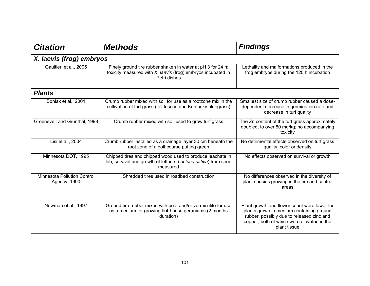| <b>Citation</b>                                    | <b>Methods</b>                                                                                                                              | <b>Findings</b>                                                                                                                                                                                     |  |
|----------------------------------------------------|---------------------------------------------------------------------------------------------------------------------------------------------|-----------------------------------------------------------------------------------------------------------------------------------------------------------------------------------------------------|--|
| X. laevis (frog) embryos                           |                                                                                                                                             |                                                                                                                                                                                                     |  |
| Gaultieri et al., 2005                             | Finely ground tire rubber shaken in water at pH 3 for 24 h;<br>toxicity measured with X. laevis (frog) embryos incubated in<br>Petri dishes | Lethality and malformations produced in the<br>frog embryos during the 120 h incubation                                                                                                             |  |
| <b>Plants</b>                                      |                                                                                                                                             |                                                                                                                                                                                                     |  |
| Boniak et al., 2001                                | Crumb rubber mixed with soil for use as a rootzone mix in the<br>cultivation of turf grass (tall fescue and Kentucky bluegrass)             | Smallest size of crumb rubber caused a dose-<br>dependent decrease in germination rate and<br>decrease in turf quality                                                                              |  |
| Groenevelt and Grunthal, 1998                      | Crumb rubber mixed with soil used to grow turf grass                                                                                        | The Zn content of the turf grass approximately<br>doubled, to over 80 mg/kg; no accompanying<br>toxicity                                                                                            |  |
| Lisi et al., 2004                                  | Crumb rubber installed as a drainage layer 30 cm beneath the<br>root zone of a golf course putting green                                    | No detrimental effects observed on turf grass<br>quality, color or density                                                                                                                          |  |
| Minnesota DOT, 1995                                | Chipped tires and chipped wood used to produce leachate in<br>lab; survival and growth of lettuce (Lactuca sativa) from seed<br>measured    | No effects observed on survival or growth                                                                                                                                                           |  |
| <b>Minnesota Pollution Control</b><br>Agency, 1990 | Shredded tires used in roadbed construction                                                                                                 | No differences observed in the diversity of<br>plant species growing in the tire and control<br>areas                                                                                               |  |
| Newman et al., 1997                                | Ground tire rubber mixed with peat and/or vermiculite for use<br>as a medium for growing hot-house geraniums (2 months<br>duration)         | Plant growth and flower count were lower for<br>plants grown in medium containing ground<br>rubber, possibly due to released zinc and<br>copper, both of which were elevated in the<br>plant tissue |  |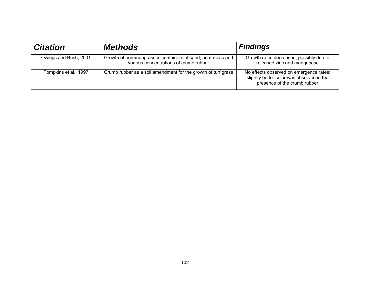| <b>Citation</b>       | <b>Methods</b>                                                                                        | <b>Findings</b>                                                                                                      |
|-----------------------|-------------------------------------------------------------------------------------------------------|----------------------------------------------------------------------------------------------------------------------|
| Owings and Bush, 2001 | Growth of bermudagrass in containers of sand, peat moss and<br>various concentrations of crumb rubber | Growth rates decreased, possibly due to<br>released zinc and manganese                                               |
| Tompkins et al., 1997 | Crumb rubber as a soil amendment for the growth of turf grass                                         | No effects observed on emergence rates;<br>slightly better color was observed in the<br>presence of the crumb rubber |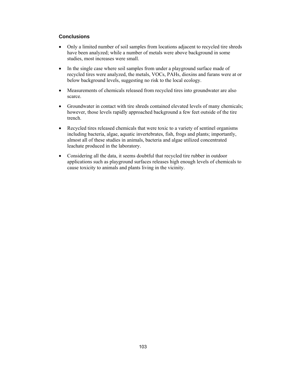# **Conclusions**

- Only a limited number of soil samples from locations adjacent to recycled tire shreds have been analyzed; while a number of metals were above background in some studies, most increases were small.
- In the single case where soil samples from under a playground surface made of recycled tires were analyzed, the metals, VOCs, PAHs, dioxins and furans were at or below background levels, suggesting no risk to the local ecology.
- Measurements of chemicals released from recycled tires into groundwater are also scarce.
- Groundwater in contact with tire shreds contained elevated levels of many chemicals; however, those levels rapidly approached background a few feet outside of the tire trench.
- Recycled tires released chemicals that were toxic to a variety of sentinel organisms including bacteria, algae, aquatic invertebrates, fish, frogs and plants; importantly, almost all of these studies in animals, bacteria and algae utilized concentrated leachate produced in the laboratory.
- Considering all the data, it seems doubtful that recycled tire rubber in outdoor applications such as playground surfaces releases high enough levels of chemicals to cause toxicity to animals and plants living in the vicinity.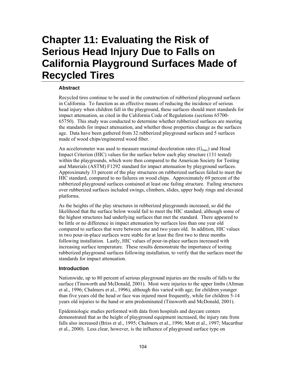# **Chapter 11: Evaluating the Risk of Serious Head Injury Due to Falls on California Playground Surfaces Made of Recycled Tires**

# **Abstract**

Recycled tires continue to be used in the construction of rubberized playground surfaces in California. To function as an effective means of reducing the incidence of serious head injury when children fall in the playground, these surfaces should meet standards for impact attenuation, as cited in the California Code of Regulations (sections 65700- 65750). This study was conducted to determine whether rubberized surfaces are meeting the standards for impact attenuation, and whether those properties change as the surfaces age. Data have been gathered from 32 rubberized playground surfaces and 5 surfaces made of wood chips/engineered wood fiber.

An accelerometer was used to measure maximal deceleration rates  $(G<sub>max</sub>)$  and Head Impact Criterion (HIC) values for the surface below each play structure (131 tested) within the playgrounds, which were then compared to the American Society for Testing and Materials (ASTM) F1292 standard for impact attenuation by playground surfaces. Approximately 33 percent of the play structures on rubberized surfaces failed to meet the HIC standard, compared to no failures on wood chips. Approximately 69 percent of the rubberized playground surfaces contained at least one failing structure. Failing structures over rubberized surfaces included swings, climbers, slides, upper body rings and elevated platforms.

As the heights of the play structures in rubberized playgrounds increased, so did the likelihood that the surface below would fail to meet the HIC standard, although some of the highest structures had underlying surfaces that met the standard. There appeared to be little or no difference in impact attenuation by surfaces less than one year old compared to surfaces that were between one and two years old. In addition, HIC values in two pour-in-place surfaces were stable for at least the first two to three months following installation. Lastly, HIC values of pour-in-place surfaces increased with increasing surface temperature. These results demonstrate the importance of testing rubberized playground surfaces following installation, to verify that the surfaces meet the standards for impact attenuation.

### **Introduction**

Nationwide, up to 80 percent of serious playground injuries are the results of falls to the surface (Tinsworth and McDonald, 2001). Most were injuries to the upper limbs (Altman et al., 1996; Chalmers et al., 1996), although this varied with age; for children younger than five years old the head or face was injured most frequently, while for children 5-14 years old injuries to the hand or arm predominated (Tinsworth and McDonald, 2001).

Epidemiologic studies performed with data from hospitals and daycare centers demonstrated that as the height of playground equipment increased, the injury rate from falls also increased (Briss et al., 1995; Chalmers et al., 1996; Mott et al., 1997; Macarthur et al., 2000). Less clear, however, is the influence of playground surface type on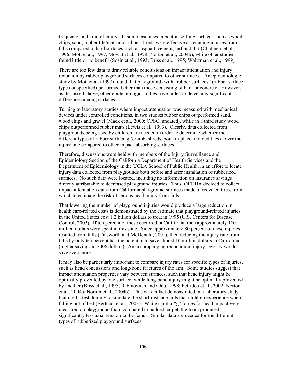frequency and kind of injury. In some instances impact-absorbing surfaces such as wood chips, sand, rubber tile/mats and rubber shreds were effective at reducing injuries from falls compared to hard surfaces such as asphalt, cement, turf and dirt (Chalmers et al., 1996; Mott et al., 1997; Mowat et al., 1998; Norton et al., 2004b), while other studies found little or no benefit (Sosin et al., 1993; Briss et al., 1995; Waltzman et al., 1999).

There are too few data to draw reliable conclusions on impact attenuation and injury reduction by rubber playground surfaces compared to other surfaces,. An epidemiologic study by Mott et al. (1997) found that playgrounds with "rubber surfaces" (rubber surface type not specified) performed better than those consisting of bark or concrete. However, as discussed above, other epidemiologic studies have failed to detect any significant differences among surfaces.

Turning to laboratory studies where impact attenuation was measured with mechanical devices under controlled conditions, in two studies rubber chips outperformed sand, wood chips and gravel (Mack et al., 2000; CPSC, undated), while in a third study wood chips outperformed rubber mats (Lewis et al., 1993). Clearly, data collected from playgrounds being used by children are needed in order to determine whether the different types of rubber surfacing (crumb, shreds, pour-in-place, molded tiles) lower the injury rate compared to other impact-absorbing surfaces.

Therefore, discussions were held with members of the Injury Surveillance and Epidemiology Section of the California Department of Health Services and the Department of Epidemiology in the UCLA School of Public Health, in an effort to locate injury data collected from playgrounds both before and after installation of rubberized surfaces. No such data were located, including no information on insurance savings directly attributable to decreased playground injuries. Thus, OEHHA decided to collect impact attenuation data from California playground surfaces made of recycled tires, from which to estimate the risk of serious head injury from falls.

That lowering the number of playground injuries would produce a large reduction in health care-related costs is demonstrated by the estimate that playground-related injuries in the United States cost 1.2 billion dollars to treat in 1995 (U.S. Centers for Disease Control, 2005). If ten percent of these occurred in California, then approximately 120 million dollars were spent in this state. Since approximately 80 percent of these injuries resulted from falls (Tinsworth and McDonald, 2001), then reducing the injury rate from falls by only ten percent has the potential to save almost 10 million dollars in California (higher savings in 2006 dollars). An accompanying reduction in injury severity would save even more.

It may also be particularly important to compare injury rates for specific types of injuries, such as head concussions and long-bone fractures of the arm. Some studies suggest that impact attenuation properties vary between surfaces, such that head injury might be optimally prevented by one surface, while long-bone injury might be optimally prevented by another (Briss et al., 1995; Rabinovitch and Chiu, 1998; Petridou et al., 2002; Norton et al., 2004a; Norton et al., 2004b). This was in fact demonstrated in a laboratory study that used a test dummy to simulate the short-distance falls that children experience when falling out of bed (Bertocci et al., 2003). While similar "g" forces for head impact were measured on playground foam compared to padded carpet, the foam produced significantly less axial tension to the femur. Similar data are needed for the different types of rubberized playground surfaces.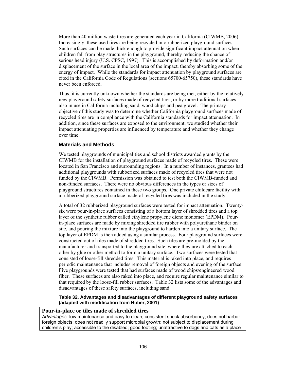More than 40 million waste tires are generated each year in California (CIWMB, 2006). Increasingly, these used tires are being recycled into rubberized playground surfaces. Such surfaces can be made thick enough to provide significant impact attenuation when children fall from play structures in the playground, thereby reducing the chance of serious head injury (U.S. CPSC, 1997). This is accomplished by deformation and/or displacement of the surface in the local area of the impact, thereby absorbing some of the energy of impact. While the standards for impact attenuation by playground surfaces are cited in the California Code of Regulations (sections 65700-65750), these standards have never been enforced.

Thus, it is currently unknown whether the standards are being met, either by the relatively new playground safety surfaces made of recycled tires, or by more traditional surfaces also in use in California including sand, wood chips and pea gravel. The primary objective of this study was to determine whether California playground surfaces made of recycled tires are in compliance with the California standards for impact attenuation. In addition, since these surfaces are exposed to the environment, we studied whether their impact attenuating properties are influenced by temperature and whether they change over time.

# **Materials and Methods**

We tested playgrounds of municipalities and school districts awarded grants by the CIWMB for the installation of playground surfaces made of recycled tires. These were located in San Francisco and surrounding regions. In a number of instances, grantees had additional playgrounds with rubberized surfaces made of recycled tires that were not funded by the CIWMB. Permission was obtained to test both the CIWMB-funded and non-funded surfaces. There were no obvious differences in the types or sizes of playground structures contained in these two groups. One private childcare facility with a rubberized playground surface made of recycled tires was included in the study.

A total of 32 rubberized playground surfaces were tested for impact attenuation. Twentysix were pour-in-place surfaces consisting of a bottom layer of shredded tires and a top layer of the synthetic rubber called ethylene propylene diene monomer (EPDM). Pourin-place surfaces are made by mixing shredded tire rubber with polyurethane binder on site, and pouring the mixture into the playground to harden into a unitary surface. The top layer of EPDM is then added using a similar process. Four playground surfaces were constructed out of tiles made of shredded tires. Such tiles are pre-molded by the manufacturer and transported to the playground site, where they are attached to each other by glue or other method to form a unitary surface. Two surfaces were tested that consisted of loose-fill shredded tires. This material is raked into place, and requires periodic maintenance that includes removal of foreign objects and evening of the surface. Five playgrounds were tested that had surfaces made of wood chips/engineered wood fiber. These surfaces are also raked into place, and require regular maintenance similar to that required by the loose-fill rubber surfaces. Table 32 lists some of the advantages and disadvantages of these safety surfaces, including sand.

**Table 32. Advantages and disadvantages of different playground safety surfaces (adapted with modification from Huber, 2001)** 

#### **Pour-in-place or tiles made of shredded tires**

*Advantages:* low maintenance and easy to clean; consistent shock absorbency; does not harbor foreign objects; does not readily support microbial growth; not subject to displacement during children's play; accessible to the disabled; good footing; unattractive to dogs and cats as a place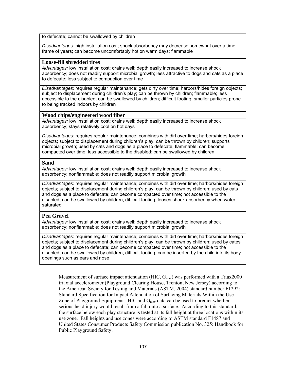to defecate; cannot be swallowed by children

*Disadvantages:* high installation cost; shock absorbency may decrease somewhat over a time frame of years; can become uncomfortably hot on warm days; flammable

# **Loose-fill shredded tires**

*Advantages:* low installation cost; drains well; depth easily increased to increase shock absorbency; does not readily support microbial growth; less attractive to dogs and cats as a place to defecate; less subject to compaction over time

*Disadvantages:* requires regular maintenance; gets dirty over time; harbors/hides foreign objects; subject to displacement during children's play; can be thrown by children; flammable; less accessible to the disabled; can be swallowed by children; difficult footing; smaller particles prone to being tracked indoors by children

# **Wood chips/engineered wood fiber**

*Advantages:* low installation cost; drains well; depth easily increased to increase shock absorbency; stays relatively cool on hot days

*Disadvantages:* requires regular maintenance; combines with dirt over time; harbors/hides foreign objects; subject to displacement during children's play; can be thrown by children; supports microbial growth; used by cats and dogs as a place to defecate; flammable; can become compacted over time; less accessible to the disabled; can be swallowed by children

### **Sand**

*Advantages:* low installation cost; drains well; depth easily increased to increase shock absorbency; nonflammable; does not readily support microbial growth

*Disadvantages:* requires regular maintenance; combines with dirt over time; harbors/hides foreign objects; subject to displacement during children's play; can be thrown by children; used by cats and dogs as a place to defecate; can become compacted over time; not accessible to the disabled; can be swallowed by children; difficult footing; looses shock absorbency when water saturated

### **Pea Gravel**

*Advantages:* low installation cost; drains well; depth easily increased to increase shock absorbency; nonflammable; does not readily support microbial growth

*Disadvantages:* requires regular maintenance; combines with dirt over time; harbors/hides foreign objects; subject to displacement during children's play; can be thrown by children; used by cates and dogs as a place to defecate; can become compacted over time; not accessible to the disabled; can be swallowed by children; difficult footing; can be inserted by the child into its body openings such as ears and nose

Measurement of surface impact attenuation (HIC,  $G_{\text{max}}$ ) was performed with a Triax2000 triaxial accelerometer (Playground Clearing House, Trenton, New Jersey) according to the American Society for Testing and Materials (ASTM, 2004) standard number F1292: Standard Specification for Impact Attenuation of Surfacing Materials Within the Use Zone of Playground Equipment. HIC and  $G_{\text{max}}$  data can be used to predict whether serious head injury would result from a fall onto a surface. According to this standard, the surface below each play structure is tested at its fall height at three locations within its use zone. Fall heights and use zones were according to ASTM standard F1487 and United States Consumer Products Safety Commission publication No. 325: Handbook for Public Playground Safety.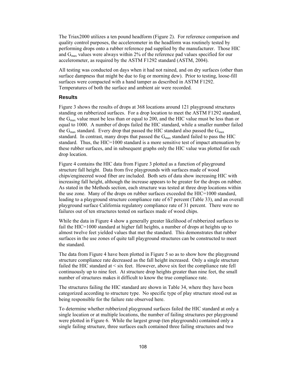The Triax2000 utilizes a ten pound headform (Figure 2). For reference comparison and quality control purposes, the accelerometer in the headform was routinely tested by performing drops onto a rubber reference pad supplied by the manufacturer. Those HIC and  $G_{\text{max}}$  values were always within 2% of the reference pad values specified for our accelerometer, as required by the ASTM F1292 standard (ASTM, 2004).

All testing was conducted on days when it had not rained, and on dry surfaces (other than surface dampness that might be due to fog or morning dew). Prior to testing, loose-fill surfaces were compacted with a hand tamper as described in ASTM F1292. Temperatures of both the surface and ambient air were recorded.

#### **Results**

Figure 3 shows the results of drops at 368 locations around 121 playground structures standing on rubberized surfaces. For a drop location to meet the ASTM F1292 standard, the  $G_{\text{max}}$  value must be less than or equal to 200, and the HIC value must be less than or equal to 1000. A number of drops failed the HIC standard, while a smaller number failed the  $G_{\text{max}}$  standard. Every drop that passed the HIC standard also passed the  $G_{\text{max}}$ standard. In contrast, many drops that passed the  $G_{\text{max}}$  standard failed to pass the HIC standard. Thus, the HIC=1000 standard is a more sensitive test of impact attenuation by these rubber surfaces, and in subsequent graphs only the HIC value was plotted for each drop location.

Figure 4 contains the HIC data from Figure 3 plotted as a function of playground structure fall height. Data from five playgrounds with surfaces made of wood chips/engineered wood fiber are included. Both sets of data show increasing HIC with increasing fall height, although the increase appears to be greater for the drops on rubber. As stated in the Methods section, each structure was tested at three drop locations within the use zone. Many of the drops on rubber surfaces exceeded the HIC=1000 standard, leading to a playground structure compliance rate of 67 percent (Table 33), and an overall playground surface California regulatory compliance rate of 31 percent. There were no failures out of ten structures tested on surfaces made of wood chips.

While the data in Figure 4 show a generally greater likelihood of rubberized surfaces to fail the HIC=1000 standard at higher fall heights, a number of drops at heights up to almost twelve feet yielded values that met the standard. This demonstrates that rubber surfaces in the use zones of quite tall playground structures can be constructed to meet the standard.

The data from Figure 4 have been plotted in Figure 5 so as to show how the playground structure compliance rate decreased as the fall height increased. Only a single structure failed the HIC standard at < six feet. However, above six feet the compliance rate fell continuously up to nine feet. At structure drop heights greater than nine feet, the small number of structures makes it difficult to know the true compliance rate.

The structures failing the HIC standard are shown in Table 34, where they have been categorized according to structure type. No specific type of play structure stood out as being responsible for the failure rate observed here.

To determine whether rubberized playground surfaces failed the HIC standard at only a single location or at multiple locations, the number of failing structures per playground were plotted in Figure 6. While the largest group (ten playgrounds) contained only a single failing structure, three surfaces each contained three failing structures and two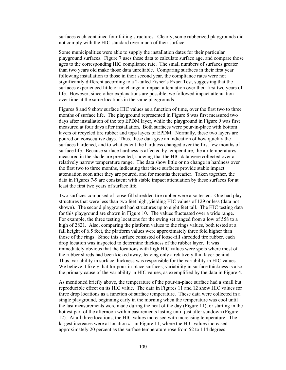surfaces each contained four failing structures. Clearly, some rubberized playgrounds did not comply with the HIC standard over much of their surface.

Some municipalities were able to supply the installation dates for their particular playground surfaces. Figure 7 uses these data to calculate surface age, and compare those ages to the corresponding HIC compliance rate. The small numbers of surfaces greater than two years old make those data unreliable. Comparing surfaces in their first year following installation to those in their second year, the compliance rates were not significantly different according to a 2-tailed Fisher's Exact Test, suggesting that the surfaces experienced little or no change in impact attenuation over their first two years of life. However, since other explanations are possible, we followed impact attenuation over time at the same locations in the same playgrounds.

Figures 8 and 9 show surface HIC values as a function of time, over the first two to three months of surface life. The playground represented in Figure 8 was first measured two days after installation of the top EPDM layer, while the playground in Figure 9 was first measured at four days after installation. Both surfaces were pour-in-place with bottom layers of recycled tire rubber and tops layers of EPDM. Normally, these two layers are poured on consecutive days. Thus, these data give an indication of how quickly the surfaces hardened, and to what extent the hardness changed over the first few months of surface life. Because surface hardness is affected by temperature, the air temperatures measured in the shade are presented, showing that the HIC data were collected over a relatively narrow temperature range. The data show little or no change in hardness over the first two to three months, indicating that these surfaces provide stable impact attenuation soon after they are poured, and for months thereafter. Taken together, the data in Figures 7-9 are consistent with stable impact attenuation by these surfaces for at least the first two years of surface life.

Two surfaces composed of loose-fill shredded tire rubber were also tested. One had play structures that were less than two feet high, yielding HIC values of 129 or less (data not shown). The second playground had structures up to eight feet tall. The HIC testing data for this playground are shown in Figure 10. The values fluctuated over a wide range. For example, the three testing locations for the swing set ranged from a low of 558 to a high of 2821. Also, comparing the platform values to the rings values, both tested at a fall height of 6.5 feet, the platform values were approximately three fold higher than those of the rings. Since this surface consisted of loose-fill shredded tire rubber, each drop location was inspected to determine thickness of the rubber layer. It was immediately obvious that the locations with high HIC values were spots where most of the rubber shreds had been kicked away, leaving only a relatively thin layer behind. Thus, variability in surface thickness was responsible for the variability in HIC values. We believe it likely that for pour-in-place surfaces, variability in surface thickness is also the primary cause of the variability in HIC values, as exemplified by the data in Figure 4.

As mentioned briefly above, the temperature of the pour-in-place surface had a small but reproducible effect on its HIC value. The data in Figures 11 and 12 show HIC values for three drop locations as a function of surface temperature. These data were collected in a single playground, beginning early in the morning when the temperature was cool until the last measurements were made during the heat of the day (Figure 11), or starting in the hottest part of the afternoon with measurements lasting until just after sundown (Figure 12). At all three locations, the HIC values increased with increasing temperature. The largest increases were at location #1 in Figure 11, where the HIC values increased approximately 20 percent as the surface temperature rose from 52 to 114 degrees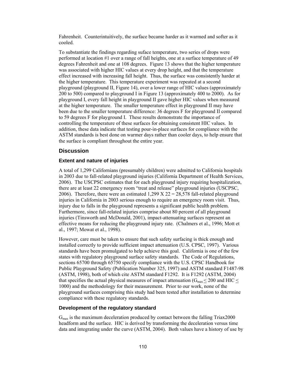Fahrenheit. Counterintuitively, the surface became harder as it warmed and softer as it cooled.

To substantiate the findings regarding suface temperature, two series of drops were performed at location #1 over a range of fall heights, one at a surface temperature of 49 degrees Fahrenheit and one at 108 degrees. Figure 13 shows that the higher temperature was associated with higher HIC values at every drop height, and that the temperature effect increased with increasing fall height. Thus, the surface was consistently harder at the higher temperature. This temperature experiment was repeated at a second playground (playground II, Figure 14), over a lower range of HIC values (approximately 200 to 500) compared to playground I in Figure 13 (approximately 400 to 2000). As for playground I, every fall height in playground II gave higher HIC values when measured at the higher temperature. The smaller temperature effect in playground II may have been due to the smaller temperature difference: 36 degrees F for playground II compared to 59 degrees F for playground I. These results demonstrate the importance of controlling the temperature of these surfaces for obtaining consistent HIC values. In addition, these data indicate that testing pour-in-place surfaces for compliance with the ASTM standards is best done on warmer days rather than cooler days, to help ensure that the surface is compliant throughout the entire year.

# **Discussion**

### **Extent and nature of injuries**

A total of 1,299 Californians (presumably children) were admitted to California hospitals in 2003 due to fall-related playground injuries (California Department of Health Services, 2006). The USCPSC estimates that for each playground injury requiring hospitalization, there are at least 22 emergency room "treat and release" playground injuries (USCPSC, 2006). Therefore, there were an estimated 1,299 X 22 = 28,578 fall-related playground injuries in California in 2003 serious enough to require an emergency room visit. Thus, injury due to falls in the playground represents a significant public health problem. Furthermore, since fall-related injuries comprise about 80 percent of all playground injuries (Tinsworth and McDonald, 2001), impact-attenuating surfaces represent an effective means for reducing the playground injury rate. (Chalmers et al., 1996; Mott et al., 1997; Mowat et al., 1998).

However, care must be taken to ensure that such safety surfacing is thick enough and installed correctly to provide sufficient impact attenuation (U.S. CPSC, 1997). Various standards have been promulgated to help achieve this goal. California is one of the few states with regulatory playground surface safety standards. The Code of Regulations, sections 65700 through 65750 specify compliance with the U.S. CPSC Handbook for Public Playground Safety (Publication Number 325, 1997) and ASTM standard F1487-98 (ASTM, 1998), both of which cite ASTM standard F1292. It is F1292 (ASTM, 2004) that specifies the actual physical measures of impact attenuation ( $G_{\text{max}} \leq 200$  and HIC  $\leq$ 1000) and the methodology for their measurement. Prior to our work, none of the playground surfaces comprising this study had been tested after installation to determine compliance with these regulatory standards.

### **Development of the regulatory standard**

 $G<sub>max</sub>$  is the maximum deceleration produced by contact between the falling Triax2000 headform and the surface. HIC is derived by transforming the deceleration versus time data and integrating under the curve (ASTM, 2004). Both values have a history of use by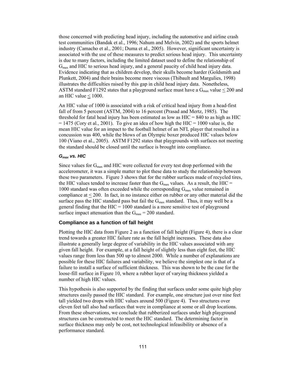those concerned with predicting head injury, including the automotive and airline crash test communities (Bandak et al., 1996; Nahum and Melvin, 2002) and the sports helmet industry (Camacho et al., 2001; Duma et al., 2005). However, significant uncertainty is associated with the use of these measures to predict serious head injury. This uncertainty is due to many factors, including the limited dataset used to define the relationship of Gmax and HIC to serious head injury, and a general paucity of child head injury data. Evidence indicating that as children develop, their skulls become harder (Goldsmith and Plunkett, 2004) and their brains become more viscous (Thibault and Margulies, 1998) illustrates the difficulties raised by this gap in child head injury data. Nonetheless, ASTM standard F1292 states that a playground surface must have a  $G_{max}$  value  $\leq$  200 and an HIC value < 1000.

An HIC value of 1000 is associated with a risk of critical head injury from a head-first fall of from 5 percent (ASTM, 2004) to 16 percent (Prasad and Mertz, 1985). The threshold for fatal head injury has been estimated as low as  $HIC = 840$  to as high as HIC  $= 1475$  (Cory et al., 2001). To give an idea of how high the HIC = 1000 value is, the mean HIC value for an impact to the football helmet of an NFL player that resulted in a concussion was 400, while the blows of an Olympic boxer produced HIC values below 100 (Viano et al., 2005). ASTM F1292 states that playgrounds with surfaces not meeting the standard should be closed until the surface is brought into compliance.

#### *Gmax vs. HIC*

Since values for  $G_{\text{max}}$  and HIC were collected for every test drop performed with the accelerometer, it was a simple matter to plot these data to study the relationship between these two parameters. Figure 3 shows that for the rubber surfaces made of recycled tires, the HIC values tended to increase faster than the  $G_{\text{max}}$  values. As a result, the HIC = 1000 standard was often exceeded while the corresponding  $G_{\text{max}}$  value remained in compliance at  $\leq$  200. In fact, in no instance either on rubber or any other material did the surface pass the HIC standard pass but fail the  $G_{\text{max}}$  standard. Thus, it may well be a general finding that the  $HIC = 1000$  standard is a more sensitive test of playground surface impact attenuation than the  $G_{\text{max}} = 200$  standard.

# **Compliance as a function of fall height**

Plotting the HIC data from Figure 2 as a function of fall height (Figure 4), there is a clear trend towards a greater HIC failure rate as the fall height increases. These data also illustrate a generally large degree of variability in the HIC values associated with any given fall height. For example, at a fall height of slightly less than eight feet, the HIC values range from less than 500 up to almost 2000. While a number of explanations are possible for these HIC failures and variability, we believe the simplest one is that of a failure to install a surface of sufficient thickness. This was shown to be the case for the loose-fill surface in Figure 10, where a rubber layer of varying thickness yielded a number of high HIC values.

This hypothesis is also supported by the finding that surfaces under some quite high play structures easily passed the HIC standard. For example, one structure just over nine feet tall yielded two drops with HIC values around 500 (Figure 4). Two structures over eleven feet tall also had surfaces that were in compliance at some or all drop locations. From these observations, we conclude that rubberized surfaces under high playground structures can be constructed to meet the HIC standard. The determining factor in surface thickness may only be cost, not technological infeasibility or absence of a performance standard.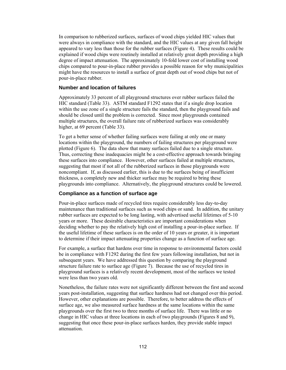In comparison to rubberized surfaces, surfaces of wood chips yielded HIC values that were always in compliance with the standard, and the HIC values at any given fall height appeared to vary less than those for the rubber surfaces (Figure 4). These results could be explained if wood chips were routinely installed at relatively great depth providing a high degree of impact attenuation. The approximately 10-fold lower cost of installing wood chips compared to pour-in-place rubber provides a possible reason for why municipalities might have the resources to install a surface of great depth out of wood chips but not of pour-in-place rubber.

# **Number and location of failures**

Approximately 33 percent of all playground structures over rubber surfaces failed the HIC standard (Table 33). ASTM standard F1292 states that if a single drop location within the use zone of a single structure fails the standard, then the playground fails and should be closed until the problem is corrected. Since most playgrounds contained multiple structures, the overall failure rate of rubberized surfaces was considerably higher, at 69 percent (Table 33).

To get a better sense of whether failing surfaces were failing at only one or many locations within the playground, the numbers of failing structures per playground were plotted (Figure 6). The data show that many surfaces failed due to a single structure. Thus, correcting these inadequacies might be a cost-effective approach towards bringing these surfaces into compliance. However, other surfaces failed at multiple structures, suggesting that most if not all of the rubberized surfaces in those playgrounds were noncompliant. If, as discussed earlier, this is due to the surfaces being of insufficient thickness, a completely new and thicker surface may be required to bring these playgrounds into compliance. Alternatively, the playground structures could be lowered.

# **Compliance as a function of surface age**

Pour-in-place surfaces made of recycled tires require considerably less day-to-day maintenance than traditional surfaces such as wood chips or sand. In addition, the unitary rubber surfaces are expected to be long lasting, with advertised useful lifetimes of 5-10 years or more. These desirable characteristics are important considerations when deciding whether to pay the relatively high cost of installing a pour-in-place surface. If the useful lifetime of these surfaces is on the order of 10 years or greater, it is important to determine if their impact attenuating properties change as a function of surface age.

For example, a surface that hardens over time in response to environmental factors could be in compliance with F1292 during the first few years following installation, but not in subsequent years. We have addressed this question by comparing the playground structure failure rate to surface age (Figure 7). Because the use of recycled tires in playground surfaces is a relatively recent development, most of the surfaces we tested were less than two years old.

Nonetheless, the failure rates were not significantly different between the first and second years post-installation, suggesting that surface hardness had not changed over this period. However, other explanations are possible. Therefore, to better address the effects of surface age, we also measured surface hardness at the same locations within the same playgrounds over the first two to three months of surface life. There was little or no change in HIC values at three locations in each of two playgrounds (Figures 8 and 9), suggesting that once these pour-in-place surfaces harden, they provide stable impact attenuation.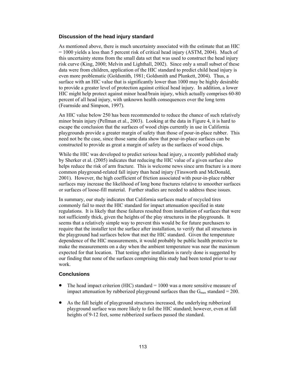#### **Discussion of the head injury standard**

As mentioned above, there is much uncertainty associated with the estimate that an HIC  $= 1000$  yields a less than 5 percent risk of critical head injury (ASTM, 2004). Much of this uncertainty stems from the small data set that was used to construct the head injury risk curve (King, 2000; Melvin and Lighthall, 2002). Since only a small subset of these data were from children, application of the HIC standard to predict child head injury is even more problematic (Goldsmith, 1981; Goldsmith and Plunkett, 2004). Thus, a surface with an HIC value that is significantly lower than 1000 may be highly desirable to provide a greater level of protection against critical head injury. In addition, a lower HIC might help protect against minor head/brain injury, which actually comprises 60-80 percent of all head injury, with unknown health consequences over the long term (Fearnside and Simpson, 1997).

An HIC value below 250 has been recommended to reduce the chance of such relatively minor brain injury (Pellman et al., 2003). Looking at the data in Figure 4, it is hard to escape the conclusion that the surfaces of wood chips currently in use in California playgrounds provide a greater margin of safety than those of pour-in-place rubber. This need not be the case, since those same data show that pour-in-place surfaces can be constructed to provide as great a margin of safety as the surfaces of wood chips.

While the HIC was developed to predict serious head injury, a recently published study by Sherker et al. (2005) indicates that reducing the HIC value of a given surface also helps reduce the risk of arm fracture. This is welcome news since arm fracture is a more common playground-related fall injury than head injury (Tinsworth and McDonald, 2001). However, the high coefficient of friction associated with pour-in-place rubber surfaces may increase the likelihood of long bone fractures relative to smoother surfaces or surfaces of loose-fill material. Further studies are needed to address these issues.

In summary, our study indicates that California surfaces made of recycled tires commonly fail to meet the HIC standard for impact attenuation specified in state regulations. It is likely that these failures resulted from installation of surfaces that were not sufficiently thick, given the heights of the play structures in the playgrounds. It seems that a relatively simple way to prevent this would be for future purchasers to require that the installer test the surface after installation, to verify that all structures in the playground had surfaces below that met the HIC standard. Given the temperature dependence of the HIC measurements, it would probably be public health protective to make the measurements on a day when the ambient temperature was near the maximum expected for that location. That testing after installation is rarely done is suggested by our finding that none of the surfaces comprising this study had been tested prior to our work.

### **Conclusions**

- The head impact criterion (HIC) standard  $= 1000$  was a more sensitive measure of impact attenuation by rubberized playground surfaces than the  $G_{\text{max}}$  standard = 200.
- As the fall height of playground structures increased, the underlying rubberized playground surface was more likely to fail the HIC standard; however, even at fall heights of 9-12 feet, some rubberized surfaces passed the standard.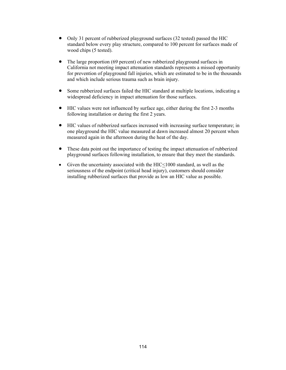- Only 31 percent of rubberized playground surfaces (32 tested) passed the HIC standard below every play structure, compared to 100 percent for surfaces made of wood chips (5 tested).
- The large proportion (69 percent) of new rubberized playground surfaces in California not meeting impact attenuation standards represents a missed opportunity for prevention of playground fall injuries, which are estimated to be in the thousands and which include serious trauma such as brain injury.
- Some rubberized surfaces failed the HIC standard at multiple locations, indicating a widespread deficiency in impact attenuation for those surfaces.
- HIC values were not influenced by surface age, either during the first 2-3 months following installation or during the first 2 years.
- HIC values of rubberized surfaces increased with increasing surface temperature; in one playground the HIC value measured at dawn increased almost 20 percent when measured again in the afternoon during the heat of the day.
- These data point out the importance of testing the impact attenuation of rubberized playground surfaces following installation, to ensure that they meet the standards.
- Given the uncertainty associated with the HIC<1000 standard, as well as the seriousness of the endpoint (critical head injury), customers should consider installing rubberized surfaces that provide as low an HIC value as possible.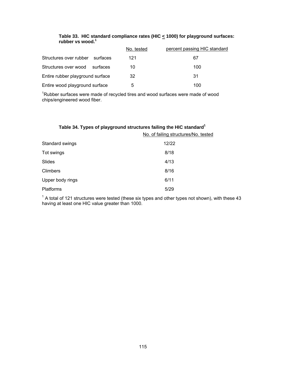|                                    | No. tested | percent passing HIC standard |
|------------------------------------|------------|------------------------------|
| Structures over rubber<br>surfaces | 121        | 67                           |
| Structures over wood<br>surfaces   | 10         | 100                          |
| Entire rubber playground surface   | 32         | 31                           |
| Entire wood playground surface     | 5          | 100                          |

## **Table 33. HIC standard compliance rates (HIC < 1000) for playground surfaces: rubber vs wood.1**

 $1$ Rubber surfaces were made of recycled tires and wood surfaces were made of wood chips/engineered wood fiber.

| Table 34. Types of playground structures failing the HIC standard <sup>1</sup> |                                      |  |
|--------------------------------------------------------------------------------|--------------------------------------|--|
|                                                                                | No. of failing structures/No. tested |  |
| Standard swings                                                                | 12/22                                |  |
| Tot swings                                                                     | 8/18                                 |  |
| Slides                                                                         | 4/13                                 |  |
| <b>Climbers</b>                                                                | 8/16                                 |  |
| Upper body rings                                                               | 6/11                                 |  |
| <b>Platforms</b>                                                               | 5/29                                 |  |

 $1$  A total of 121 structures were tested (these six types and other types not shown), with these 43 having at least one HIC value greater than 1000.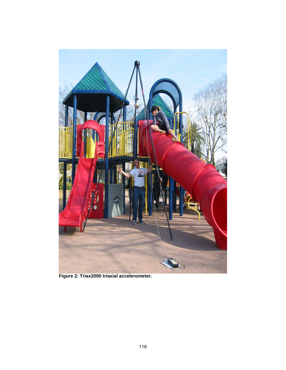

**Figure 2: Triax2000 triaxial accelerometer.**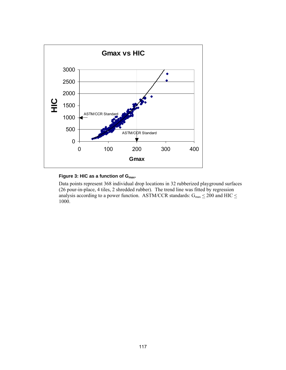

# Figure 3: HIC as a function of G<sub>max</sub>.

Data points represent 368 individual drop locations in 32 rubberized playground surfaces (26 pour-in-place, 4 tiles, 2 shredded rubber). The trend line was fitted by regression analysis according to a power function. ASTM/CCR standards:  $G_{max} \le 200$  and HIC  $\le$ 1000.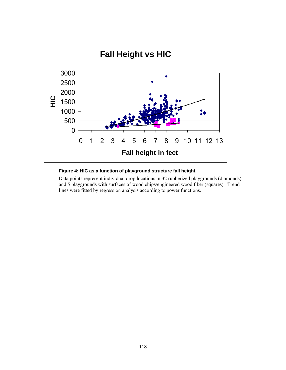

#### **Figure 4: HIC as a function of playground structure fall height.**

Data points represent individual drop locations in 32 rubberized playgrounds (diamonds) and 5 playgrounds with surfaces of wood chips/engineered wood fiber (squares). Trend lines were fitted by regression analysis according to power functions.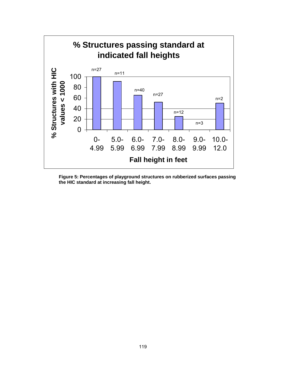

**Figure 5: Percentages of playground structures on rubberized surfaces passing the HIC standard at increasing fall height.**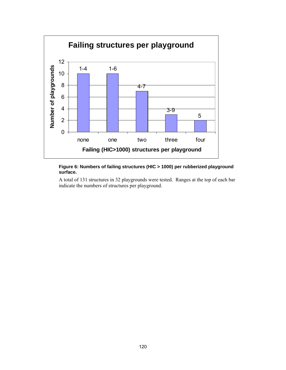

#### **Figure 6: Numbers of failing structures (HIC > 1000) per rubberized playground surface.**

A total of 131 structures in 32 playgrounds were tested. Ranges at the top of each bar indicate the numbers of structures per playground.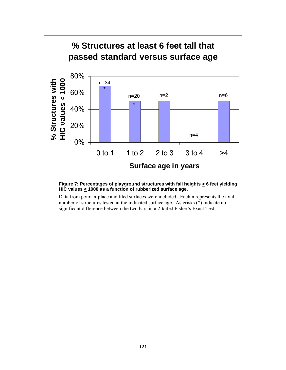

### Figure 7: Percentages of playground structures with fall heights  $\geq 6$  feet yielding **HIC values < 1000 as a function of rubberized surface age.**

Data from pour-in-place and tiled surfaces were included. Each n represents the total number of structures tested at the indicated surface age. Asterisks (\*) indicate no significant difference between the two bars in a 2-tailed Fisher's Exact Test.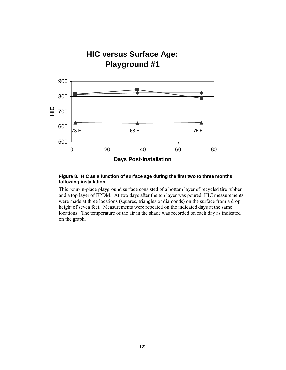

#### **Figure 8. HIC as a function of surface age during the first two to three months following installation.**

This pour-in-place playground surface consisted of a bottom layer of recycled tire rubber and a top layer of EPDM. At two days after the top layer was poured, HIC measurements were made at three locations (squares, triangles or diamonds) on the surface from a drop height of seven feet. Measurements were repeated on the indicated days at the same locations. The temperature of the air in the shade was recorded on each day as indicated on the graph.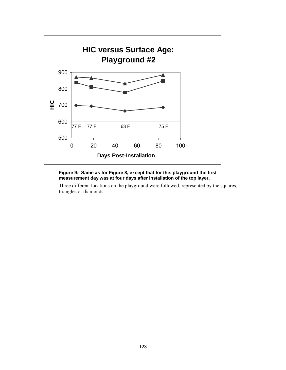

### **Figure 9: Same as for Figure 8, except that for this playground the first measurement day was at four days after installation of the top layer.**

Three different locations on the playground were followed, represented by the squares, triangles or diamonds.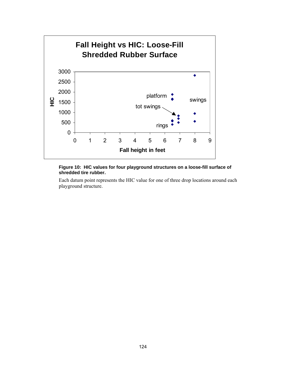

### **Figure 10: HIC values for four playground structures on a loose-fill surface of shredded tire rubber.**

Each datum point represents the HIC value for one of three drop locations around each playground structure.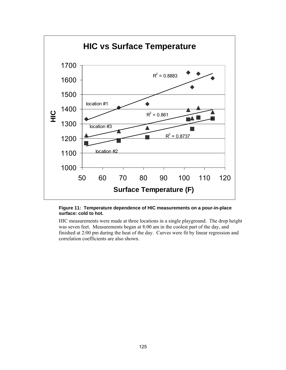

#### **Figure 11: Temperature dependence of HIC measurements on a pour-in-place surface: cold to hot.**

HIC measurements were made at three locations in a single playground. The drop height was seven feet. Measurements began at 8:00 am in the coolest part of the day, and finished at 2:00 pm during the heat of the day. Curves were fit by linear regression and correlation coefficients are also shown.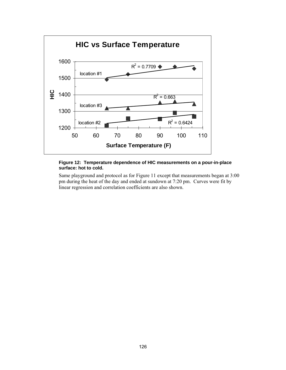

#### **Figure 12: Temperature dependence of HIC measurements on a pour-in-place surface: hot to cold.**

Same playground and protocol as for Figure 11 except that measurements began at 3:00 pm during the heat of the day and ended at sundown at 7:20 pm. Curves were fit by linear regression and correlation coefficients are also shown.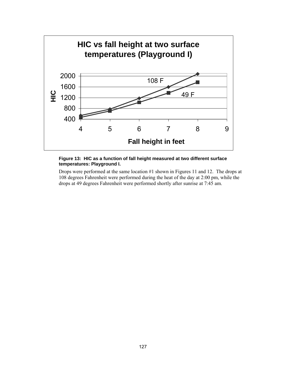

#### **Figure 13: HIC as a function of fall height measured at two different surface temperatures: Playground I.**

Drops were performed at the same location #1 shown in Figures 11 and 12. The drops at 108 degrees Fahrenheit were performed during the heat of the day at 2:00 pm, while the drops at 49 degrees Fahrenheit were performed shortly after sunrise at 7:45 am.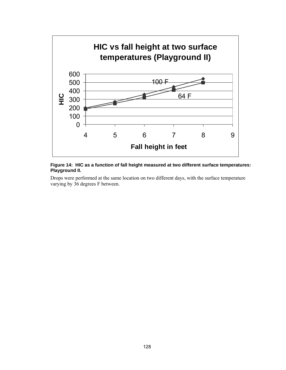

#### **Figure 14: HIC as a function of fall height measured at two different surface temperatures: Playground II.**

Drops were performed at the same location on two different days, with the surface temperature varying by 36 degrees F between.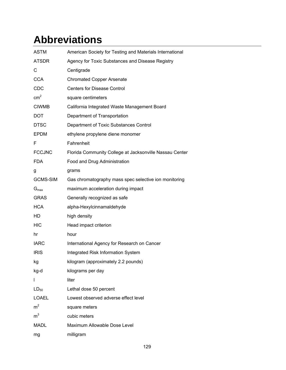# **Abbreviations**

| <b>ASTM</b>      | American Society for Testing and Materials International |
|------------------|----------------------------------------------------------|
| <b>ATSDR</b>     | Agency for Toxic Substances and Disease Registry         |
| С                | Centigrade                                               |
| <b>CCA</b>       | <b>Chromated Copper Arsenate</b>                         |
| <b>CDC</b>       | <b>Centers for Disease Control</b>                       |
| cm <sup>2</sup>  | square centimeters                                       |
| <b>CIWMB</b>     | California Integrated Waste Management Board             |
| <b>DOT</b>       | Department of Transportation                             |
| <b>DTSC</b>      | Department of Toxic Substances Control                   |
| <b>EPDM</b>      | ethylene propylene diene monomer                         |
| F                | Fahrenheit                                               |
| <b>FCCJNC</b>    | Florida Community College at Jacksonville Nassau Center  |
| <b>FDA</b>       | Food and Drug Administration                             |
| g                | grams                                                    |
| <b>GCMS-SIM</b>  | Gas chromatography mass spec selective ion monitoring    |
| $G_{\text{max}}$ | maximum acceleration during impact                       |
| <b>GRAS</b>      | Generally recognized as safe                             |
| <b>HCA</b>       | alpha-Hexylcinnamaldehyde                                |
| HD               | high density                                             |
| <b>HIC</b>       | Head impact criterion                                    |
| hr               | hour                                                     |
| <b>IARC</b>      | International Agency for Research on Cancer              |
| <b>IRIS</b>      | Integrated Risk Information System                       |
| kg               | kilogram (approximately 2.2 pounds)                      |
| kg-d             | kilograms per day                                        |
| I                | liter                                                    |
| $LD_{50}$        | Lethal dose 50 percent                                   |
| <b>LOAEL</b>     | Lowest observed adverse effect level                     |
| m <sup>2</sup>   | square meters                                            |
| m <sup>3</sup>   | cubic meters                                             |
| <b>MADL</b>      | Maximum Allowable Dose Level                             |
| mg               | milligram                                                |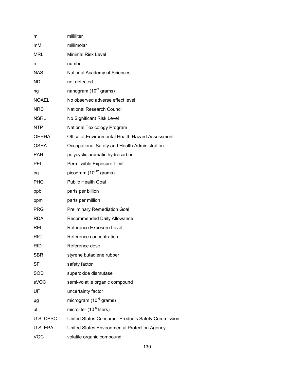| ml           | milliliter                                        |
|--------------|---------------------------------------------------|
| mM           | millimolar                                        |
| <b>MRL</b>   | <b>Minimal Risk Level</b>                         |
| n            | number                                            |
| <b>NAS</b>   | National Academy of Sciences                      |
| ND           | not detected                                      |
| ng           | nanogram (10 <sup>-9</sup> grams)                 |
| <b>NOAEL</b> | No observed adverse effect level                  |
| <b>NRC</b>   | <b>National Research Council</b>                  |
| <b>NSRL</b>  | No Significant Risk Level                         |
| <b>NTP</b>   | National Toxicology Program                       |
| <b>OEHHA</b> | Office of Environmental Health Hazard Assessment  |
| <b>OSHA</b>  | Occupational Safety and Health Administration     |
| <b>PAH</b>   | polycyclic aromatic hydrocarbon                   |
| <b>PEL</b>   | Permissible Exposure Limit                        |
| pg           | picogram $(10^{-12}$ grams)                       |
| <b>PHG</b>   | <b>Public Health Goal</b>                         |
| ppb          | parts per billion                                 |
| ppm          | parts per million                                 |
| <b>PRG</b>   | <b>Preliminary Remediation Goal</b>               |
| <b>RDA</b>   | Recommended Daily Allowance                       |
| <b>REL</b>   | Reference Exposure Level                          |
| <b>RfC</b>   | Reference concentration                           |
| <b>RfD</b>   | Reference dose                                    |
| <b>SBR</b>   | styrene butadiene rubber                          |
| <b>SF</b>    | safety factor                                     |
| SOD          | superoxide dismutase                              |
| sVOC         | semi-volatile organic compound                    |
| UF           | uncertainty factor                                |
| μg           | microgram $(10^{-6}$ grams)                       |
| ul           | microliter $(10^{-6}$ liters)                     |
| U.S. CPSC    | United States Consumer Products Safety Commission |
| U.S. EPA     | United States Environmental Protection Agency     |
| <b>VOC</b>   | volatile organic compound                         |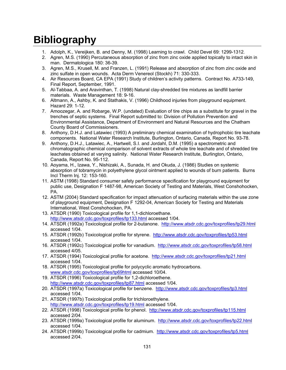# **Bibliography**

- 1. Adolph, K., Vereijken, B. and Denny, M. (1998) Learning to crawl. Child Devel 69: 1299-1312.
- 2. Agren, M.S. (1990) Percutaneous absorption of zinc from zinc oxide applied topically to intact skin in man. Dermatologica 180: 36-39.
- 3. Agren, M.S., Krusell, M. and Franzen, L. (1991) Release and absorption of zinc from zinc oxide and zinc sulfate in open wounds. Acta Derm Venereol (Stockh) 71: 330-333.
- 4. Air Resources Board, CA EPA (1991) Study of children's activity patterns. Contract No. A733-149, Final Report, September, 1991.
- 5. Al-Tabbaa, A. and Aravinthan, T. (1998) Natural clay-shredded tire mixtures as landfill barrier materials. Waste Management 18: 9-16.
- 6. Altmann, A., Ashby, K. and Stathakis, V. (1996) Childhood injuries from playground equipment. Hazard 29: 1-12.
- 7. Amoozegar, A. and Robarge, W.P. (undated) Evaluation of tire chips as a substitute for gravel in the trenches of septic systems. Final Report submitted to: Division of Pollution Prevention and Environmental Assistance, Department of Environment and Natural Resources and the Chatham County Board of Commissioners.
- 8. Anthony, D.H.J. and Latawiec (1993) A preliminary chemical examination of hydrophobic tire leachate components. National Water Research Institute, Burlington, Ontario, Canada, Report No. 93-78.
- 9. Anthony, D.H.J., Latawiec, A., Hartwell, S.I. and Jordahl, D.M. (1995) a spectrometric and chromatographic chemical comparison of solvent extracts of whole tire leachate and of shredded tire leachates obtained at varying salinity. National Water Research Institute, Burlington, Ontario, Canada, Report No. 95-112.
- 10. Aoyama, H., Izawa, Y., Nishizaki, A., Sunada, H. and Okuda, J. (1986) Studies on systemic absorption of tobramycin in polyethylene glycol ointment applied to wounds of burn patients. Burns Incl Therm Inj. 12: 153-160.
- 11. ASTM (1998) Standard consumer safety performance specification for playground equipment for public use, Designation F 1487-98, American Society of Testing and Materials, West Conshohocken, PA.
- 12. ASTM (2004) Standard specification for impact attenuation of surfacing materials within the use zone of playground equipment, Designation F 1292-04, American Society for Testing and Materials International, West Conshohocken, PA.
- 13. ATSDR (1990) Toxicological profile for 1,1-dichloroethane. http://www.atsdr.cdc.gov/toxprofiles/tp133.html accessed 1/04.
- 14. ATSDR (1992a) Toxicological profile for 2-butanone. http://www.atsdr.cdc.gov/toxprofiles/tp29.html accessed 1/04.
- 15. ATSDR (1992b) Toxicological profile for styrene. http://www.atsdr.cdc.gov/toxprofiles/tp53.html accessed 1/04.
- 16. ATSDR (1992c) Toxicological profile for vanadium. http://www.atsdr.cdc.gov/toxprofiles/tp58.html accessed 4/05.
- 17. ATSDR (1994) Toxicological profile for acetone. http://www.atsdr.cdc.gov/toxprofiles/tp21.html accessed 1/04.
- 18. ATSDR (1995) Toxicological profile for polycyclic aromatic hydrocarbons. www.atsdr.cdc.gov/toxprofiles/tp69html accessed 10/04.
- 19. ATSDR (1996) Toxicological profile for 1,2-dichloroethene. http://www.atsdr.cdc.gov/toxprofiles/tp87.html accessed 1/04.
- 20. ATSDR (1997a) Toxicological profile for benzene. http://www.atsdr.cdc.gov/toxprofiles/tp3.html accessed 1/04.
- 21. ATSDR (1997b) Toxicological profile for trichloroethylene. http://www.atsdr.cdc.gov/toxprofiles/tp19.html accessed 1/04.
- 22. ATSDR (1998) Toxicological profile for phenol. http://www.atsdr.cdc.gov/toxprofiles/tp115.html accessed 2/04.
- 23. ATSDR (1999a) Toxicological profile for aluminum. http://www.atsdr.cdc.gov/toxprofiles/tp22.html accessed 1/04.
- 24. ATSDR (1999b) Toxicological profile for cadmium. http://www.atsdr.cdc.gov/toxprofiles/tp5.html accessed 2/04.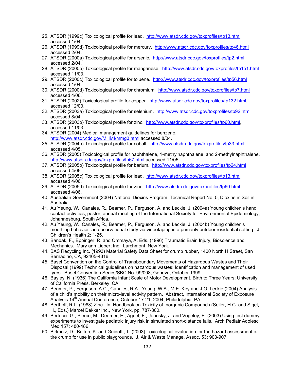- 25. ATSDR (1999c) Toxicological profile for lead. http://www.atsdr.cdc.gov/toxprofiles/tp13.html accessed 1/04.
- 26. ATSDR (1999d) Toxicological profile for mercury. http://www.atsdr.cdc.gov/toxprofiles/tp46.html accessed 2/04.
- 27. ATSDR (2000a) Toxicological profile for arsenic. http://www.atsdr.cdc.gov/toxprofiles/tp2.html accessed 2/04.
- 28. ATSDR (2000b) Toxicological profile for manganese. http://www.atsdr.cdc.gov/toxprofiles/tp151.html accessed 11/03.
- 29. ATSDR (2000c) Toxicological profile for toluene. http://www.atsdr.cdc.gov/toxprofiles/tp56.html accessed 1/04.
- 30. ATSDR (2000d) Toxicological profile for chromium. http://www.atsdr.cdc.gov/toxprofiles/tp7.html accessed 4/06.
- 31. ATSDR (2002) Toxicological profile for copper. http://www.atsdr.cdc.gov/toxprofiles/tp132.html, accessed 12/03.
- 32. ATSDR (2003a) Toxicological profile for selenium. http://www.atsdr.cdc.gov/toxprofiles/tp92.html accessed 8/04.
- 33. ATSDR (2003b) Toxicological profile for zinc. http://www.atsdr.cdc.gov/toxprofiles/tp60.html, accessed 11/03.
- 34. ATSDR (2004) Medical management guidelines for benzene. http://www.atsdr.cdc.gov/MHMI/mmg3.html accessed 8/04.
- 35. ATSDR (2004b) Toxicological profile for cobalt. http://www.atsdr.cdc.gov/toxprofiles/tp33.html accessed 4/05.
- 36. ATSDR (2005) Toxicological profile for naphthalene, 1-methylnaphthalene, and 2-methylnaphthalene. http://www.atsdr.cdc.gov/toxprofiles/tp67.html accessed 11/05.
- 37. ATSDR (2005b) Toxicological profile for barium. http://www.atsdr.cdc.gov/toxprofiles/tp24.html accessed 4/06.
- 38. ATSDR (2005c) Toxicological profile for lead. http://www.atsdr.cdc.gov/toxprofiles/tp13.html accessed 4/06.
- 39. ATSDR (2005d) Toxicological profile for zinc. http://www.atsdr.cdc.gov/toxprofiles/tp60.html accessed 4/06.
- 40. Australian Government (2004) National Dioxins Program, Technical Report No. 5, Dioxins in Soil in Australia.
- 41. Au Yeung, W., Canales, R., Beamer, P., Ferguson, A. and Leckie, J. (2004a) Young children's hand contact activities, poster, annual meeting of the International Society for Environmental Epidemiology, Johannesburg, South Africa.
- 42. Au Yeung, W., Canales, R., Beamer, P., Ferguson, A. and Leckie, J. (2004b) Young children's mouthing behavior: an observational study via videotaping in a primarily outdoor residential setting. J Children's Health 2: 1-25.
- 43. Bandak, F., Eppinger, R. and Ommaya, A. Eds. (1996) Traumatic Brain Injury, Bioscience and Mechanics. Mary ann Liebert Inc., Larchmont, New York.
- 44. BAS Recycling Inc. (1993) Material Safety Data Sheet for crumb rubber, 1400 North H Street, San Bernadino, CA, 92405-4316.
- 45. Basel Convention on the Control of Transboundary Movements of Hazardous Wastes and Their Disposal (1999) Technical guidelines on hazardous wastes: Identification and management of used tyres. Basel Convention Series/SBC No: 99/008, Geneva, October 1999.
- 46. Bayley, N. (1936) The California Infant Scale of Motor Development, Birth to Three Years; University of California Press, Berkeley, CA.
- 47. Beamer, P., Ferguson, A.C., Canales, R.A., Yeung, W.A., M.E. Key and J.O. Leckie (2004) Analysis of a child's mobility on their micro-level activity pattern. Abstract, International Society of Exposure Analysis 14<sup>th</sup> Annual Conference, October 17-21, 2004, Philadelphia, PA.
- 48. Bertholf, R.L. (1988) Zinc. In: Handbook on Toxicity of Inorganic Compounds (Seiler, H.G. and Sigel, H., Eds.) Marcel Dekker Inc., New York, pp. 787-800.
- 49. Bertocci, G., Pierce, M., Deemer, E., Aguel, F., Janosky, J. and Vogeley, E. (2003) Using test dummy experiments to investigate pediatric injury risk in simulated short-distance falls. Arch Pediatr Adolesc Med 157: 480-486.
- 50. Birkholz, D., Belton, K. and Guidotti, T. (2003) Toxicological evaluation for the hazard assessment of tire crumb for use in public playgrounds. J. Air & Waste Manage. Assoc. 53: 903-907.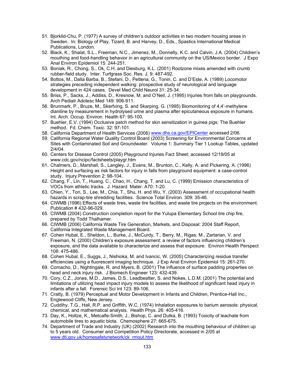- 51. Bjorklid-Chu, P. (1977) A survey of children's outdoor activities in two modern housing areas in Sweden. In: Biology of Play, Tizard, B. and Harvey, D., Eds., Spastics International Medical Publications, London.
- 52. Black, K., Shalat, S.L., Freeman, N.C., Jimenez, M., Donnelly, K.C. and Calvin, J.A. (2004) Children's mouthing and food-handling behavior in an agricultural community on the US/Mexico border. J Expo Anal Environ Epidemiol 15: 244-251.
- 53. Boniak, R., Chong, S., Ok, C.H. and Diesburg, K.L. (2001) Rootzone mixes amended with crumb rubber-field study. Inter. Turfgrass Soc. Res. J. 9: 487-492.
- 54. Bottos, M., Dalla Barba, B., Stefani, D., Pettena, G., Tonin, C. and D'Este, A. (1989) Locomotor strategies preceding independent walking: prospective study of neurological and language development in 424 cases. Devel Med Child Neurol 31: 25-34.
- 55. Briss, P., Sacks, J., Addiss, D., Kresnow, M. and O'Neil, J. (1995) Injuries from falls on playgrounds. Arch Pediatr Adolesc Med 149: 906-911.
- 56. Brunmark, P., Bruze, M., Skerfving, S. and Skarping, G. (1995) Biomonitoring of 4,4'-methylene dianiline by measurement in hydrolysed urine and plasma after epicutaneous exposure in humans. Int. Arch. Occup. Environ. Health 67: 95-100.
- 57. Buehler, E.V. (1994) Occlusive patch method for skin sensitization in guinea pigs: The Buehler method. Fd. Chem. Toxic. 32: 97-101.
- 58. California Department of Health Services (2006) www.dhs.ca.gov/EPICenter accessed 2/06.
- 59. California Regional Water Quality Control Board (2003) Screening for Environmental Concerns at Sites with Contaminated Soil and Groundwater. Volume 1: Summary Tier 1 Lookup Tables, updated 2/4/04.
- 60. Centers for Disease Control (2005) Playground Injuries Fact Sheet; accessed 12/19/05 at www.cdc.gov/ncipc/factsheets/playgr.htm
- 61. Chalmers, D., Marshall, S., Langley, J., Evans, M., Brunton, C., Kelly, A. and Pickering, A. (1996) Height and surfacing as risk factors for injury in falls from playground equipment: a case-control study. Injury Prevention 2: 98-104.
- 62. Chang, F., Lin, T., Huang, C., Chao, H., Chang, T. and Lu, C. (1999) Emission characteristics of VOCs from athletic tracks. J. Hazard. Mater. A70: 1-20.
- 63. Chien, Y., Ton, S., Lee, M., Chia, T., Shu, H. and Wu, Y. (2003) Assessment of occupational health hazards in scrap-tire shredding facilities. Science Total Environ. 309: 35-46.
- 64. CIWMB (1996) Effects of waste tires, waste tire facilities, and waste tire projects on the environment. Publication # 432-96-029.
- 65. CIWMB (2004) Construction completion report for the Yulupa Elementary School tire chip fire, prepared by Todd Thalhamer.
- 66. CIWMB (2006) California Waste Tire Generation, Markets, and Disposal: 2004 Staff Report, California Integrated Waste Management Board.
- 67. Cohen Hubal, E., Sheldon, L., Burke, J., McCurdy, T., Berry, M., Rigas, M., Zartarian, V. and Freeman, N. (2000) Children's exposure assessment: a review of factors influencing children's exposure, and the data available to characterize and assess that exposure. Environ Health Perspect 108: 475-486.
- 68. Cohen Hubal, E., Suggs, J., Nishioka, M. and Ivancic, W. (2005) Characterizing residue transfer efficiencies using a fluorescent imaging technique. J Exp Anal Environ Epidemiol 15: 261-270.
- 69. Comacho, D., Nightingale, R. and Myers, B. (2001) The influence of surface padding properties on head and neck injury risk. J Biomech Engineer 123: 432-439.
- 70. Cory, C.Z., Jones, M.D., James, D.S., Leadbeatter, S. and Nokes, L.D.M. (2001) The potential and limitations of utilizing head impact injury models to assess the likelihood of significant head injury in infants after a fall. Forensic Sci Int 123: 89-106.
- 71. Cratty, B. (1979) Perceptual and Motor Development in Infants and Children, Prentice-Hall Inc., Englewood Cliffs, New Jersey.
- 72. Cuddihy, T.G., Hall, R.P. and Griffith, W.C. (1974) Inhalation exposures to barium aerosols: physical, chemical, and mathematical analysis. Health Phys. 26: 405-416.
- 73. Day, K., Holtze, K., Metcalfe-Smith, J., Bishop, C. and Dutka, B. (1993) Toxicity of leachate from automobile tires to aquatic biota. Chemosphere 27: 665-675.
- 74. Department of Trade and Industry (UK) (2002) Research into the mouthing behaviour of children up to 5 years old. Consumer and Competition Policy Directorate, accessed in 2/05 at www.dti.gov.uk/homesafetynetwork/ck\_rmout.htm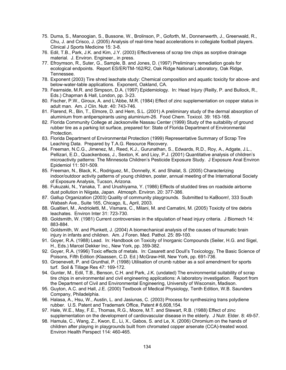- 75. Duma, S., Manoogian, S., Bussone, W., Brolinson, P., Goforth, M., Donnenwerth, J., Greenwald, R., Chu, J. and Crisco, J. (2005) Analysis of real-time head accelerations in collegiate football players. Clinical J Sports Medicine 15: 3-8.
- 76. Edil, T.B., Park, J.K. and Kim, J.Y. (2003) Effectiveness of scrap tire chips as sorptive drainage material. J. Environ. Engineer., in press.
- 77. Efroymson, R., Suter, G., Sample, B. and Jones, D. (1997) Preliminary remediation goals for ecological endpoints. Report ES/ER/TM-162/R2, Oak Ridge National Laboratory, Oak Ridge, Tennessee.
- 78. Exponent (2003) Tire shred leachate study: Chemical composition and aquatic toxicity for above- and below-water-table applications. Exponent, Oakland, CA.
- 79. Fearnside, M.R. and Simpson, D.A. (1997) Epidemiology. In: Head Injury (Reilly, P. and Bullock, R., Eds.) Chapman & Hall, London, pp. 3-23.
- 80. Fischer, P.W., Giroux, A. and L'Abbe, M.R. (1984) Effect of zinc supplementation on copper status in adult man. Am. J Clin. Nutr. 40: 743-746.
- 81. Flarend, R., Bin, T., Elmore, D. and Hem, S.L. (2001) A preliminary study of the dermal absorption of aluminium from antiperspirants using aluminium-26. Food Chem. Toxicol. 39: 163-168.
- 82. Florida Community College at Jacksonville Nassau Center (1999) Study of the suitability of ground rubber tire as a parking lot surface, prepared for: State of Florida Department of Environmental Protection.
- 83. Florida Department of Environmental Protection (1999) Representative Summary of Scrap Tire Leaching Data. Prepared by T.A.G. Resource Recovery.
- 84. Freeman, N.C.G., Jimenez, M., Reed, K.J., Gurunathan, S., Edwards, R.D., Roy, A., Adgate, J.L., Pellizari, E.D., Quackenboss, J., Sexton, K. and Lioy, P.J. (2001) Quantitative analysis of children's microactivity patterns: The Minnesota Children's Pesticide Exposure Study. J Exposure Anal Environ Epidemiol 11: 501-509.
- 85. Freeman, N., Black, K., Rodriguez, M., Donnelly, K. and Shalat, S. (2005) Characterizing indoor/outdoor activity patterns of young children, poster, annual meeting of the International Society of Exposure Analysis, Tucson, Arizona.
- 86. Fukuzaki, N., Yanaka, T. and Urushiyama, Y. (1986) Effects of studded tires on roadside airborne dust pollution in Niigata, Japan. Atmosph. Environ. 20: 377-386.
- 87. Gallup Organization (2003) Quality of community playgrounds. Submitted to KaBoom!, 333 South Wabash Ave., Suite 165, Chicago, IL, April, 2003.
- 88. Gualtieri, M., Andrioletti, M., Vismara, C., Milani, M. and Camatini, M. (2005) Toxicity of tire debris leachates. Environ Inter 31: 723-730.
- 89. Goldsmith, W. (1981) Current controversies in the stipulation of head injury criteria. J Biomech 14: 883-884.
- 90. Goldsmith, W. and Plunkett, J. (2004) A biomechanical analysis of the causes of traumatic brain injury in infants and children. Am. J Foren. Med. Pathol. 25: 89-100.
- 91. Goyer, R.A. (1988) Lead. In: Handbook on Toxicity of Inorganic Compounds (Seiler, H.G. and Sigel, H., Eds.) Marcel Dekker Inc., New York, pp. 359-382.
- 92. Goyer, R.A. (1996) Toxic effects of metals. In: Casarett and Doull's Toxicology, The Basic Science of Poisons, Fifth Edition (Klaassen, C.D. Ed.) McGraw-Hill, New York, pp. 691-736.
- 93. Groenevelt, P. and Grunthal, P. (1998) Utilisation of crumb rubber as a soil amendment for sports turf. Soil & Tillage Res 47: 169-172.
- 94. Gunter, M., Edil, T.B., Benson, C.H. and Park, J.K. (undated) The environmental suitability of scrap tire chips in environmental and civil engineering applications: A laboratory investigation. Report from the Department of Civil and Environmental Engineering, University of Wisconsin, Madison.
- 95. Guyton, A.C. and Hall, J.E. (2000) Textbook of Medical Physiology, Tenth Edition, W.B. Saunders Company, Philadelphia.
- 96. Halasa, A., Hsu, W., Austin, L. and Jasiunas, C. (2003) Process for synthesizing trans polydiene rubber. U.S. Patent and Trademark Office, Patent # 6,608,154.
- 97. Hale, W.E., May, F.E., Thomas, R.G., Moore, M.T. and Stewart, R.B. (1988) Effect of zinc supplementation on the development of cardiovascular disease in the elderly. J Nutr. Elder. 8: 49-57.
- 98. Hamula, C., Wang, Z., Kwon, E., Li, X., Gabos, S. and Le, X. (2006) Chromium on the hands of children after playing in playgrounds built from chromated copper arsenate (CCA)-treated wood. Environ Health Perspect 114: 460-465.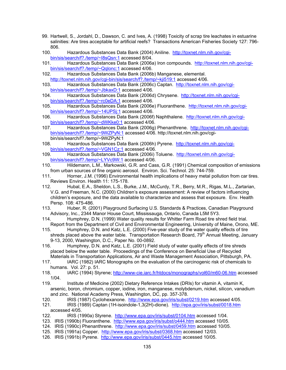- 99. Hartwell, S., Jordahl, D., Dawson, C. and Ives, A. (1998) Toxicity of scrap tire leachates in estuarine salinities: Are tires acceptable for artificial reefs? Transactions American Fisheries Society 127: 796- 806.
- 100. Hazardous Substances Data Bank (2004) Aniline. http://toxnet.nlm.nih.gov/cgibin/sis/search/f?./temp/~I8sQsn:1 accessed 8/04.
- 101. Hazardous Substances Data Bank (2006a) Iron compounds. http://toxnet.nlm.nih.gov/cgibin/sis/search/f?./temp/~Qqlonc:1 accessed 4/06.
- 102. Hazardous Substances Data Bank (2006b) Manganese, elemental. http://toxnet.nlm.nih.gov/cgi-bin/sis/search/f?./temp/~kji519:1 accessed 4/06.
- 103. Hazardous Substances Data Bank (2006c) Captan. http://toxnet.nlm.nih.gov/cgibin/sis/search/f?./temp/~JbkaxD:1 accessed 4/06.
- 104. Hazardous Substances Data Bank (2006d) Chrysene. http://toxnet.nlm.nih.gov/cgibin/sis/search/f?./temp/~rc0eDA:1 accessed 4/06.
- 105. Hazardous Substances Data Bank (2006e) Fluoranthene. http://toxnet.nlm.nih.gov/cgibin/sis/search/f?./temp/~14UPSj:1 accessed 4/06.
- 106. Hazardous Substances Data Bank (2006f) Naphthalene. http://toxnet.nlm.nih.gov/cgibin/sis/search/f?./temp/~dWKke0:1 accessed 4/06.
- 107. Hazardous Substances Data Bank (2006g) Phenanthrene. http://toxnet.nlm.nih.gov/cgibin/sis/search/f?./temp/~9WZPyN:1 accessed 4/06. http://toxnet.nlm.nih.gov/cgibin/sis/search/f?./temp/~9WZPyN:1
- 108. Hazardous Substances Data Bank (2006h) Pyrene. http://toxnet.nlm.nih.gov/cgibin/sis/search/f?./temp/~VGN1Cz:1 accessed 4/06.
- 109. Hazardous Substances Data Bank (2006i) Toluene. http://toxnet.nlm.nih.gov/cgibin/sis/search/f?./temp/~LYVc9W:1 accessed 4/06.
- 110. Hildemann, L.M., Markowski, G.R. and Cass, G.R. (1991) Chemical composition of emissions from urban sources of fine organic aerosol. Environ. Sci. Technol. 25: 744-759.
- 111. Horner, J.M. (1996) Environmental health implications of heavy metal pollution from car tires. Reviews Environ. Health 11: 175-178.
- 112. Hubal, E.A., Sheldon, L.S., Burke, J.M., McCurdy, T.R., Berry, M.R., Rigas, M.L., Zartarian, V.G. and Freeman, N.C. (2000) Children's exposure assessment: A review of factors influencing children's exposure, and the data available to characterize and assess that exposure. Env. Health Persp. 108: 475-486.
- 113. Huber, R. (2001) Playground Surfacing U.S. Standards & Practices, Canadian Playground Advisory, Inc., 2344 Manor House Court, Mississauga, Ontario, Canada L5M 5Y3.
- 114. Humphrey, D.N. (1999) Water quality results for Whitter Farm Road tire shred field trial. Report from the Department of Civil and Environmental Engineering, University of Maine, Orono, ME.
- 115. Humphrey, D.N. and Katz, L.E. (2000) Five-year study of the water quality effects of tire shreds placed above the water table. Transportation Research Board, 79<sup>th</sup> Annual Meeting, January 9-13, 2000, Washington, D.C., Paper No. 00-0892.
- 116. Humphrey, D.N. and Katz, L.E. (2001) Field study of water quality effects of tire shreds placed below the water table. Proceedings of the Conference on Beneficial Use of Recycled Materials in Transportation Applications, Air and Waste Management Association, Pittsburgh, PA.
- 117. IARC (1982) IARC Monographs on the evaluation of the carcinogenic risk of chemicals to humans. Vol. 27: p. 51.
- 118. IARC (1994) Styrene; http://www-cie.iarc.fr/htdocs/monographs/vol60/m60-06.htm accessed 1/04.
- 119. Institute of Medicine (2002) Dietary Reference Intakes (DRIs) for vitamin A, vitamin K, arsenic, boron, chromium, copper, iodine, iron, manganese, molybdenum, nickel, silicon, vanadium and zinc. National Academy Press, Washington, DC, pp. 357-378.
- 120. IRIS (1987) Cyclohexanone. http://www.epa.gov/iris/subst/0219.htm accessed 4/05.
- 121. IRIS (1989) Captan (1H-isoindole-1,3(2H)-dione). http://epa.gov/iris/subst/0018.htm accessed 4/05.
- 122. IRIS (1990a) Styrene. http://www.epa.gov/iris/subst/0104.htm accessed 1/04.
- 123. IRIS (1990b) Fluoranthene. http://www.epa.gov/iris/subst/o444.htm accessed 10/05.
- 124. IRIS (1990c) Phenanthrene. http://www.epa.gov/iris/subst/0459.htm accessed 10/05.
- 125. IRIS (1991a) Copper. http://www.epa.gov/iris/subst/0368.htm accessed 12/03.
- 126. IRIS (1991b) Pyrene. http://www.epa.gov/iris/subst/0445.htm accessed 10/05.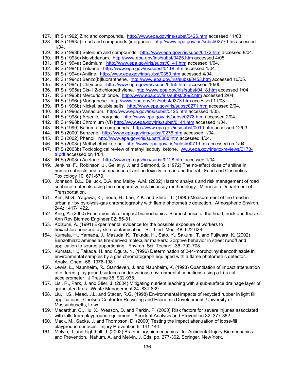- 127. IRIS (1992) Zinc and compounds. http://www.epa.gov/iris/subst/0426.htm accessed 11/03.
- 128. IRIS (1993a) Lead and compounds (inorganic). http://www.epa.gov/iris/subst/0277.htm accessed 1/04.
- 129. IRIS (1993b) Selenium and compounds. http://www.epa.gov/iris/subst/0472.htm accessed 8/04.
- 130. IRIS (1993c) Molybdenum. http://www.epa.gov/iris/subst/0425.htm accessed 4/05.
- 131. IRIS (1994a) Cadmium. http://www.epa.gov/iris/subst/0141.htm accessed 1/04.
- 132. IRIS (1994b) Toluene. http://www.epa.gov/iris/subst/0118.htm accessed 1/04.
- 133. IRIS (1994c) Aniline. http://www.epa.gov/iris/subst/0350.htm accessed 4/04.
- 134. IRIS (1994d) Benzo[b]fluoranthene. http://www.epa.gov/iris/subst/0453.htm accessed 10/05.
- 135. IRIS (1994e) Chrysene. http://www.epa.gov/iris/subst/0455.htm accessed 10/05.
- 136. IRIS (1995a) Cis-1,2-dichloroethylene. http://www.epa.gov/iris/subst/0418.htm accessed 1/04.
- 137. IRIS (1995b) Mercuric chloride. http://www.epa.gov/iris/subst/0692.htm accessed 2/04.
- 138. IRIS (1996a) Manganese. http://www.epa.gov/iris/subst/0373.htm accessed 11/03.
- 139. IRIS (1996b) Nickel, soluble salts. http://www.epa.gov/iris/subst/0271.htm accessed 2/04.
- 140. IRIS (1996c) Vanadium. http://www.epa.gov/iris/subst/0125.htm accessed 4/05.
- 141. IRIS (1998a) Arsenic, inorganic. http://www.epa.gov/iris/subst/0278.htm accessed 2/04.
- 142. IRIS (1998b) Chromium (VI) http://www.epa.gov/iris/subst/0144.htm accessed 1/04.
- 143. IRIS (1999) Barium and compounds. http://www.epa.gov/iris/subst/0010.htm accessed 12/03.
- 144. IRIS (2000) Benzene. http://www.epa.gov/iris/subst/0276.htm accessed 1/04.
- 145. IRIS (2002) Phenol. http://www.epa.gov/iris/subst/0088.htm accessed 4/04.
- 146. IRIS (2003a) Methyl ethyl ketone. http://www.epa.gov/iris/subst/0071.htm accessed on 1/04.
- 147. IRIS (2003b) Toxicological review of methyl isobutyl ketone. www.epa.gov/iris/toxreviews/0173 tr.pdf accessed on 1/04.
- 148. IRIS (2003c) Acetone. http://www.epa.gov/iris/subst/0128.htm accessed 1/04.
- 149. Jenkins, F., Robinson, J., Gellatly, J. and Salmond, G. (1972) The no-effect dose of aniline in human subjects and a comparison of aniline toxicity in man and the rat. Food and Cosmetics Toxicology 10: 671-679.
- 150. Johnson, B.L., Belluck, D.A. and Melby, A.M. (2002) Hazard analysis and risk management of road subbase materials using the comparative risk bioassay methodology. Minnesota Department of Transportation.
- 151. Kim, M.G., Yagawa, K., Inoue, H., Lee, Y.K. and Shirai, T. (1990) Measurement of tire tread in urban air by pyrolysis-gas chromatography with flame photometric detection. Atmospheric Environ. 24A: 1417-1422.
- 152. King, A. (2000) Fundamentals of impact biomechanics: Biomechanics of the head, neck and thorax. Ann Rev Biomed Engineer 02: 55-81.
- 153. Koizumi, A. (1991) Experimental evidence for the possible exposure of workers to hexachlorobenzene by skin contamination. Br. J Ind. Med. 48: 622-628.
- 154. Kumata, H., Yamada, J., Masuda, K., Takada, H., Sato, Y., Sakurai, T. and Fujiwara, K. (2002) Benzothiazolamines as tire-derived molecular markers: Sorptive behavior in street runoff and application to source apportioning. Environ. Sci. Technol. 36: 702-708.
- 155. Kumata, H., Takada, H. and Ogura, N. (1996) Determination of 2-(4-morpholinyl)benzothiazole in environmental samples by a gas chromatograph equipped with a flame photometric detector. Analyt. Chem. 68: 1976-1981.
- 156. Lewis, L., Naunheim, R., Standeven, J. and Naunheim, K. (1993) Quantitation of impact attenuation of different playground surfaces under various environmental conditions using a tri-axial accelerometer. J Trauma 35: 932-935.
- 157. Lisi, R., Park, J. and Stier, J. (2004) Mitigating nutrient leaching with a sub-surface drainage layer of granulated tires. Waste Management 24: 831-839.
- 158. Liu, H.S., Mead, J.L. and Stacer, R.G. (1998) Environmental impacts of recycled rubber in light fill applications. Chelsea Center for Recycling and Economic Development, University of Massachusetts, Lowell.
- 159. Macarthur, C., Hu, X., Wesson, D. and Parkin, P. (2000) Risk factors for severe injuries associated with falls from playground equipment. Accident Analysis and Prevention 32: 377-382.
- 160. Mack, M., Sacks, J. and Thompson, D. (2000) Testing the impact attenuation of loose-fill playground surfaces. Injury Prevention 6: 141-144.
- 161. Melvin, J. and Lighthall, J. (2002) Brain-injury biomechanics. In: Accidental Injury Biomechanics and Prevention. Nahum, A. and Melvin, J. Eds. pp. 277-302, Springer, New York.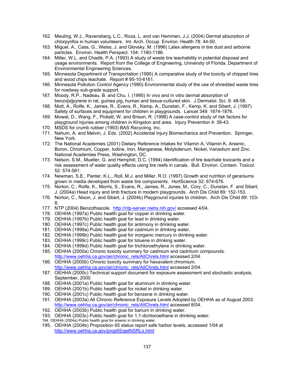- 162. Meuling, W.J., Ravensberg, L.C., Roza, L. and van Hemmen, J.J. (2004) Dermal absorption of chlorpyrifos in human volunteers. Int. Arch. Occup. Environ. Health 78: 44-50.
- 163. Miguel, A., Cass, G., Weiss, J. and Glovsky, M. (1996) Latex allergens in tire dust and airborne particles. Environ. Health Perspect. 104: 1180-1186.
- 164. Miller, W.L. and Chadik, P.A. (1993) A study of waste tire leachability in potential disposal and usage environments. Report from the College of Engineering, University of Florida, Department of Environmental Engineering Sciences.
- 165. Minnesota Department of Transportation (1995) A comparative study of the toxicity of chipped tires and wood chips leachate. Report # 95-10-6161.
- 166. Minnesota Pollution Control Agency (1990) Environmental study of the use of shredded waste tires for roadway sub-grade support.
- 167. Moody, R.P., Nadeau, B. and Chu, I. (1995) In vivo and in vitro dermal absorption of benzo[a]pyrene in rat, guinea pig, human and tissue-cultured skin. J Dermatol. Sci. 9: 48-58.
- 168. Mott, A., Rolfe, K., James, R., Evans, R., Kemp, A., Dunstan, F., Kemp, K. and Sibert, J. (1997) Safety of surfaces and equipment for children in playgrounds. Lancet 349: 1874-1876.
- 169. Mowat, D., Wang, F., Pickett, W. and Brison, R. (1998) A case-control study of risk factors for playground injuries among children in Kingston and area. Injury Prevention 4: 39-43.
- 170. MSDS for crumb rubber (1993) BAS Recycling, Inc.
- 171. Nahum, A. and Melvin, J. Eds. (2002) Accidental Injury Biomechanics and Prevention. Springer, New York.
- 172. The National Academies (2001) Dietary Reference Intakes for Vitamin A, Vitamin K, Arsenic, Boron, Chromium, Copper, Iodine, Iron, Manganese, Molybdenum, Nickel, Vanadium and Zinc. National Academies Press, Washington, DC.
- 173. Nelson, S.M., Mueller, G. and Hemphill, D.C. (1994) Identification of tire leachate toxicants and a risk assessment of water quality effects using tire reefs in canals. Bull. Environ. Contam. Toxicol. 52: 574-581.
- 174. Newman, S.E., Panter, K.L., Roll, M.J. and Miller, R.O. (1997) Growth and nutrition of geraniums grown in media developed from waste tire components. HortScience 32: 674-676.
- 175. Norton, C., Rolfe, K., Morris, S., Evans, R., James, R., Jones, M., Cory, C., Dunstan, F. and Sibert, J. (2004a) Head injury and limb fracture in modern playgrounds. Arch Dis Child 89: 152-153.
- 176. Norton, C., Nixon, J. and Sibert, J. (2004b) Playground injuries to children. Arch Dis Child 89: 103- 8.
- 177. NTP (2004) Benzothiazole. http://ntp-server.niehs.nih.gov/ accessed 4/04.
- 178. OEHHA (1997a) Public health goal for copper in drinking water.
- 179. OEHHA (1997b) Public health goal for lead in drinking water.
- 180. OEHHA (1997c) Public health goal for antimony in drinking water.
- 181. OEHHA (1999a) Public health goal for cadmium in drinking water.
- 182. OEHHA (1999b) Public health goal for inorganic mercury in drinking water.
- 183. OEHHA (1999c) Public health goal for toluene in drinking water.
- 184. OEHHA (1999d) Public health goal for trichloroethylene in drinking water.
- 185. OEHHA (2000a) Chronic toxicity summary for cadmium and cadmium compounds. http://www.oehha.ca.gov/air/chronic\_rels/AllChrels.html accessed 2/04.
- 186. OEHHA (2000b) Chronic toxicity summary for hexavalent chromium. http://www.oehha.ca.gov/air/chronic\_rels/AllChrels.html accessed 2/04.
- 187. OEHHA (2000c) Technical support document for exposure assessment and stochastic analysis, September, 2000.
- 188. OEHHA (2001a) Public health goal for aluminum in drinking water.
- 189. OEHHA (2001b) Public health goal for nickel in drinking water.
- 190. OEHHA (2001c) Public health goal for benzene in drinking water.
- 191. OEHHA (2003a) All Chronic Reference Exposure Levels Adopted by OEHHA as of August 2003. http://www.oehha.ca.gov/air/chronic\_rels/AllChrels.html accessed 8/04.
- 192. OEHHA (2003b) Public health goal for barium in drinking water.
- 193. OEHHA (2003c) Public health goal for 1,1-dichloroethane in drinking water.
- 194. OEHHA (2004a) Public health goal for arsenic in drinking water.
- 195. OEHHA (2004b) Proposition 65 status report safe harbor levels, accessed 1/04 at http://www.oehha.ca.gov/prop65/getNSRLs.html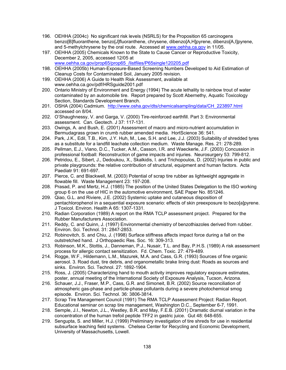- 196. OEHHA (2004c) No significant risk levels (NSRLS) for the Proposition 65 carcinogens benzo[B]fluoranthene, benzo[J]fluoranthene, chrysene, dibenzo[A,H]pyrene, dibenzo[A,I]pyrene, and 5-methylchrysene by the oral route. Accessed at www.oehha.ca.gov in 11/05.
- 197. OEHHA (2005) Chemicals Known to the State to Cause Cancer or Reproductive Toxicity, December 2, 2005, accessed 12/05 at www.oehha.ca.gov/prop65/prop65\_/listfiles/P65single120205.pdf
- 198. OEHHA (2005b) Human-Exposure-Based Screening Numbers Developed to Aid Estimation of Cleanup Costs for Contaminated Soil, January 2005 revision.
- 199. OEHHA (2006) A Guide to Health Risk Assessment, available at www.oehha.ca.gov/pdf/HRSguide2001.pdf
- 200. Ontario Ministry of Environment and Energy (1994) The acute lethality to rainbow trout of water contaminated by an automobile tire. Report prepared by Scott Abernethy, Aquatic Toxicology Section, Standards Development Branch.
- 201. OSHA (2004) Cadmium. http://www.osha.gov/dts/chemicalsampling/data/CH\_223897.html accessed on 8/04.
- 202. O'Shaughnessy, V. and Garga, V. (2000) Tire-reinforced earthfill. Part 3: Environmental assessment. Can. Geotech. J 37: 117-131.
- 203. Owings, A. and Bush, E. (2001) Assessment of macro and micro-nutrient accumulation in Bermudagrass grown in crumb rubber amended media. HortScience 36: 541.
- 204. Park, J.K., Edil, T.B., Kim, J.Y. Huh, M., Lee, S.H. and Lee, J.J. (2003) Suitability of shredded tyres as a substitute for a landfill leachate collection medium. Waste Manage. Res. 21: 278-289.
- 205. Pellman, E.J., Viano, D.C., Tucker, A.M., Casson, I.R. and Waeckerle, J.F. (2003) Concussion in professional football: Reconstruction of game impacts and injuries. Neurosurgery 53: 799-812.
- 206. Petridou, E., Sibert, J., Dedoukou, X., Skalkidis, I. and Trichopoulos, D. (2002) Injuries in public and private playgrounds: the relative contribution of structural, equipment and human factors. Acta Paediatr 91: 691-697.
- 207. Pierce, C. and Blackwell, M. (2003) Potential of scrap tire rubber as lightweight aggregate in flowable fill. Waste Management 23: 197-208.
- 208. Prasad, P. and Mertz, H.J. (1985) The position of the United States Delegation to the ISO working group 6 on the use of HIC in the automotive environment, SAE Paper No. 851246.
- 209. Qiao, G.L. and Riviere, J.E. (2002) Systemic uptake and cutaneous disposition of pentachlorophenol in a sequential exposure scenario: effects of skin preexposure to bezo[a]pyrene. J Toxicol. Environ. Health A 65: 1307-1331.
- 210. Radian Corporation (1989) A report on the RMA TCLP assessment project. Prepared for the Rubber Manufacturers Association.
- 211. Reddy, C. and Quinn, J. (1997) Environmental chemistry of benzothiazoles derived from rubber. Environ. Sci. Technol. 31: 2847-2853.
- 212. Robinovitch, S. and Chiu, J. (1998) Surface stiffness affects impact force during a fall on the outstretched hand. J Orthopaedic Res. Soc. 16: 309-313.
- 213. Robinson, M.K., Stottis, J., Danneman, P.J., Nusair, T.L. and Bay, P.H.S. (1989) A risk assessment process for allergic contact sensitization. Fd. Chem. Toxic. 27: 479-489.
- 214. Rogge, W.F., Hildemann, L.M., Mazurek, M.A. and Cass, G.R. (1993) Sources of fine organic aerosol. 3. Road dust, tire debris, and organometallic brake lining dust: Roads as sources and sinks. Environ. Sci. Technol. 27: 1892-1904.
- 215. Ross, J. (2005) Characterizing hand to mouth activity improves regulatory exposure estimates, poster, annual meeting of the International Society of Exposure Analysis, Tucson, Arizona.
- 216. Schauer, J.J., Fraser, M.P., Cass, G.R. and Simoneit, B.R. (2002) Source reconciliation of atmospheric gas-phase and particle-phase pollutants during a severe photochemical smog episode. Environ. Sci. Technol. 36: 3806-3814.
- 217. Scrap Tire Management Council (1991) The RMA TCLP Assessment Project: Radian Report. Educational seminar on scrap tire management, Washington D.C., September 6-7, 1991.
- 218. Semple, J.I., Newton, J.L., Westley, B.R. and May, F.E.B. (2001) Dramatic diurnal variation in the concentration of the human trefoil peptide TFF2 in gastric juice. Gut 48: 648-655.
- 219. Sengupta, S. and Miller, H.J. (1999) Preliminary investigation of tire shreds for use in residential subsurface leaching field systems. Chelsea Center for Recycling and Economic Development, University of Massachusetts, Lowell.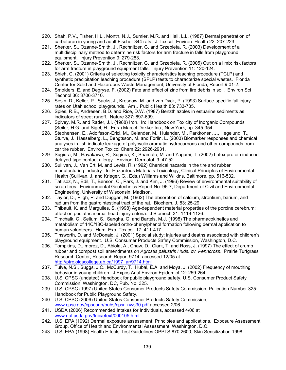- 220. Shah, P.V., Fisher, H.L., Month, N.J., Sumler, M.R. and Hall, L.L. (1987) Dermal penetration of carbofuran in young and adult Fischer 344 rats. J Toxicol. Environ. Health 22: 207-223.
- 221. Sherker, S., Ozanne-Smith, J., Rechnitzer, G. and Grzebieta, R. (2003) Development of a multidisciplinary method to determine risk factors for arm fracture in falls from playground equipment. Injury Prevention 9: 279-283.
- 222. Sherker, S., Ozanne-Smith, J., Rechnitzer, G. and Grzebieta, R. (2005) Out on a limb: risk factors for arm fracture in playground equipment falls. Injury Prevention 11: 120-124.
- 223. Shieh, C. (2001) Criteria of selecting toxicity characteristics leaching procedure (TCLP) and synthetic precipitation leaching procedure (SPLP) tests to characterize special wastes. Florida Center for Solid and Hazardous Waste Management, University of Florida, Report # 01-2.
- 224. Smolders, E. and Degryse, F. (2002) Fate and effect of zinc from tire debris in soil. Environ Sci Technol 36: 3706-3710.
- 225. Sosin, D., Keller, P., Sacks, J., Kresnow, M. and van Dyck, P. (1993) Surface-specific fall injury rates on Utah school playgrounds. Am J Public Health 83: 733-735.
- 226. Spies, R.B., Andresen, B.D. and Rice, D.W. (1987) Benzthiazoles in estuarine sediments as indicators of street runoff. Nature 327: 697-699.
- 227. Spivey, M.R. and Rader, J.I. (1988) Iron. In: Handbook on Toxicity of Inorganic Compounds (Seiler, H.G. and Sigel, H., Eds.) Marcel Dekker Inc., New York, pp. 345-354.
- 228. Stephensen, E., Adolfsson-Erici, M., Celander, M., Hulander, M., Parkkonen, J., Hegelund, T., Sturve, J., Hasselberg, L., Bengtsson, M. and Forlin, L. (2003) Biomarker responses and chemical analyses in fish indicate leakage of polycyclic aromatic hydrocarbons and other compounds from car tire rubber. Environ Toxicol Chem 22: 2926-2931.
- 229. Sugiura, M., Hayakawa, R., Sugiura, K., Shamoto, M. and Yagami, T. (2002) Latex protein induced delayed-type contact allergy. Environ. Dermatol. 9: 47-52.
- 230. Sullivan, J., Van Ert, M. and Lewis, R. (1992) Chemical hazards in the tire and rubber manufacturing industry. In: Hazardous Materials Toxicology, Clinical Principles of Environmental Health (Sullivan, J. and Krieger, G., Eds.) Williams and Wilkins, Baltimore, pp. 516-532.
- 231. Tatlisoz, N., Edil, T., Benson, C., Park, J. and Kim, J. (1996) Review of environmental suitability of scrap tires. Environmental Geotechnics Report No: 96-7, Department of Civil and Environmental Engineering, University of Wisconsin, Madison.
- 232. Taylor, D., Pligh, P. and Duggan, M. (1962) The absorption of calcium, strontium, barium, and radium from the gastrointestinal tract of the rat. Biochem. J. 83: 25-29.
- 233. Thibault, K. and Margulies, S. (1998) Age-dependent material properties of the porcine cerebrum: effect on pediatric inertial head injury criteria. J Biomech 31: 1119-1126.
- 234. Timchalk, C., Selium, S., Sangha, G. and Bartels, M.J. (1998) The pharmacokinetics and metabolism of 14C/13C-labeled ortho-phenylphenol formation following dermal application to human volunteers. Hum. Exp. Toxicol. 17: 411-417.
- 235. Tinsworth, D. and McDonald, J. (2001) Special study: injuries and deaths associated with children's playground equipment. U.S. Consumer Products Safety Commission, Washington, D.C.
- 236. Tompkins, D., moroz, D., Abiola, A., Chaw, D., Clark, T. and Ross, J. (1997) The effect of crumb rubber and compost soil amendments on *Agrostis palustris Huds. cv. Penncross*. Prairie Turfgrass Research Center, Research Report 9714; accessed 12/05 at http://ptrc.oldscollege.ab.ca/1997\_ar/9714.html
- 237. Tulve, N.S., Suggs, J.C., McCurdy, T., Hubal, E.A. and Moya, J. (2002) Frequency of mouthing behavior in young children. J Expos Anal Environ Epidemiol 12: 259-264.
- 238. U.S. CPSC (undated) Handbook for public playground safety, U.S. Consumer Product Safety Commission, Washington, DC, Pub. No. 325.
- 239. U.S. CPSC (1997) United States Consumer Products Safety Commission, Pulication Number 325: Handbook for Public Playground Safety.
- 240. U.S. CPSC (2006) United States Consumer Products Safety Commission, www.cpsc.gov/cpscpub/pubs/cpsr\_nws30.pdf accessed 2/06.
- 241. USDA (2006) Recommended Intakes for Individuals, accessed 4/06 at www.nal.usda.gov/fnic/etext/000105.html
- 242. U.S. EPA (1992) Dermal exposure assessment: Principles and applications. Exposure Assessment Group, Office of Health and Environmental Assessment, Washington, D.C.
- 243. U.S. EPA (1998) Health Effects Test Guidelines OPPTS 870.2600, Skin Sensitization 1998.